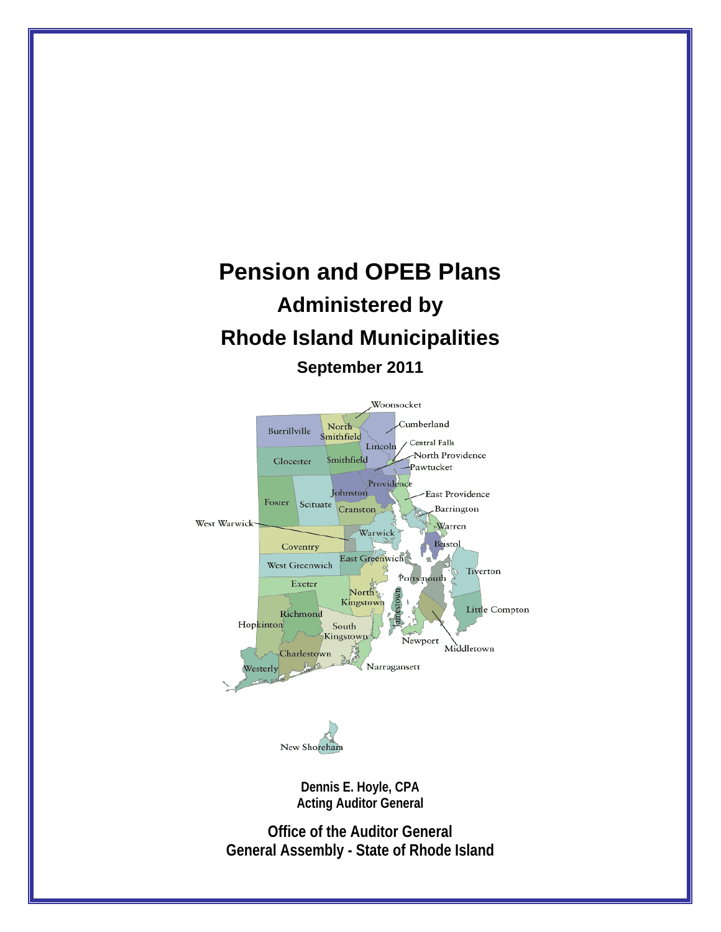# **Pension and OPEB Plans Administered by Rhode Island Municipalities September 2011**





**Dennis E. Hoyle, CPA Acting Auditor General** 

**Office of the Auditor General General Assembly - State of Rhode Island**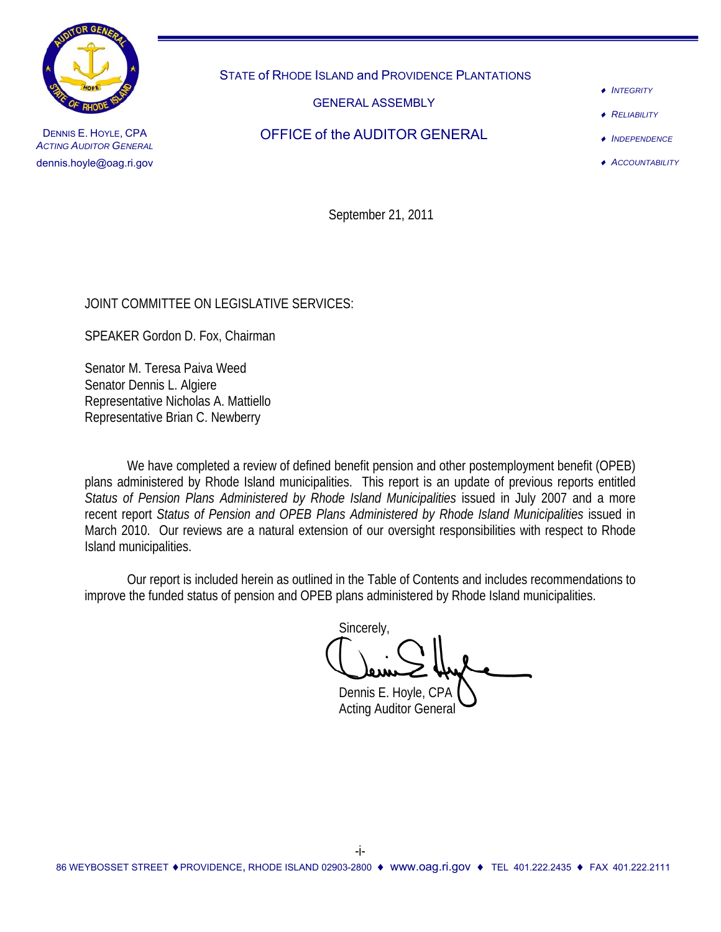

STATE of RHODE ISLAND and PROVIDENCE PLANTATIONS

GENERAL ASSEMBLY

♦ *INTEGRITY*

**RELIABILITY** 

DENNIS E. HOYLE, CPA *ACTING AUDITOR GENERAL* dennis.hoyle@oag.ri.gov

OFFICE of the AUDITOR GENERAL

♦ *INDEPENDENCE* ♦ *ACCOUNTABILITY*

September 21, 2011

JOINT COMMITTEE ON LEGISLATIVE SERVICES:

SPEAKER Gordon D. Fox, Chairman

Senator M. Teresa Paiva Weed Senator Dennis L. Algiere Representative Nicholas A. Mattiello Representative Brian C. Newberry

 We have completed a review of defined benefit pension and other postemployment benefit (OPEB) plans administered by Rhode Island municipalities. This report is an update of previous reports entitled *Status of Pension Plans Administered by Rhode Island Municipalities* issued in July 2007 and a more recent report *Status of Pension and OPEB Plans Administered by Rhode Island Municipalities* issued in March 2010. Our reviews are a natural extension of our oversight responsibilities with respect to Rhode Island municipalities.

 Our report is included herein as outlined in the Table of Contents and includes recommendations to improve the funded status of pension and OPEB plans administered by Rhode Island municipalities.

Sincerely,

Dennis E. Hoyle, CPA Acting Auditor General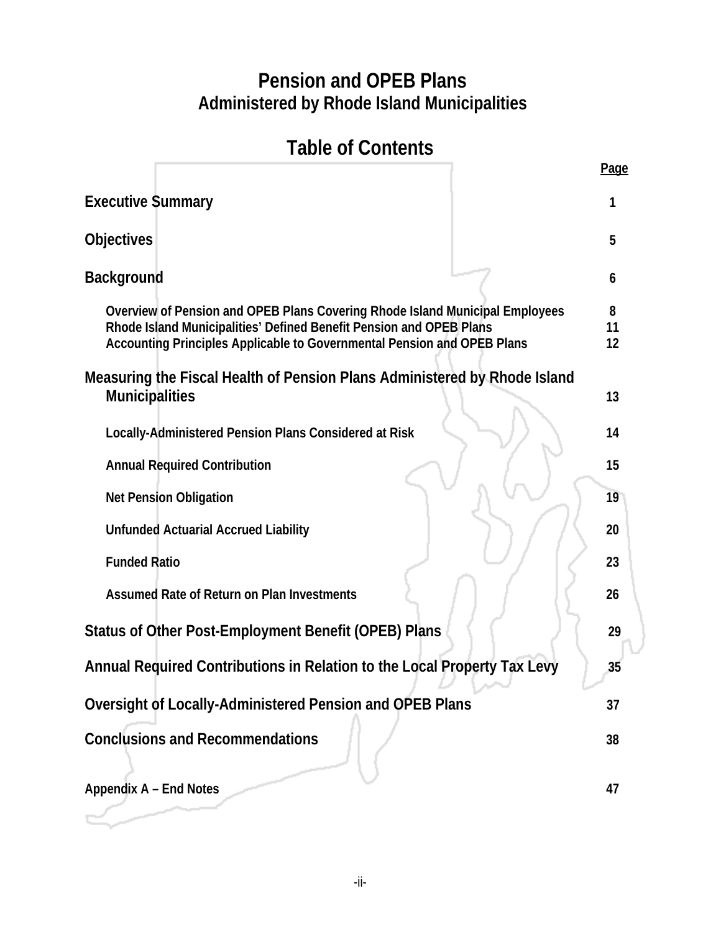# **Pension and OPEB Plans Administered by Rhode Island Municipalities**

# **Table of Contents**

|                                                                                                                                                                                                                                | <b>Page</b>   |
|--------------------------------------------------------------------------------------------------------------------------------------------------------------------------------------------------------------------------------|---------------|
| <b>Executive Summary</b>                                                                                                                                                                                                       |               |
| <b>Objectives</b>                                                                                                                                                                                                              | 5             |
| <b>Background</b>                                                                                                                                                                                                              | 6             |
| Overview of Pension and OPEB Plans Covering Rhode Island Municipal Employees<br>Rhode Island Municipalities' Defined Benefit Pension and OPEB Plans<br>Accounting Principles Applicable to Governmental Pension and OPEB Plans | 8<br>11<br>12 |
| Measuring the Fiscal Health of Pension Plans Administered by Rhode Island<br><b>Municipalities</b>                                                                                                                             | 13            |
| Locally-Administered Pension Plans Considered at Risk                                                                                                                                                                          | 14            |
| <b>Annual Required Contribution</b>                                                                                                                                                                                            | 15            |
| <b>Net Pension Obligation</b>                                                                                                                                                                                                  | 19            |
| <b>Unfunded Actuarial Accrued Liability</b>                                                                                                                                                                                    | 20            |
| <b>Funded Ratio</b>                                                                                                                                                                                                            | 23            |
| Assumed Rate of Return on Plan Investments                                                                                                                                                                                     | 26            |
| Status of Other Post-Employment Benefit (OPEB) Plans                                                                                                                                                                           | 29            |
| Annual Required Contributions in Relation to the Local Property Tax Levy                                                                                                                                                       | 35            |
| Oversight of Locally-Administered Pension and OPEB Plans                                                                                                                                                                       | 37            |
| <b>Conclusions and Recommendations</b>                                                                                                                                                                                         | 38            |
| <b>Appendix A - End Notes</b>                                                                                                                                                                                                  | 47            |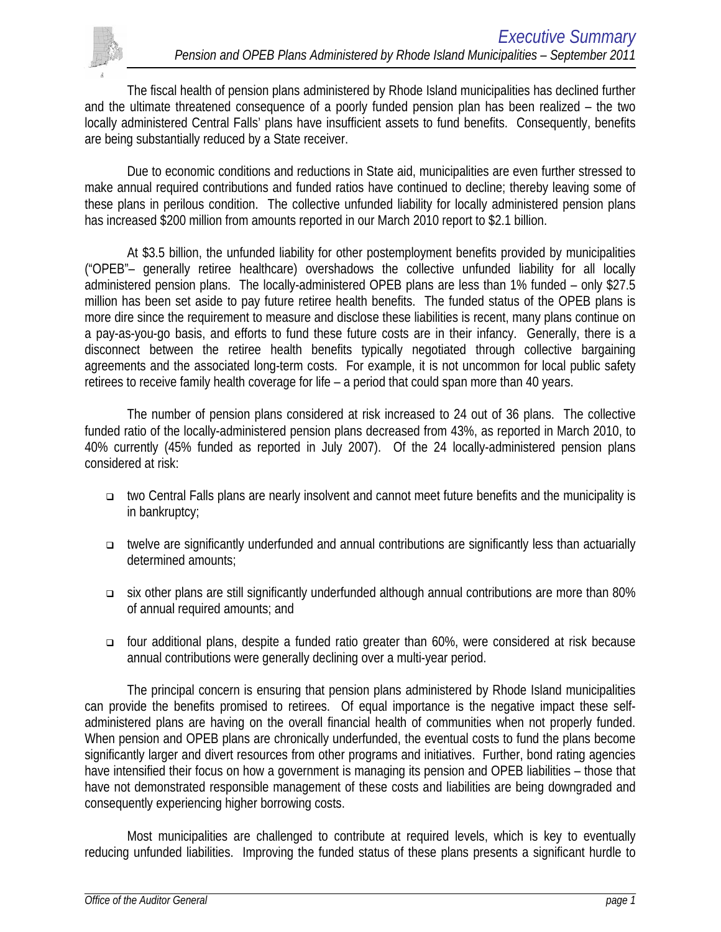

The fiscal health of pension plans administered by Rhode Island municipalities has declined further and the ultimate threatened consequence of a poorly funded pension plan has been realized – the two locally administered Central Falls' plans have insufficient assets to fund benefits. Consequently, benefits are being substantially reduced by a State receiver.

Due to economic conditions and reductions in State aid, municipalities are even further stressed to make annual required contributions and funded ratios have continued to decline; thereby leaving some of these plans in perilous condition. The collective unfunded liability for locally administered pension plans has increased \$200 million from amounts reported in our March 2010 report to \$2.1 billion.

At \$3.5 billion, the unfunded liability for other postemployment benefits provided by municipalities ("OPEB"– generally retiree healthcare) overshadows the collective unfunded liability for all locally administered pension plans. The locally-administered OPEB plans are less than 1% funded – only \$27.5 million has been set aside to pay future retiree health benefits. The funded status of the OPEB plans is more dire since the requirement to measure and disclose these liabilities is recent, many plans continue on a pay-as-you-go basis, and efforts to fund these future costs are in their infancy. Generally, there is a disconnect between the retiree health benefits typically negotiated through collective bargaining agreements and the associated long-term costs. For example, it is not uncommon for local public safety retirees to receive family health coverage for life – a period that could span more than 40 years.

The number of pension plans considered at risk increased to 24 out of 36 plans. The collective funded ratio of the locally-administered pension plans decreased from 43%, as reported in March 2010, to 40% currently (45% funded as reported in July 2007). Of the 24 locally-administered pension plans considered at risk:

- two Central Falls plans are nearly insolvent and cannot meet future benefits and the municipality is in bankruptcy;
- twelve are significantly underfunded and annual contributions are significantly less than actuarially determined amounts;
- six other plans are still significantly underfunded although annual contributions are more than 80% of annual required amounts; and
- four additional plans, despite a funded ratio greater than 60%, were considered at risk because annual contributions were generally declining over a multi-year period.

The principal concern is ensuring that pension plans administered by Rhode Island municipalities can provide the benefits promised to retirees. Of equal importance is the negative impact these selfadministered plans are having on the overall financial health of communities when not properly funded. When pension and OPEB plans are chronically underfunded, the eventual costs to fund the plans become significantly larger and divert resources from other programs and initiatives. Further, bond rating agencies have intensified their focus on how a government is managing its pension and OPEB liabilities – those that have not demonstrated responsible management of these costs and liabilities are being downgraded and consequently experiencing higher borrowing costs.

Most municipalities are challenged to contribute at required levels, which is key to eventually reducing unfunded liabilities. Improving the funded status of these plans presents a significant hurdle to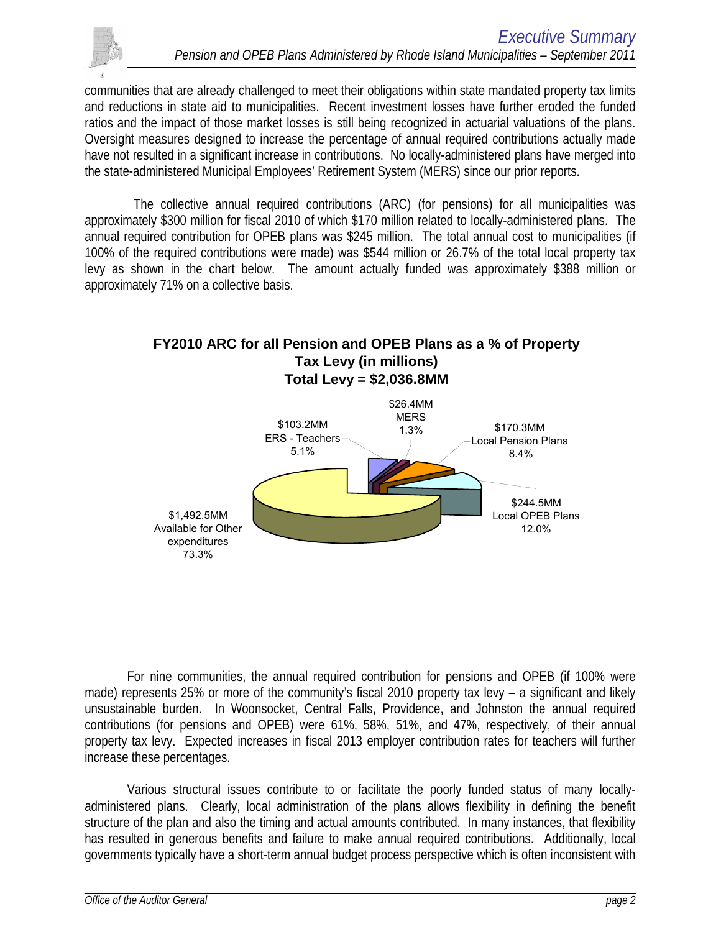

communities that are already challenged to meet their obligations within state mandated property tax limits and reductions in state aid to municipalities. Recent investment losses have further eroded the funded ratios and the impact of those market losses is still being recognized in actuarial valuations of the plans. Oversight measures designed to increase the percentage of annual required contributions actually made have not resulted in a significant increase in contributions. No locally-administered plans have merged into the state-administered Municipal Employees' Retirement System (MERS) since our prior reports.

 The collective annual required contributions (ARC) (for pensions) for all municipalities was approximately \$300 million for fiscal 2010 of which \$170 million related to locally-administered plans. The annual required contribution for OPEB plans was \$245 million. The total annual cost to municipalities (if 100% of the required contributions were made) was \$544 million or 26.7% of the total local property tax levy as shown in the chart below. The amount actually funded was approximately \$388 million or approximately 71% on a collective basis.



For nine communities, the annual required contribution for pensions and OPEB (if 100% were made) represents 25% or more of the community's fiscal 2010 property tax levy – a significant and likely unsustainable burden. In Woonsocket, Central Falls, Providence, and Johnston the annual required contributions (for pensions and OPEB) were 61%, 58%, 51%, and 47%, respectively, of their annual property tax levy. Expected increases in fiscal 2013 employer contribution rates for teachers will further increase these percentages.

Various structural issues contribute to or facilitate the poorly funded status of many locallyadministered plans. Clearly, local administration of the plans allows flexibility in defining the benefit structure of the plan and also the timing and actual amounts contributed. In many instances, that flexibility has resulted in generous benefits and failure to make annual required contributions. Additionally, local governments typically have a short-term annual budget process perspective which is often inconsistent with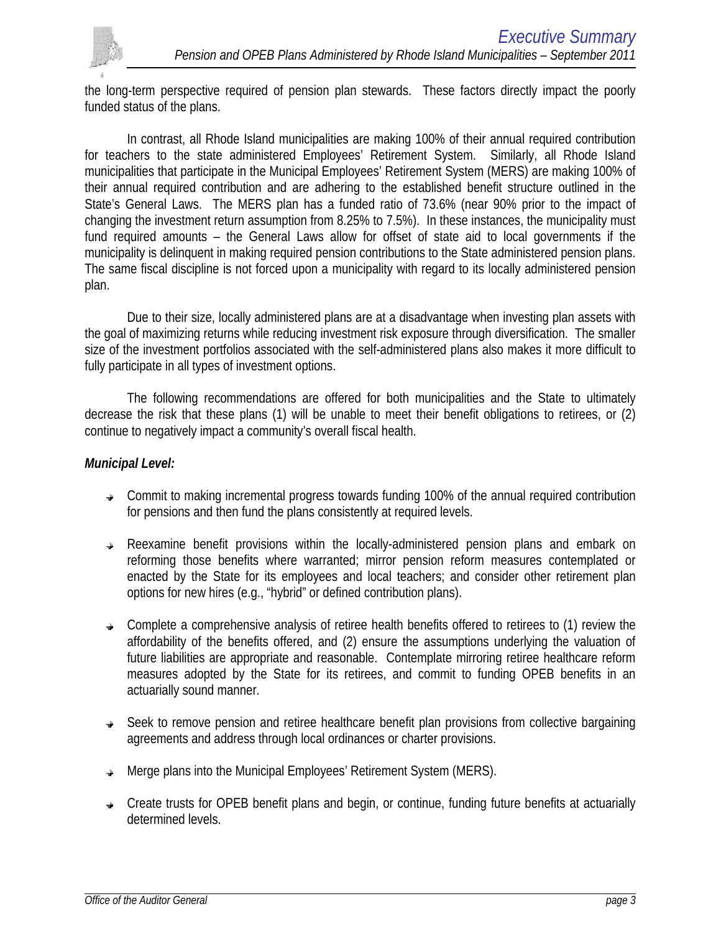

the long-term perspective required of pension plan stewards. These factors directly impact the poorly funded status of the plans.

In contrast, all Rhode Island municipalities are making 100% of their annual required contribution for teachers to the state administered Employees' Retirement System. Similarly, all Rhode Island municipalities that participate in the Municipal Employees' Retirement System (MERS) are making 100% of their annual required contribution and are adhering to the established benefit structure outlined in the State's General Laws. The MERS plan has a funded ratio of 73.6% (near 90% prior to the impact of changing the investment return assumption from 8.25% to 7.5%). In these instances, the municipality must fund required amounts – the General Laws allow for offset of state aid to local governments if the municipality is delinquent in making required pension contributions to the State administered pension plans. The same fiscal discipline is not forced upon a municipality with regard to its locally administered pension plan.

Due to their size, locally administered plans are at a disadvantage when investing plan assets with the goal of maximizing returns while reducing investment risk exposure through diversification. The smaller size of the investment portfolios associated with the self-administered plans also makes it more difficult to fully participate in all types of investment options.

The following recommendations are offered for both municipalities and the State to ultimately decrease the risk that these plans (1) will be unable to meet their benefit obligations to retirees, or (2) continue to negatively impact a community's overall fiscal health.

### *Municipal Level:*

- $\rightarrow$  Commit to making incremental progress towards funding 100% of the annual required contribution for pensions and then fund the plans consistently at required levels.
- Reexamine benefit provisions within the locally-administered pension plans and embark on reforming those benefits where warranted; mirror pension reform measures contemplated or enacted by the State for its employees and local teachers; and consider other retirement plan options for new hires (e.g., "hybrid" or defined contribution plans).
- $\rightarrow$  Complete a comprehensive analysis of retiree health benefits offered to retirees to (1) review the affordability of the benefits offered, and (2) ensure the assumptions underlying the valuation of future liabilities are appropriate and reasonable. Contemplate mirroring retiree healthcare reform measures adopted by the State for its retirees, and commit to funding OPEB benefits in an actuarially sound manner.
- **→** Seek to remove pension and retiree healthcare benefit plan provisions from collective bargaining agreements and address through local ordinances or charter provisions.
- $\rightarrow$  Merge plans into the Municipal Employees' Retirement System (MERS).
- Create trusts for OPEB benefit plans and begin, or continue, funding future benefits at actuarially determined levels.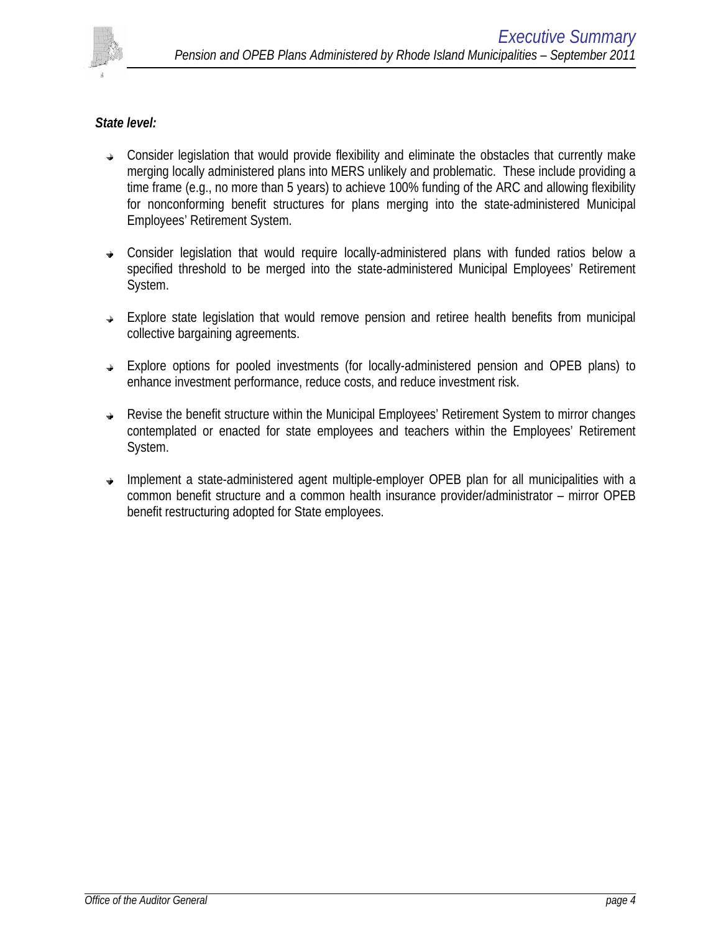

### *State level:*

- $\rightarrow$  Consider legislation that would provide flexibility and eliminate the obstacles that currently make merging locally administered plans into MERS unlikely and problematic. These include providing a time frame (e.g., no more than 5 years) to achieve 100% funding of the ARC and allowing flexibility for nonconforming benefit structures for plans merging into the state-administered Municipal Employees' Retirement System.
- Consider legislation that would require locally-administered plans with funded ratios below a specified threshold to be merged into the state-administered Municipal Employees' Retirement System.
- $\rightarrow$  Explore state legislation that would remove pension and retiree health benefits from municipal collective bargaining agreements.
- Explore options for pooled investments (for locally-administered pension and OPEB plans) to enhance investment performance, reduce costs, and reduce investment risk.
- Revise the benefit structure within the Municipal Employees' Retirement System to mirror changes contemplated or enacted for state employees and teachers within the Employees' Retirement System.
- $\rightarrow$  Implement a state-administered agent multiple-employer OPEB plan for all municipalities with a common benefit structure and a common health insurance provider/administrator – mirror OPEB benefit restructuring adopted for State employees.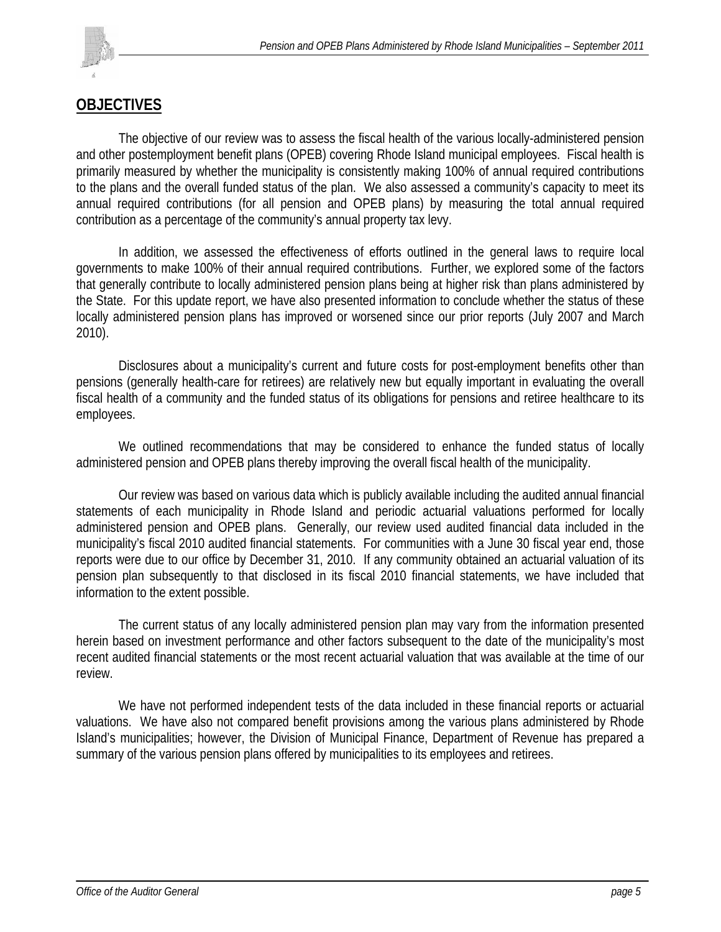

# **OBJECTIVES**

The objective of our review was to assess the fiscal health of the various locally-administered pension and other postemployment benefit plans (OPEB) covering Rhode Island municipal employees. Fiscal health is primarily measured by whether the municipality is consistently making 100% of annual required contributions to the plans and the overall funded status of the plan. We also assessed a community's capacity to meet its annual required contributions (for all pension and OPEB plans) by measuring the total annual required contribution as a percentage of the community's annual property tax levy.

In addition, we assessed the effectiveness of efforts outlined in the general laws to require local governments to make 100% of their annual required contributions. Further, we explored some of the factors that generally contribute to locally administered pension plans being at higher risk than plans administered by the State. For this update report, we have also presented information to conclude whether the status of these locally administered pension plans has improved or worsened since our prior reports (July 2007 and March 2010).

Disclosures about a municipality's current and future costs for post-employment benefits other than pensions (generally health-care for retirees) are relatively new but equally important in evaluating the overall fiscal health of a community and the funded status of its obligations for pensions and retiree healthcare to its employees.

We outlined recommendations that may be considered to enhance the funded status of locally administered pension and OPEB plans thereby improving the overall fiscal health of the municipality.

 Our review was based on various data which is publicly available including the audited annual financial statements of each municipality in Rhode Island and periodic actuarial valuations performed for locally administered pension and OPEB plans. Generally, our review used audited financial data included in the municipality's fiscal 2010 audited financial statements. For communities with a June 30 fiscal year end, those reports were due to our office by December 31, 2010. If any community obtained an actuarial valuation of its pension plan subsequently to that disclosed in its fiscal 2010 financial statements, we have included that information to the extent possible.

The current status of any locally administered pension plan may vary from the information presented herein based on investment performance and other factors subsequent to the date of the municipality's most recent audited financial statements or the most recent actuarial valuation that was available at the time of our review.

 We have not performed independent tests of the data included in these financial reports or actuarial valuations. We have also not compared benefit provisions among the various plans administered by Rhode Island's municipalities; however, the Division of Municipal Finance, Department of Revenue has prepared a summary of the various pension plans offered by municipalities to its employees and retirees.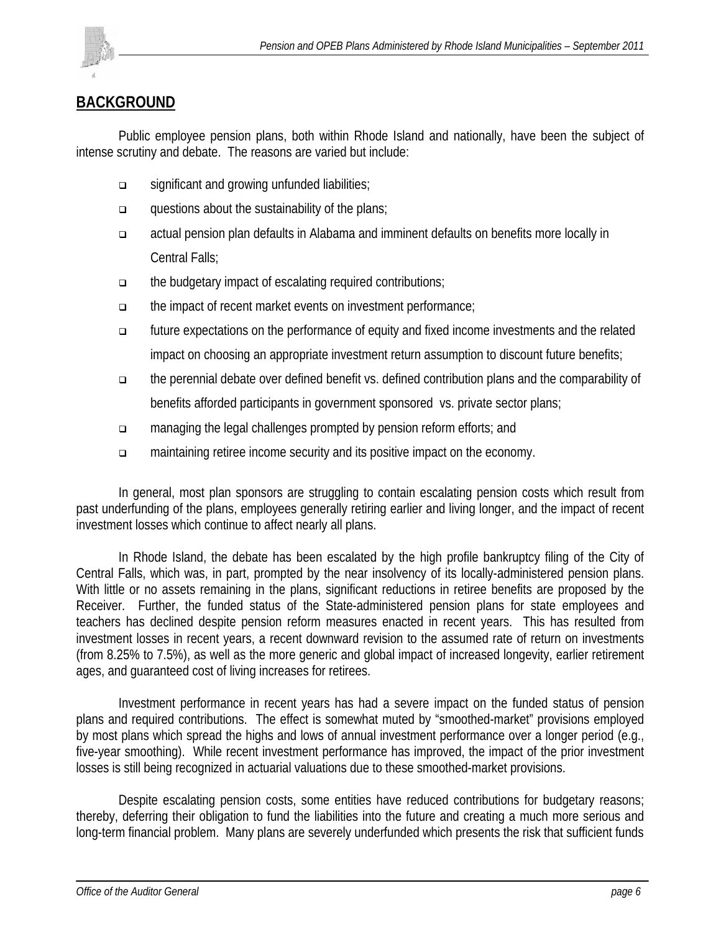

## **BACKGROUND**

 Public employee pension plans, both within Rhode Island and nationally, have been the subject of intense scrutiny and debate. The reasons are varied but include:

- significant and growing unfunded liabilities;
- questions about the sustainability of the plans;
- actual pension plan defaults in Alabama and imminent defaults on benefits more locally in Central Falls;
- the budgetary impact of escalating required contributions;
- the impact of recent market events on investment performance;
- future expectations on the performance of equity and fixed income investments and the related impact on choosing an appropriate investment return assumption to discount future benefits;
- the perennial debate over defined benefit vs. defined contribution plans and the comparability of benefits afforded participants in government sponsored vs. private sector plans;
- managing the legal challenges prompted by pension reform efforts; and
- maintaining retiree income security and its positive impact on the economy.

In general, most plan sponsors are struggling to contain escalating pension costs which result from past underfunding of the plans, employees generally retiring earlier and living longer, and the impact of recent investment losses which continue to affect nearly all plans.

In Rhode Island, the debate has been escalated by the high profile bankruptcy filing of the City of Central Falls, which was, in part, prompted by the near insolvency of its locally-administered pension plans. With little or no assets remaining in the plans, significant reductions in retiree benefits are proposed by the Receiver. Further, the funded status of the State-administered pension plans for state employees and teachers has declined despite pension reform measures enacted in recent years. This has resulted from investment losses in recent years, a recent downward revision to the assumed rate of return on investments (from 8.25% to 7.5%), as well as the more generic and global impact of increased longevity, earlier retirement ages, and guaranteed cost of living increases for retirees.

 Investment performance in recent years has had a severe impact on the funded status of pension plans and required contributions. The effect is somewhat muted by "smoothed-market" provisions employed by most plans which spread the highs and lows of annual investment performance over a longer period (e.g., five-year smoothing). While recent investment performance has improved, the impact of the prior investment losses is still being recognized in actuarial valuations due to these smoothed-market provisions.

Despite escalating pension costs, some entities have reduced contributions for budgetary reasons; thereby, deferring their obligation to fund the liabilities into the future and creating a much more serious and long-term financial problem. Many plans are severely underfunded which presents the risk that sufficient funds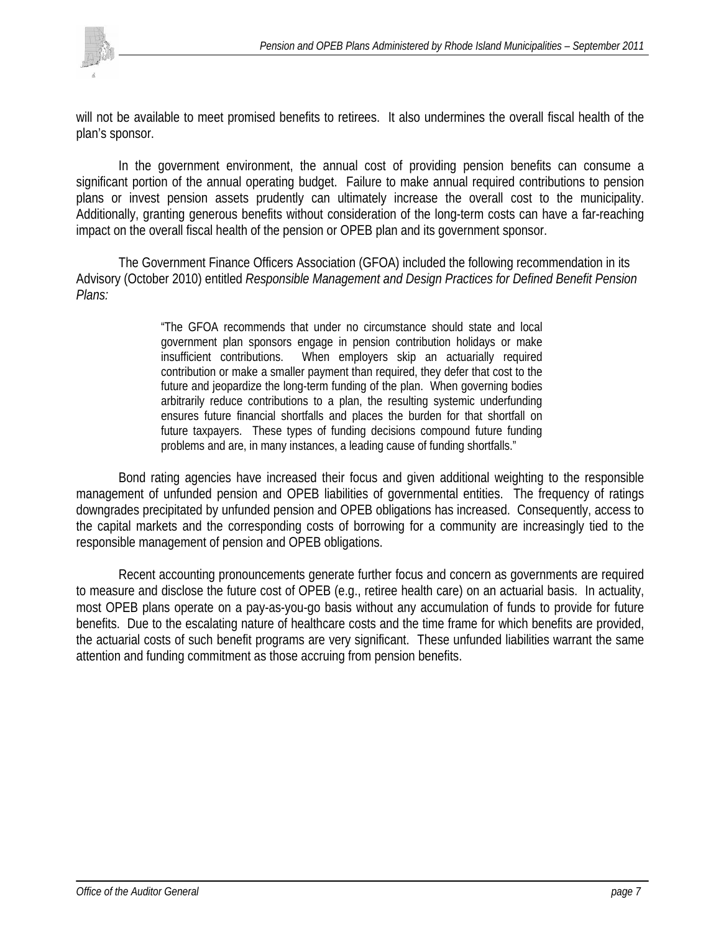

will not be available to meet promised benefits to retirees. It also undermines the overall fiscal health of the plan's sponsor.

 In the government environment, the annual cost of providing pension benefits can consume a significant portion of the annual operating budget. Failure to make annual required contributions to pension plans or invest pension assets prudently can ultimately increase the overall cost to the municipality. Additionally, granting generous benefits without consideration of the long-term costs can have a far-reaching impact on the overall fiscal health of the pension or OPEB plan and its government sponsor.

The Government Finance Officers Association (GFOA) included the following recommendation in its Advisory (October 2010) entitled *Responsible Management and Design Practices for Defined Benefit Pension Plans:*

> "The GFOA recommends that under no circumstance should state and local government plan sponsors engage in pension contribution holidays or make insufficient contributions. When employers skip an actuarially required contribution or make a smaller payment than required, they defer that cost to the future and jeopardize the long-term funding of the plan. When governing bodies arbitrarily reduce contributions to a plan, the resulting systemic underfunding ensures future financial shortfalls and places the burden for that shortfall on future taxpayers. These types of funding decisions compound future funding problems and are, in many instances, a leading cause of funding shortfalls."

Bond rating agencies have increased their focus and given additional weighting to the responsible management of unfunded pension and OPEB liabilities of governmental entities. The frequency of ratings downgrades precipitated by unfunded pension and OPEB obligations has increased. Consequently, access to the capital markets and the corresponding costs of borrowing for a community are increasingly tied to the responsible management of pension and OPEB obligations.

 Recent accounting pronouncements generate further focus and concern as governments are required to measure and disclose the future cost of OPEB (e.g., retiree health care) on an actuarial basis. In actuality, most OPEB plans operate on a pay-as-you-go basis without any accumulation of funds to provide for future benefits. Due to the escalating nature of healthcare costs and the time frame for which benefits are provided, the actuarial costs of such benefit programs are very significant. These unfunded liabilities warrant the same attention and funding commitment as those accruing from pension benefits.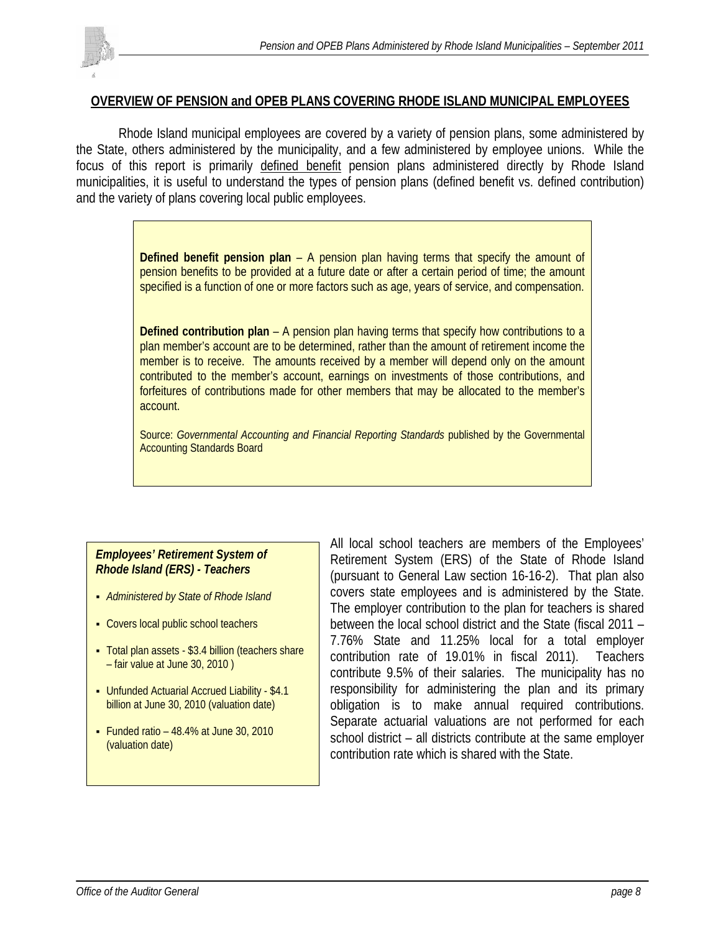### **OVERVIEW OF PENSION and OPEB PLANS COVERING RHODE ISLAND MUNICIPAL EMPLOYEES**

 Rhode Island municipal employees are covered by a variety of pension plans, some administered by the State, others administered by the municipality, and a few administered by employee unions. While the focus of this report is primarily defined benefit pension plans administered directly by Rhode Island municipalities, it is useful to understand the types of pension plans (defined benefit vs. defined contribution) and the variety of plans covering local public employees.

> **Defined benefit pension plan** – A pension plan having terms that specify the amount of pension benefits to be provided at a future date or after a certain period of time; the amount specified is a function of one or more factors such as age, years of service, and compensation.

> **Defined contribution plan** – A pension plan having terms that specify how contributions to a plan member's account are to be determined, rather than the amount of retirement income the member is to receive. The amounts received by a member will depend only on the amount contributed to the member's account, earnings on investments of those contributions, and forfeitures of contributions made for other members that may be allocated to the member's account.

> Source: *Governmental Accounting and Financial Reporting Standards* published by the Governmental Accounting Standards Board

### *Employees' Retirement System of Rhode Island (ERS) - Teachers*

- *Administered by State of Rhode Island*
- Covers local public school teachers
- Total plan assets \$3.4 billion (teachers share – fair value at June 30, 2010 )
- Unfunded Actuarial Accrued Liability \$4.1 billion at June 30, 2010 (valuation date)
- Funded ratio  $-48.4\%$  at June 30, 2010 (valuation date)

All local school teachers are members of the Employees' Retirement System (ERS) of the State of Rhode Island (pursuant to General Law section 16-16-2). That plan also covers state employees and is administered by the State. The employer contribution to the plan for teachers is shared between the local school district and the State (fiscal 2011 – 7.76% State and 11.25% local for a total employer contribution rate of 19.01% in fiscal 2011). Teachers contribute 9.5% of their salaries. The municipality has no responsibility for administering the plan and its primary obligation is to make annual required contributions. Separate actuarial valuations are not performed for each school district – all districts contribute at the same employer contribution rate which is shared with the State.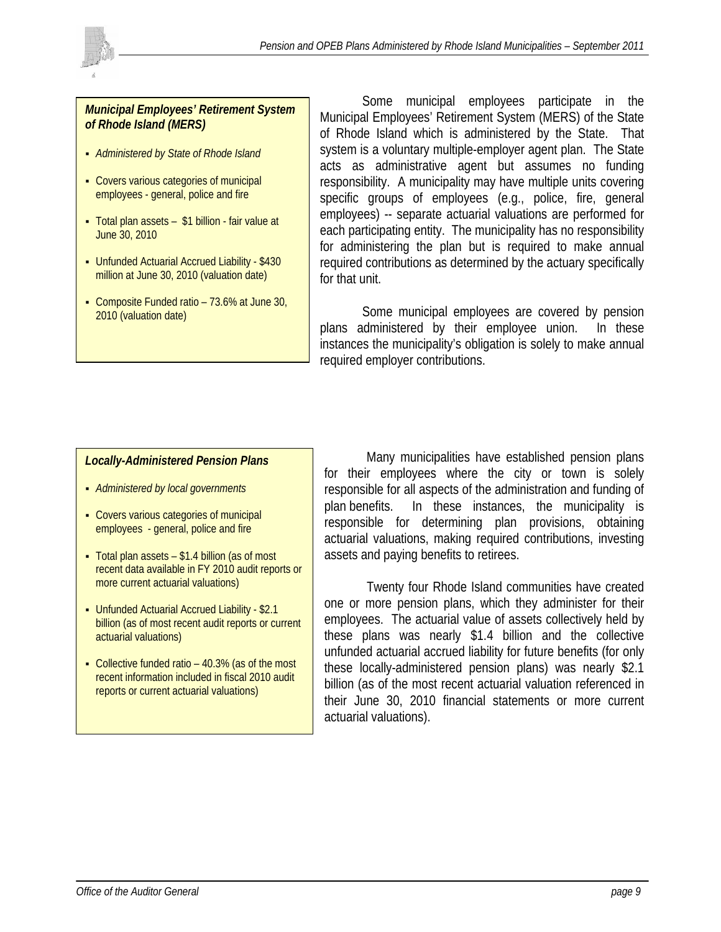



- *Administered by State of Rhode Island*
- Covers various categories of municipal employees - general, police and fire
- Total plan assets \$1 billion fair value at June 30, 2010
- Unfunded Actuarial Accrued Liability \$430 million at June 30, 2010 (valuation date)
- Composite Funded ratio 73.6% at June 30, 2010 (valuation date)

Some municipal employees participate in the Municipal Employees' Retirement System (MERS) of the State of Rhode Island which is administered by the State. That system is a voluntary multiple-employer agent plan. The State acts as administrative agent but assumes no funding responsibility. A municipality may have multiple units covering specific groups of employees (e.g., police, fire, general employees) -- separate actuarial valuations are performed for each participating entity. The municipality has no responsibility for administering the plan but is required to make annual required contributions as determined by the actuary specifically for that unit.

Some municipal employees are covered by pension plans administered by their employee union. In these instances the municipality's obligation is solely to make annual required employer contributions.

#### *Locally-Administered Pension Plans*

- *Administered by local governments*
- Covers various categories of municipal employees - general, police and fire
- Total plan assets \$1.4 billion (as of most recent data available in FY 2010 audit reports or more current actuarial valuations)
- Unfunded Actuarial Accrued Liability \$2.1 billion (as of most recent audit reports or current actuarial valuations)
- Collective funded ratio 40.3% (as of the most recent information included in fiscal 2010 audit reports or current actuarial valuations)

Many municipalities have established pension plans for their employees where the city or town is solely responsible for all aspects of the administration and funding of plan benefits. In these instances, the municipality is responsible for determining plan provisions, obtaining actuarial valuations, making required contributions, investing assets and paying benefits to retirees.

 Twenty four Rhode Island communities have created one or more pension plans, which they administer for their employees. The actuarial value of assets collectively held by these plans was nearly \$1.4 billion and the collective unfunded actuarial accrued liability for future benefits (for only these locally-administered pension plans) was nearly \$2.1 billion (as of the most recent actuarial valuation referenced in their June 30, 2010 financial statements or more current actuarial valuations).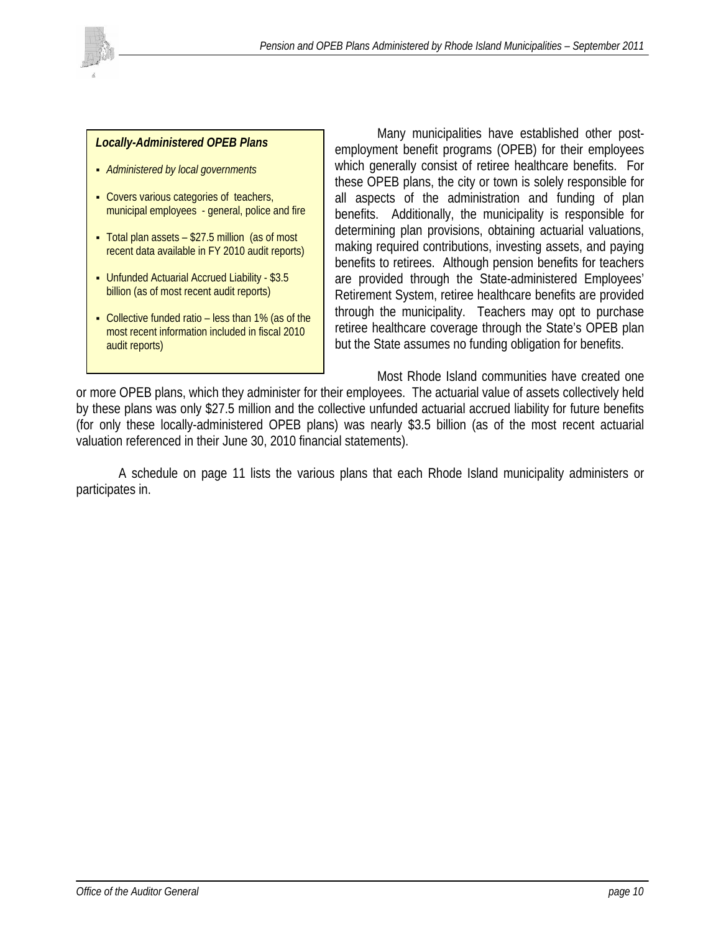

#### *Locally-Administered OPEB Plans*

- *Administered by local governments*
- Covers various categories of teachers, municipal employees - general, police and fire
- Total plan assets \$27.5 million (as of most recent data available in FY 2010 audit reports)
- Unfunded Actuarial Accrued Liability \$3.5 billion (as of most recent audit reports)
- Collective funded ratio less than 1% (as of the most recent information included in fiscal 2010 audit reports)

 Many municipalities have established other postemployment benefit programs (OPEB) for their employees which generally consist of retiree healthcare benefits. For these OPEB plans, the city or town is solely responsible for all aspects of the administration and funding of plan benefits. Additionally, the municipality is responsible for determining plan provisions, obtaining actuarial valuations, making required contributions, investing assets, and paying benefits to retirees. Although pension benefits for teachers are provided through the State-administered Employees' Retirement System, retiree healthcare benefits are provided through the municipality. Teachers may opt to purchase retiree healthcare coverage through the State's OPEB plan but the State assumes no funding obligation for benefits.

 Most Rhode Island communities have created one or more OPEB plans, which they administer for their employees. The actuarial value of assets collectively held by these plans was only \$27.5 million and the collective unfunded actuarial accrued liability for future benefits (for only these locally-administered OPEB plans) was nearly \$3.5 billion (as of the most recent actuarial valuation referenced in their June 30, 2010 financial statements).

 A schedule on page 11 lists the various plans that each Rhode Island municipality administers or participates in.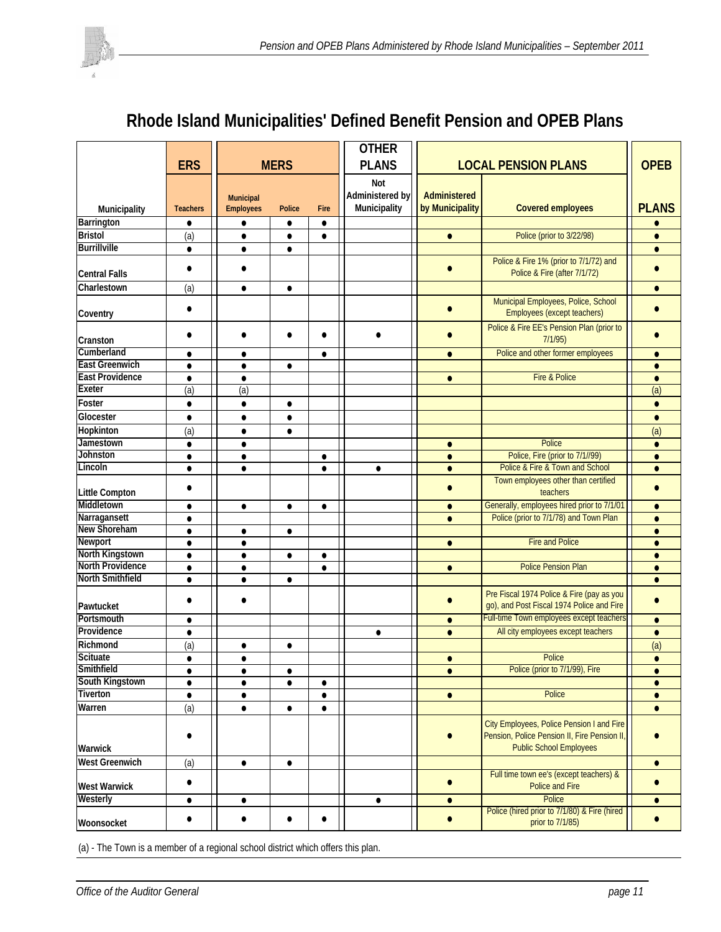# **Rhode Island Municipalities' Defined Benefit Pension and OPEB Plans**

|                         | <b>ERS</b>      |                  | <b>MERS</b>   |           | <b>OTHER</b><br><b>PLANS</b> |                 | <b>OPEB</b>                                                                                                                 |              |
|-------------------------|-----------------|------------------|---------------|-----------|------------------------------|-----------------|-----------------------------------------------------------------------------------------------------------------------------|--------------|
|                         |                 |                  |               |           |                              |                 | <b>LOCAL PENSION PLANS</b>                                                                                                  |              |
|                         |                 |                  |               |           | Not                          |                 |                                                                                                                             |              |
|                         |                 | Municipal        |               |           | Administered by              | Administered    |                                                                                                                             |              |
| Municipality            | <b>Teachers</b> | <b>Employees</b> | <b>Police</b> | Fire      | Municipality                 | by Municipality | <b>Covered employees</b>                                                                                                    | <b>PLANS</b> |
| <b>Barrington</b>       | $\bullet$       | $\bullet$        | $\bullet$     | $\bullet$ |                              |                 |                                                                                                                             |              |
| <b>Bristol</b>          | (a)             | $\bullet$        | $\bullet$     | $\bullet$ |                              | $\bullet$       | Police (prior to 3/22/98)                                                                                                   | $\bullet$    |
| <b>Burrillville</b>     | $\bullet$       | $\bullet$        | $\bullet$     |           |                              |                 |                                                                                                                             | $\bullet$    |
| <b>Central Falls</b>    | $\bullet$       | $\bullet$        |               |           |                              | $\bullet$       | Police & Fire 1% (prior to 7/1/72) and<br>Police & Fire (after 7/1/72)                                                      | $\bullet$    |
| Charlestown             | (a)             | $\bullet$        | $\bullet$     |           |                              |                 |                                                                                                                             | $\bullet$    |
| Coventry                | $\bullet$       |                  |               |           |                              |                 | Municipal Employees, Police, School<br>Employees (except teachers)                                                          |              |
|                         |                 |                  |               |           |                              |                 | Police & Fire EE's Pension Plan (prior to                                                                                   |              |
| Cranston                | $\bullet$       |                  | $\bullet$     |           | $\bullet$                    |                 | 7/1/95                                                                                                                      |              |
| Cumberland              | $\bullet$       | $\bullet$        |               | $\bullet$ |                              | $\bullet$       | Police and other former employees                                                                                           | $\bullet$    |
| <b>East Greenwich</b>   | $\bullet$       | $\bullet$        | $\bullet$     |           |                              |                 |                                                                                                                             | $\bullet$    |
| <b>East Providence</b>  | $\bullet$       | $\bullet$        |               |           |                              | $\bullet$       | Fire & Police                                                                                                               | $\bullet$    |
| <b>Exeter</b>           | (a)             | (a)              |               |           |                              |                 |                                                                                                                             | (a)          |
| Foster                  | $\bullet$       | $\bullet$        | $\bullet$     |           |                              |                 |                                                                                                                             | $\bullet$    |
| Glocester               | $\bullet$       | $\bullet$        | $\bullet$     |           |                              |                 |                                                                                                                             | $\bullet$    |
| Hopkinton               | (a)             | $\bullet$        | $\bullet$     |           |                              |                 |                                                                                                                             | (a)          |
| Jamestown               | $\bullet$       | $\bullet$        |               |           |                              | $\bullet$       | Police                                                                                                                      | $\bullet$    |
| <b>Johnston</b>         | $\bullet$       | $\bullet$        |               | $\bullet$ |                              | $\bullet$       | Police, Fire (prior to 7/1//99)                                                                                             | $\bullet$    |
| Lincoln                 | $\bullet$       | $\bullet$        |               | $\bullet$ | $\bullet$                    | $\bullet$       | Police & Fire & Town and School                                                                                             | $\bullet$    |
| <b>Little Compton</b>   | $\bullet$       |                  |               |           |                              | $\bullet$       | Town employees other than certified<br>teachers                                                                             | $\bullet$    |
| Middletown              | $\bullet$       | $\bullet$        | $\bullet$     | $\bullet$ |                              | $\bullet$       | Generally, employees hired prior to 7/1/01                                                                                  | $\bullet$    |
| Narragansett            | $\bullet$       |                  |               |           |                              | $\bullet$       | Police (prior to 7/1/78) and Town Plan                                                                                      | $\bullet$    |
| New Shoreham            | $\bullet$       | $\bullet$        | $\bullet$     |           |                              |                 |                                                                                                                             | $\bullet$    |
| <b>Newport</b>          | $\bullet$       | $\bullet$        |               |           |                              | $\bullet$       | <b>Fire and Police</b>                                                                                                      | $\bullet$    |
| North Kingstown         | $\bullet$       | $\bullet$        | $\bullet$     | $\bullet$ |                              |                 |                                                                                                                             | $\bullet$    |
| <b>North Providence</b> | $\bullet$       | $\bullet$        |               | $\bullet$ |                              | $\bullet$       | <b>Police Pension Plan</b>                                                                                                  | $\bullet$    |
| <b>North Smithfield</b> | $\bullet$       | $\bullet$        | $\bullet$     |           |                              |                 |                                                                                                                             | $\bullet$    |
| Pawtucket               | $\bullet$       | ٠                |               |           |                              |                 | Pre Fiscal 1974 Police & Fire (pay as you<br>go), and Post Fiscal 1974 Police and Fire                                      | $\bullet$    |
| Portsmouth              | $\bullet$       |                  |               |           |                              | $\bullet$       | Full-time Town employees except teachers                                                                                    | $\bullet$    |
| Providence              | $\bullet$       |                  |               |           | $\bullet$                    | $\bullet$       | All city employees except teachers                                                                                          | $\bullet$    |
| Richmond                | (a)             | $\bullet$        | $\bullet$     |           |                              |                 |                                                                                                                             | (a)          |
| <b>Scituate</b>         | $\bullet$       | $\bullet$        |               |           |                              | $\bullet$       | Police                                                                                                                      | $\bullet$    |
| Smithfield              |                 |                  |               |           |                              |                 | Police (prior to 7/1/99), Fire                                                                                              |              |
| South Kingstown         | $\bullet$       | $\bullet$        | $\bullet$     | $\bullet$ |                              |                 |                                                                                                                             | $\bullet$    |
| Tiverton                | $\bullet$       | $\bullet$        |               | $\bullet$ |                              | $\bullet$       | Police                                                                                                                      | $\bullet$    |
| Warren                  | (a)             | $\bullet$        | $\bullet$     | $\bullet$ |                              |                 |                                                                                                                             | $\bullet$    |
| Warwick                 |                 |                  |               |           |                              |                 | City Employees, Police Pension I and Fire<br>Pension, Police Pension II, Fire Pension II,<br><b>Public School Employees</b> |              |
| West Greenwich          | (a)             | $\bullet$        | $\bullet$     |           |                              |                 |                                                                                                                             | $\bullet$    |
| <b>West Warwick</b>     | $\bullet$       |                  |               |           |                              | $\bullet$       | Full time town ee's (except teachers) &<br><b>Police and Fire</b>                                                           | $\bullet$    |
| Westerly                | $\bullet$       | $\bullet$        |               |           | $\bullet$                    | $\bullet$       | Police                                                                                                                      | $\bullet$    |
| Woonsocket              | $\bullet$       | $\bullet$        | $\bullet$     | $\bullet$ |                              | $\bullet$       | Police (hired prior to 7/1/80) & Fire (hired<br>prior to 7/1/85)                                                            | $\bullet$    |

(a) - The Town is a member of a regional school district which offers this plan.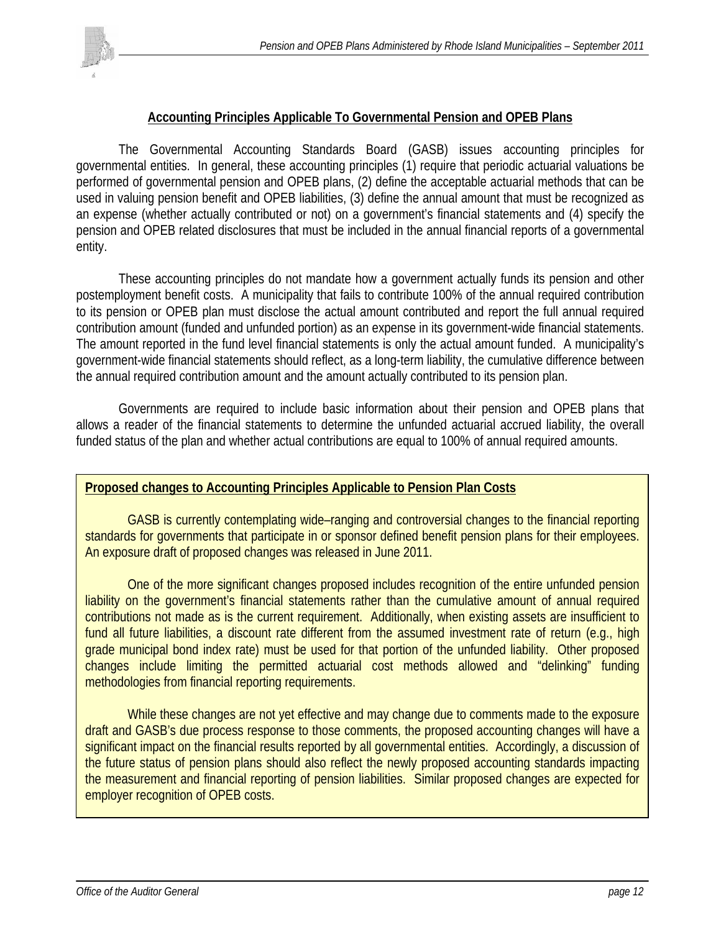

### **Accounting Principles Applicable To Governmental Pension and OPEB Plans**

 The Governmental Accounting Standards Board (GASB) issues accounting principles for governmental entities. In general, these accounting principles (1) require that periodic actuarial valuations be performed of governmental pension and OPEB plans, (2) define the acceptable actuarial methods that can be used in valuing pension benefit and OPEB liabilities, (3) define the annual amount that must be recognized as an expense (whether actually contributed or not) on a government's financial statements and (4) specify the pension and OPEB related disclosures that must be included in the annual financial reports of a governmental entity.

 These accounting principles do not mandate how a government actually funds its pension and other postemployment benefit costs. A municipality that fails to contribute 100% of the annual required contribution to its pension or OPEB plan must disclose the actual amount contributed and report the full annual required contribution amount (funded and unfunded portion) as an expense in its government-wide financial statements. The amount reported in the fund level financial statements is only the actual amount funded. A municipality's government-wide financial statements should reflect, as a long-term liability, the cumulative difference between the annual required contribution amount and the amount actually contributed to its pension plan.

Governments are required to include basic information about their pension and OPEB plans that allows a reader of the financial statements to determine the unfunded actuarial accrued liability, the overall funded status of the plan and whether actual contributions are equal to 100% of annual required amounts.

### **Proposed changes to Accounting Principles Applicable to Pension Plan Costs**

GASB is currently contemplating wide–ranging and controversial changes to the financial reporting standards for governments that participate in or sponsor defined benefit pension plans for their employees. An exposure draft of proposed changes was released in June 2011.

One of the more significant changes proposed includes recognition of the entire unfunded pension liability on the government's financial statements rather than the cumulative amount of annual required contributions not made as is the current requirement. Additionally, when existing assets are insufficient to fund all future liabilities, a discount rate different from the assumed investment rate of return (e.g., high grade municipal bond index rate) must be used for that portion of the unfunded liability. Other proposed changes include limiting the permitted actuarial cost methods allowed and "delinking" funding methodologies from financial reporting requirements.

While these changes are not yet effective and may change due to comments made to the exposure draft and GASB's due process response to those comments, the proposed accounting changes will have a significant impact on the financial results reported by all governmental entities. Accordingly, a discussion of the future status of pension plans should also reflect the newly proposed accounting standards impacting the measurement and financial reporting of pension liabilities. Similar proposed changes are expected for employer recognition of OPEB costs.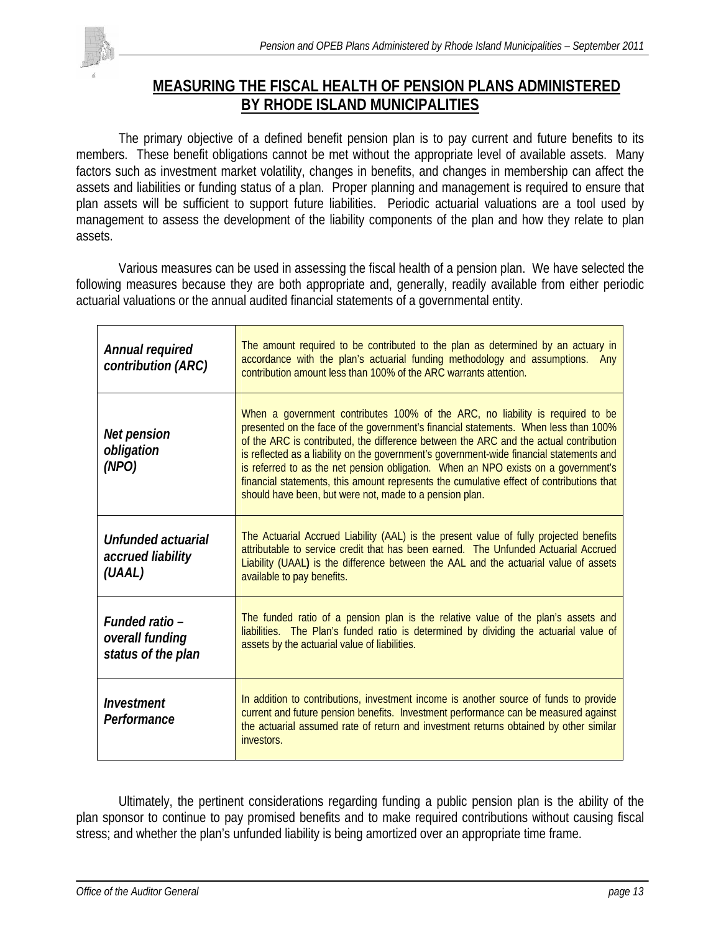

# **MEASURING THE FISCAL HEALTH OF PENSION PLANS ADMINISTERED BY RHODE ISLAND MUNICIPALITIES**

 The primary objective of a defined benefit pension plan is to pay current and future benefits to its members. These benefit obligations cannot be met without the appropriate level of available assets. Many factors such as investment market volatility, changes in benefits, and changes in membership can affect the assets and liabilities or funding status of a plan. Proper planning and management is required to ensure that plan assets will be sufficient to support future liabilities. Periodic actuarial valuations are a tool used by management to assess the development of the liability components of the plan and how they relate to plan assets.

 Various measures can be used in assessing the fiscal health of a pension plan. We have selected the following measures because they are both appropriate and, generally, readily available from either periodic actuarial valuations or the annual audited financial statements of a governmental entity.

| Annual required<br>contribution (ARC)                   | The amount required to be contributed to the plan as determined by an actuary in<br>accordance with the plan's actuarial funding methodology and assumptions.<br>Any<br>contribution amount less than 100% of the ARC warrants attention.                                                                                                                                                                                                                                                                                                                                                              |
|---------------------------------------------------------|--------------------------------------------------------------------------------------------------------------------------------------------------------------------------------------------------------------------------------------------------------------------------------------------------------------------------------------------------------------------------------------------------------------------------------------------------------------------------------------------------------------------------------------------------------------------------------------------------------|
| Net pension<br>obligation<br>(NPO)                      | When a government contributes 100% of the ARC, no liability is required to be<br>presented on the face of the government's financial statements. When less than 100%<br>of the ARC is contributed, the difference between the ARC and the actual contribution<br>is reflected as a liability on the government's government-wide financial statements and<br>is referred to as the net pension obligation. When an NPO exists on a government's<br>financial statements, this amount represents the cumulative effect of contributions that<br>should have been, but were not, made to a pension plan. |
| Unfunded actuarial<br>accrued liability<br>(UAAL)       | The Actuarial Accrued Liability (AAL) is the present value of fully projected benefits<br>attributable to service credit that has been earned. The Unfunded Actuarial Accrued<br>Liability (UAAL) is the difference between the AAL and the actuarial value of assets<br>available to pay benefits.                                                                                                                                                                                                                                                                                                    |
| Funded ratio -<br>overall funding<br>status of the plan | The funded ratio of a pension plan is the relative value of the plan's assets and<br>liabilities. The Plan's funded ratio is determined by dividing the actuarial value of<br>assets by the actuarial value of liabilities.                                                                                                                                                                                                                                                                                                                                                                            |
| Investment<br>Performance                               | In addition to contributions, investment income is another source of funds to provide<br>current and future pension benefits. Investment performance can be measured against<br>the actuarial assumed rate of return and investment returns obtained by other similar<br>investors.                                                                                                                                                                                                                                                                                                                    |

 Ultimately, the pertinent considerations regarding funding a public pension plan is the ability of the plan sponsor to continue to pay promised benefits and to make required contributions without causing fiscal stress; and whether the plan's unfunded liability is being amortized over an appropriate time frame.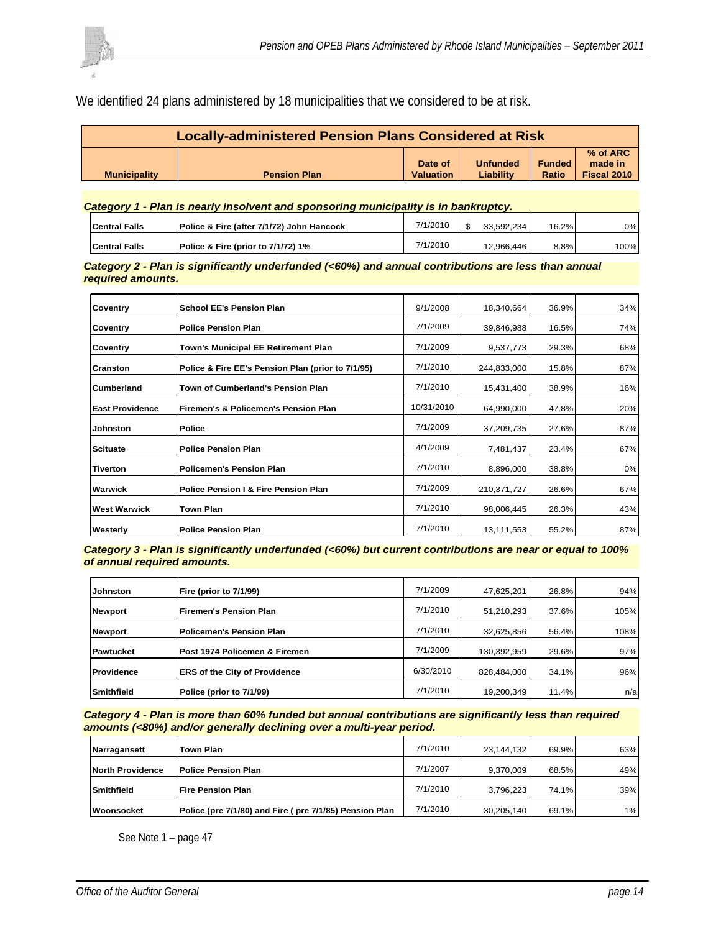We identified 24 plans administered by 18 municipalities that we considered to be at risk.

| Locally-administered Pension Plans Considered at Risk |                     |                  |                 |               |             |  |  |  |  |
|-------------------------------------------------------|---------------------|------------------|-----------------|---------------|-------------|--|--|--|--|
|                                                       |                     |                  |                 |               | % of ARC    |  |  |  |  |
|                                                       |                     | Date of          | <b>Unfunded</b> | <b>Funded</b> | made in     |  |  |  |  |
| <b>Municipality</b>                                   | <b>Pension Plan</b> | <b>Valuation</b> | Liability       | Ratio         | Fiscal 2010 |  |  |  |  |

#### *Category 1 - Plan is nearly insolvent and sponsoring municipality is in bankruptcy.*

| <b>ICentral Falls</b> | Police & Fire (after 7/1/72) John Hancock | 7/1/2010 | 33.592.234 | 16.2% | 0%I  |
|-----------------------|-------------------------------------------|----------|------------|-------|------|
| <b>ICentral Falls</b> | IPolice & Fire (prior to 7/1/72) 1%       | 7/1/2010 | 12,966,446 | 8.8%  | 100% |

*Category 2 - Plan is significantly underfunded (<60%) and annual contributions are less than annual required amounts.*

| Coventry               | School EE's Pension Plan                          | 9/1/2008   | 18,340,664  | 36.9% | 34% |
|------------------------|---------------------------------------------------|------------|-------------|-------|-----|
| Coventry               | <b>Police Pension Plan</b>                        | 7/1/2009   | 39,846,988  | 16.5% | 74% |
| Coventry               | Town's Municipal EE Retirement Plan               | 7/1/2009   | 9,537,773   | 29.3% | 68% |
| Cranston               | Police & Fire EE's Pension Plan (prior to 7/1/95) | 7/1/2010   | 244,833,000 | 15.8% | 87% |
| Cumberland             | Town of Cumberland's Pension Plan                 | 7/1/2010   | 15,431,400  | 38.9% | 16% |
| <b>East Providence</b> | Firemen's & Policemen's Pension Plan              | 10/31/2010 | 64,990,000  | 47.8% | 20% |
| Johnston               | <b>Police</b>                                     | 7/1/2009   | 37,209,735  | 27.6% | 87% |
| <b>Scituate</b>        | <b>Police Pension Plan</b>                        | 4/1/2009   | 7,481,437   | 23.4% | 67% |
| <b>Tiverton</b>        | Policemen's Pension Plan                          | 7/1/2010   | 8,896,000   | 38.8% | 0%  |
| Warwick                | Police Pension I & Fire Pension Plan              | 7/1/2009   | 210,371,727 | 26.6% | 67% |
| <b>West Warwick</b>    | Town Plan                                         | 7/1/2010   | 98,006,445  | 26.3% | 43% |
| Westerly               | <b>Police Pension Plan</b>                        | 7/1/2010   | 13,111,553  | 55.2% | 87% |

*Category 3 - Plan is significantly underfunded (<60%) but current contributions are near or equal to 100% of annual required amounts.*

| <b>Johnston</b>   | Fire (prior to 7/1/99)        | 7/1/2009  | 47,625,201  | 26.8% | 94%  |
|-------------------|-------------------------------|-----------|-------------|-------|------|
| Newport           | <b>Firemen's Pension Plan</b> | 7/1/2010  | 51,210,293  | 37.6% | 105% |
| Newport           | Policemen's Pension Plan      | 7/1/2010  | 32,625,856  | 56.4% | 108% |
| Pawtucket         | Post 1974 Policemen & Firemen | 7/1/2009  | 130,392,959 | 29.6% | 97%  |
| <b>Providence</b> | ERS of the City of Providence | 6/30/2010 | 828,484,000 | 34.1% | 96%  |
| <b>Smithfield</b> | Police (prior to 7/1/99)      | 7/1/2010  | 19,200,349  | 11.4% | n/a  |

*Category 4 - Plan is more than 60% funded but annual contributions are significantly less than required amounts (<80%) and/or generally declining over a multi-year period.* 

| Narragansett            | Town Plan                                              | 7/1/2010 | 23.144.132 | 69.9% | 63% |
|-------------------------|--------------------------------------------------------|----------|------------|-------|-----|
| <b>North Providence</b> | <b>Police Pension Plan</b>                             | 7/1/2007 | 9.370.009  | 68.5% | 49% |
| <b>Smithfield</b>       | <b>Fire Pension Plan</b>                               | 7/1/2010 | 3,796,223  | 74.1% | 39% |
| Woonsocket              | Police (pre 7/1/80) and Fire (pre 7/1/85) Pension Plan | 7/1/2010 | 30,205,140 | 69.1% | 1%  |

See Note 1 – page 47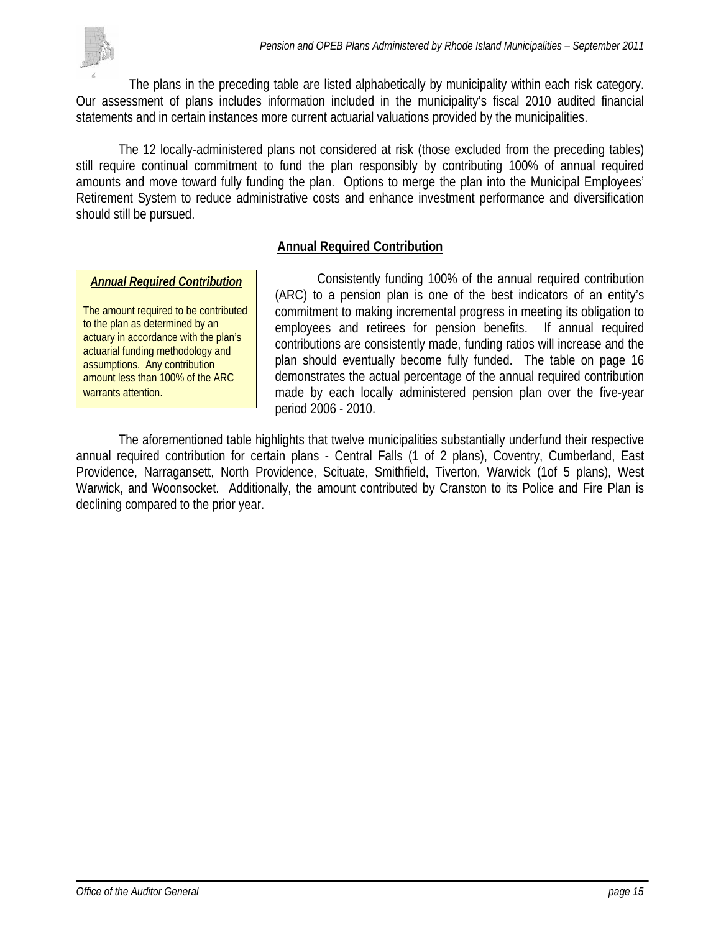The plans in the preceding table are listed alphabetically by municipality within each risk category. Our assessment of plans includes information included in the municipality's fiscal 2010 audited financial statements and in certain instances more current actuarial valuations provided by the municipalities.

 The 12 locally-administered plans not considered at risk (those excluded from the preceding tables) still require continual commitment to fund the plan responsibly by contributing 100% of annual required amounts and move toward fully funding the plan. Options to merge the plan into the Municipal Employees' Retirement System to reduce administrative costs and enhance investment performance and diversification should still be pursued.

### **Annual Required Contribution**

#### *Annual Required Contribution*

The amount required to be contributed to the plan as determined by an actuary in accordance with the plan's actuarial funding methodology and assumptions. Any contribution amount less than 100% of the ARC warrants attention.

 Consistently funding 100% of the annual required contribution (ARC) to a pension plan is one of the best indicators of an entity's commitment to making incremental progress in meeting its obligation to employees and retirees for pension benefits. If annual required contributions are consistently made, funding ratios will increase and the plan should eventually become fully funded. The table on page 16 demonstrates the actual percentage of the annual required contribution made by each locally administered pension plan over the five-year period 2006 - 2010.

 The aforementioned table highlights that twelve municipalities substantially underfund their respective annual required contribution for certain plans - Central Falls (1 of 2 plans), Coventry, Cumberland, East Providence, Narragansett, North Providence, Scituate, Smithfield, Tiverton, Warwick (1of 5 plans), West Warwick, and Woonsocket. Additionally, the amount contributed by Cranston to its Police and Fire Plan is declining compared to the prior year.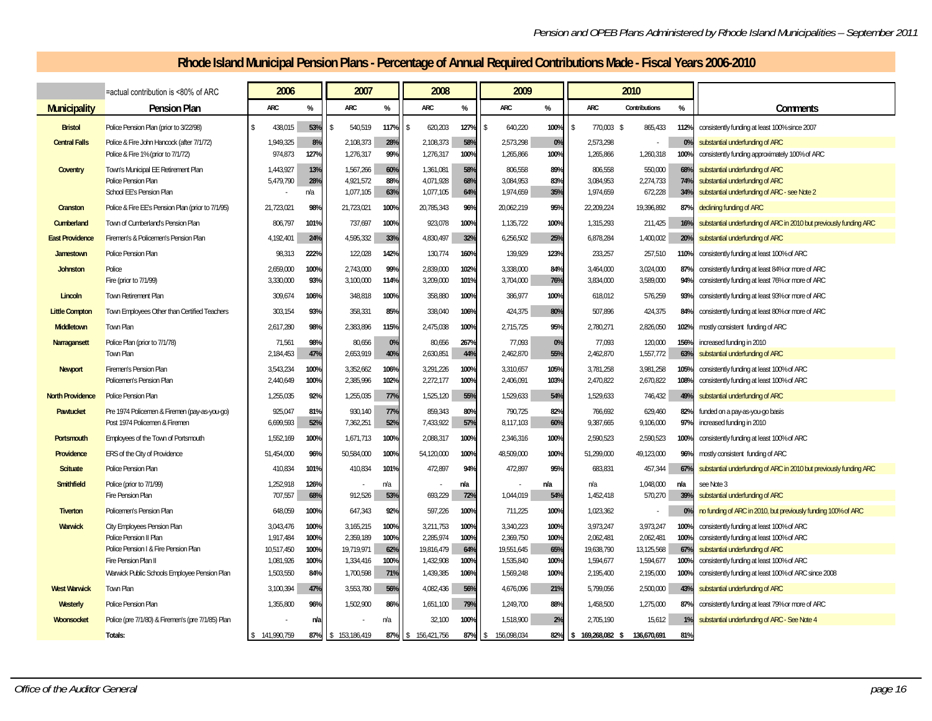# **Rhode Island Municipal Pension Plans - Percentage of Annual Required Contributions Made - Fiscal Years 2006-2010**

|                         | =actual contribution is <80% of ARC                                                           | 2006                   |                   | 2007                                |                   | 2008                                |                   | 2009                              |                   |            |                                   | 2010                            |                   |                                                                                                                    |
|-------------------------|-----------------------------------------------------------------------------------------------|------------------------|-------------------|-------------------------------------|-------------------|-------------------------------------|-------------------|-----------------------------------|-------------------|------------|-----------------------------------|---------------------------------|-------------------|--------------------------------------------------------------------------------------------------------------------|
| <b>Municipality</b>     | <b>Pension Plan</b>                                                                           | ARC                    | %                 | <b>ARC</b>                          | $\%$              | <b>ARC</b>                          | $\%$              | <b>ARC</b>                        | %                 | <b>ARC</b> |                                   | Contributions                   | %                 | Comments                                                                                                           |
| <b>Bristol</b>          | Police Pension Plan (prior to 3/22/98)                                                        | 438.015                | 53%               | 540.519                             | 117%              | 620.203                             | 127%              | 640,220                           | 100%              | ۱۹         | 770.003 \$                        | 865,433                         | 112%              | consistently funding at least 100% since 2007                                                                      |
| <b>Central Falls</b>    | Police & Fire John Hancock (after 7/1/72)                                                     | 1,949,325              | 8%                | 2,108,373                           | 28%               | 2,108,373                           | 58%               | 2,573,298                         | 0%                |            | 2,573,298                         |                                 | 0%                | substantial underfunding of ARC                                                                                    |
|                         | Police & Fire 1% (prior to 7/1/72)                                                            | 974,873                | 127%              | 1,276,317                           | 99%               | 1,276,317                           | 100%              | 1,265,866                         | 100%              |            | 1,265,866                         | 1,260,318                       | 100%              | consistently funding approximately 100% of ARC                                                                     |
| Coventry                | Town's Municipal EE Retirement Plan<br><b>Police Pension Plan</b><br>School EE's Pension Plan | 1,443,927<br>5,479,790 | 13%<br>28%<br>n/a | 1,567,266<br>4,921,572<br>1,077,105 | 60%<br>88%<br>63% | 1.361.081<br>4,071,928<br>1,077,105 | 58%<br>68%<br>64% | 806.558<br>3,084,953<br>1,974,659 | 89%<br>83%<br>35% |            | 806,558<br>3,084,953<br>1,974,659 | 550.000<br>2,274,733<br>672,228 | 68%<br>74%<br>34% | substantial underfunding of ARC<br>substantial underfunding of ARC<br>substantial underfunding of ARC - see Note 2 |
| Cranston                | Police & Fire EE's Pension Plan (prior to 7/1/95)                                             | 21.723.021             | 98%               | 21,723,021                          | 100%              | 20,785,343                          | 96%               | 20,062,219                        | 95%               |            | 22,209,224                        | 19,396,892                      | 87%               | declining funding of ARC                                                                                           |
| Cumberland              | Town of Cumberland's Pension Plan                                                             | 806,797                | 101%              | 737,697                             | 100%              | 923,078                             | 100%              | 1,135,722                         | 100%              |            | 1,315,293                         | 211,425                         | 16%               | substantial underfunding of ARC in 2010 but previously funding ARC                                                 |
| <b>East Providence</b>  | Firemen's & Policemen's Pension Plan                                                          | 4,192,401              | 24%               | 4,595,332                           | 33%               | 4,830,497                           | 32%               | 6,256,502                         | 25%               |            | 6,878,284                         | 1,400,002                       | 20%               | substantial underfunding of ARC                                                                                    |
| Jamestown               | <b>Police Pension Plan</b>                                                                    | 98,313                 | 222%              | 122,028                             | 142%              | 130,774                             | 160%              | 139,929                           | 123%              |            | 233,257                           | 257,510                         | 110%              | consistently funding at least 100% of ARC                                                                          |
| <b>Johnston</b>         | Police<br>Fire (prior to 7/1/99)                                                              | 2,659,000<br>3,330,000 | 100%<br>93%       | 2,743,000<br>3,100,000              | 99%<br>114%       | 2,839,000<br>3,209,000              | 102%<br>101%      | 3,338,000<br>3,704,000            | 84%<br>76%        |            | 3,464,000<br>3,834,000            | 3,024,000<br>3.589.000          | 87%<br>94%        | consistently funding at least 84% or more of ARC<br>consistently funding at least 76% or more of ARC               |
| Lincoln                 | Town Retirement Plan                                                                          | 309,674                | 106%              | 348,818                             | 100%              | 358,880                             | 100%              | 386,977                           | 100%              |            | 618,012                           | 576,259                         | 93%               | consistently funding at least 93% or more of ARC                                                                   |
| <b>Little Compton</b>   | Town Employees Other than Certified Teachers                                                  | 303,154                | 93%               | 358,331                             | 85%               | 338,040                             | 106%              | 424,375                           | 80%               |            | 507,896                           | 424,375                         | 84%               | consistently funding at least 80% or more of ARC                                                                   |
| Middletown              | Town Plan                                                                                     | 2,617,280              | 98%               | 2,383,896                           | 115%              | 2,475,038                           | 100%              | 2,715,725                         | 95%               |            | 2,780,271                         | 2,826,050                       | 102%              | mostly consistent funding of ARC                                                                                   |
| <b>Narragansett</b>     | Police Plan (prior to 7/1/78)<br><b>Town Plan</b>                                             | 71,561<br>2,184,453    | 98%<br>47%        | 80,656<br>2,653,919                 | 0%<br>40%         | 80,656<br>2,630,851                 | 267%<br>44%       | 77,093<br>2,462,870               | 0%<br>55%         |            | 77,093<br>2,462,870               | 120,000<br>1,557,772            | 156%<br>63%       | increased funding in 2010<br>substantial underfunding of ARC                                                       |
| <b>Newport</b>          | <b>Firemen's Pension Plan</b><br>Policemen's Pension Plan                                     | 3,543,234<br>2,440,649 | 100%<br>100%      | 3,352,662<br>2,385,996              | 106%<br>102%      | 3,291,226<br>2,272,177              | 100%<br>100%      | 3,310,657<br>2,406,091            | 105%<br>103%      |            | 3,781,258<br>2,470,822            | 3,981,258<br>2,670,822          | 105%<br>108%      | consistently funding at least 100% of ARC<br>consistently funding at least 100% of ARC                             |
| <b>North Providence</b> | <b>Police Pension Plan</b>                                                                    | 1,255,035              | 92%               | 1,255,035                           | 77%               | 1,525,120                           | 55%               | 1,529,633                         | 54%               |            | 1,529,633                         | 746,432                         | 49%               | substantial underfunding of ARC                                                                                    |
| Pawtucket               | Pre 1974 Policemen & Firemen (pay-as-you-go)<br>Post 1974 Policemen & Firemen                 | 925,047<br>6,699,593   | 81%<br>52%        | 930,140<br>7,362,251                | 77%<br>52%        | 859,343<br>7,433,922                | 80%<br>57%        | 790,725<br>8,117,103              | 82%<br>60%        |            | 766,692<br>9,387,665              | 629,460<br>9,106,000            | 82%<br>97%        | funded on a pay-as-you-go basis<br>increased funding in 2010                                                       |
| Portsmouth              | Employees of the Town of Portsmouth                                                           | 1,552,169              | 100%              | 1,671,713                           | 100%              | 2,088,317                           | 100%              | 2,346,316                         | 100%              |            | 2,590,523                         | 2,590,523                       | 100%              | consistently funding at least 100% of ARC                                                                          |
| Providence              | ERS of the City of Providence                                                                 | 51,454,000             | 96%               | 50,584,000                          | 100%              | 54,120,000                          | 100%              | 48,509,000                        | 100%              |            | 51,299,000                        | 49,123,000                      | 96%               | mostly consistent funding of ARC                                                                                   |
| <b>Scituate</b>         | <b>Police Pension Plan</b>                                                                    | 410,834                | 101%              | 410,834                             | 101%              | 472,897                             | 94%               | 472,897                           | 95%               |            | 683,831                           | 457,344                         | 67%               | substantial underfunding of ARC in 2010 but previously funding ARC                                                 |
| <b>Smithfield</b>       | Police (prior to 7/1/99)                                                                      | 1,252,918              | 126%              |                                     | n/a               |                                     | n/a               |                                   | n/a               | n/a        |                                   | 1,048,000                       | n/a               | see Note 3                                                                                                         |
|                         | <b>Fire Pension Plan</b>                                                                      | 707,557                | 68%               | 912,526                             | 53%               | 693,229                             | 72%               | 1,044,019                         | 54%               |            | 1,452,418                         | 570,270                         | 39%               | substantial underfunding of ARC                                                                                    |
| <b>Tiverton</b>         | Policemen's Pension Plan                                                                      | 648,059                | 100%              | 647,343                             | 92%               | 597,226                             | 100%              | 711,225                           | 100%              |            | 1,023,362                         |                                 | 0%                | no funding of ARC in 2010, but previously funding 100% of ARC                                                      |
| <b>Warwick</b>          | <b>City Employees Pension Plan</b><br>Police Pension II Plan                                  | 3,043,476<br>1,917,484 | 100%<br>100%      | 3,165,215<br>2,359,189              | 100%<br>100%      | 3,211,753<br>2,285,974              | 100%<br>100%      | 3,340,223<br>2,369,750            | 100%<br>100%      |            | 3,973,247<br>2,062,481            | 3,973,247<br>2,062,481          | 100%<br>100%      | consistently funding at least 100% of ARC<br>consistently funding at least 100% of ARC                             |
|                         | Police Pension   & Fire Pension Plan                                                          | 10,517,450             | 100%              | 19,719,971                          | 62%               | 19,816,479                          | 64%               | 19,551,645                        | 65%               |            | 19,638,790                        | 13,125,568                      | 67%               | substantial underfunding of ARC                                                                                    |
|                         | Fire Pension Plan II<br>Warwick Public Schools Employee Pension Plan                          | 1,081,926<br>1.503.550 | 100%<br>84%       | 1,334,416<br>1,700,598              | 100%<br>71%       | 1,432,908<br>1,439,385              | 100%<br>106%      | 1,535,840<br>1.569.248            | 100%<br>100%      |            | 1,594,677<br>2.195.400            | 1,594,677<br>2.195.000          | 100%<br>100%      | consistently funding at least 100% of ARC<br>consistently funding at least 100% of ARC since 2008                  |
| <b>West Warwick</b>     | Town Plan                                                                                     | 3,100,394              | 47%               | 3,553,780                           | 56%               | 4,082,436                           | 56%               | 4,676,096                         | 21%               |            | 5,799,056                         | 2,500,000                       | 43%               | substantial underfunding of ARC                                                                                    |
| Westerly                | Police Pension Plan                                                                           | 1,355,800              | 96%               | 1,502,900                           | 86%               | 1,651,100                           | 79%               | 1,249,700                         | 88%               |            | 1,458,500                         | 1,275,000                       | 87%               | consistently funding at least 79% or more of ARC                                                                   |
| Woonsocket              | Police (pre 7/1/80) & Firemen's (pre 7/1/85) Plan                                             |                        | n/a               |                                     | n/a               | 32,100                              | 100%              | 1,518,900                         | 2%                |            | 2,705,190                         | 15,612                          | 1%                | substantial underfunding of ARC - See Note 4                                                                       |
|                         | Totals:                                                                                       | \$141,990,759          | 87%               | \$153,186,419                       | 87%               | 156,421,756<br>S                    | 87%               | 156,098,034<br>l S                | 82%               | I۶         | 169,268,082 \$                    | 136,670,691                     | 81%               |                                                                                                                    |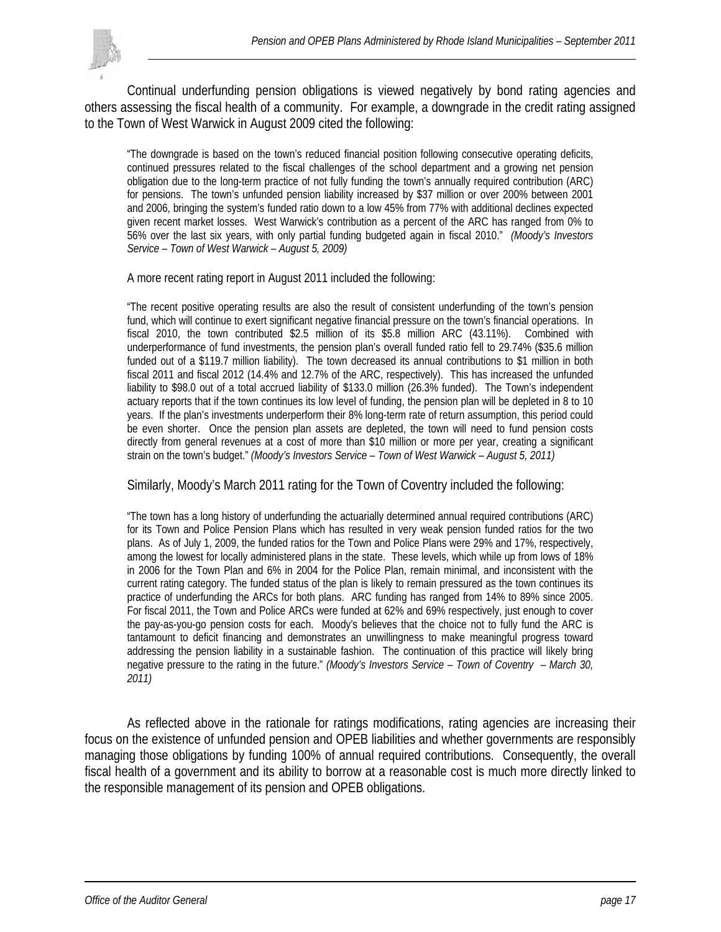

Continual underfunding pension obligations is viewed negatively by bond rating agencies and others assessing the fiscal health of a community. For example, a downgrade in the credit rating assigned to the Town of West Warwick in August 2009 cited the following:

"The downgrade is based on the town's reduced financial position following consecutive operating deficits, continued pressures related to the fiscal challenges of the school department and a growing net pension obligation due to the long-term practice of not fully funding the town's annually required contribution (ARC) for pensions. The town's unfunded pension liability increased by \$37 million or over 200% between 2001 and 2006, bringing the system's funded ratio down to a low 45% from 77% with additional declines expected given recent market losses. West Warwick's contribution as a percent of the ARC has ranged from 0% to 56% over the last six years, with only partial funding budgeted again in fiscal 2010." *(Moody's Investors Service – Town of West Warwick – August 5, 2009)* 

A more recent rating report in August 2011 included the following:

"The recent positive operating results are also the result of consistent underfunding of the town's pension fund, which will continue to exert significant negative financial pressure on the town's financial operations. In fiscal 2010, the town contributed \$2.5 million of its \$5.8 million ARC (43.11%). Combined with underperformance of fund investments, the pension plan's overall funded ratio fell to 29.74% (\$35.6 million funded out of a \$119.7 million liability). The town decreased its annual contributions to \$1 million in both fiscal 2011 and fiscal 2012 (14.4% and 12.7% of the ARC, respectively). This has increased the unfunded liability to \$98.0 out of a total accrued liability of \$133.0 million (26.3% funded). The Town's independent actuary reports that if the town continues its low level of funding, the pension plan will be depleted in 8 to 10 years. If the plan's investments underperform their 8% long-term rate of return assumption, this period could be even shorter. Once the pension plan assets are depleted, the town will need to fund pension costs directly from general revenues at a cost of more than \$10 million or more per year, creating a significant strain on the town's budget." *(Moody's Investors Service – Town of West Warwick – August 5, 2011)* 

Similarly, Moody's March 2011 rating for the Town of Coventry included the following:

"The town has a long history of underfunding the actuarially determined annual required contributions (ARC) for its Town and Police Pension Plans which has resulted in very weak pension funded ratios for the two plans. As of July 1, 2009, the funded ratios for the Town and Police Plans were 29% and 17%, respectively, among the lowest for locally administered plans in the state. These levels, which while up from lows of 18% in 2006 for the Town Plan and 6% in 2004 for the Police Plan, remain minimal, and inconsistent with the current rating category. The funded status of the plan is likely to remain pressured as the town continues its practice of underfunding the ARCs for both plans. ARC funding has ranged from 14% to 89% since 2005. For fiscal 2011, the Town and Police ARCs were funded at 62% and 69% respectively, just enough to cover the pay-as-you-go pension costs for each. Moody's believes that the choice not to fully fund the ARC is tantamount to deficit financing and demonstrates an unwillingness to make meaningful progress toward addressing the pension liability in a sustainable fashion. The continuation of this practice will likely bring negative pressure to the rating in the future." *(Moody's Investors Service – Town of Coventry – March 30, 2011)* 

As reflected above in the rationale for ratings modifications, rating agencies are increasing their focus on the existence of unfunded pension and OPEB liabilities and whether governments are responsibly managing those obligations by funding 100% of annual required contributions. Consequently, the overall fiscal health of a government and its ability to borrow at a reasonable cost is much more directly linked to the responsible management of its pension and OPEB obligations.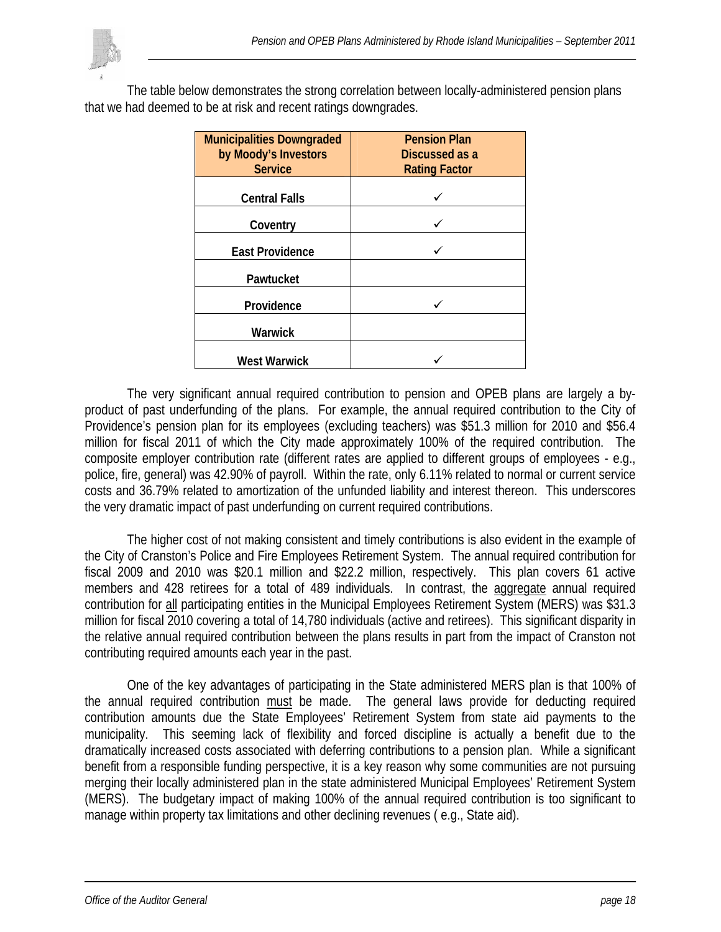

The table below demonstrates the strong correlation between locally-administered pension plans that we had deemed to be at risk and recent ratings downgrades.

| <b>Municipalities Downgraded</b><br>by Moody's Investors<br><b>Service</b> | <b>Pension Plan</b><br>Discussed as a<br><b>Rating Factor</b> |
|----------------------------------------------------------------------------|---------------------------------------------------------------|
| <b>Central Falls</b>                                                       |                                                               |
| Coventry                                                                   |                                                               |
| <b>East Providence</b>                                                     |                                                               |
| Pawtucket                                                                  |                                                               |
| Providence                                                                 |                                                               |
| Warwick                                                                    |                                                               |
| <b>West Warwick</b>                                                        |                                                               |

 The very significant annual required contribution to pension and OPEB plans are largely a byproduct of past underfunding of the plans. For example, the annual required contribution to the City of Providence's pension plan for its employees (excluding teachers) was \$51.3 million for 2010 and \$56.4 million for fiscal 2011 of which the City made approximately 100% of the required contribution. The composite employer contribution rate (different rates are applied to different groups of employees - e.g., police, fire, general) was 42.90% of payroll. Within the rate, only 6.11% related to normal or current service costs and 36.79% related to amortization of the unfunded liability and interest thereon. This underscores the very dramatic impact of past underfunding on current required contributions.

The higher cost of not making consistent and timely contributions is also evident in the example of the City of Cranston's Police and Fire Employees Retirement System. The annual required contribution for fiscal 2009 and 2010 was \$20.1 million and \$22.2 million, respectively. This plan covers 61 active members and 428 retirees for a total of 489 individuals. In contrast, the aggregate annual required contribution for all participating entities in the Municipal Employees Retirement System (MERS) was \$31.3 million for fiscal 2010 covering a total of 14,780 individuals (active and retirees). This significant disparity in the relative annual required contribution between the plans results in part from the impact of Cranston not contributing required amounts each year in the past.

 One of the key advantages of participating in the State administered MERS plan is that 100% of the annual required contribution must be made. The general laws provide for deducting required contribution amounts due the State Employees' Retirement System from state aid payments to the municipality. This seeming lack of flexibility and forced discipline is actually a benefit due to the dramatically increased costs associated with deferring contributions to a pension plan. While a significant benefit from a responsible funding perspective, it is a key reason why some communities are not pursuing merging their locally administered plan in the state administered Municipal Employees' Retirement System (MERS). The budgetary impact of making 100% of the annual required contribution is too significant to manage within property tax limitations and other declining revenues ( e.g., State aid).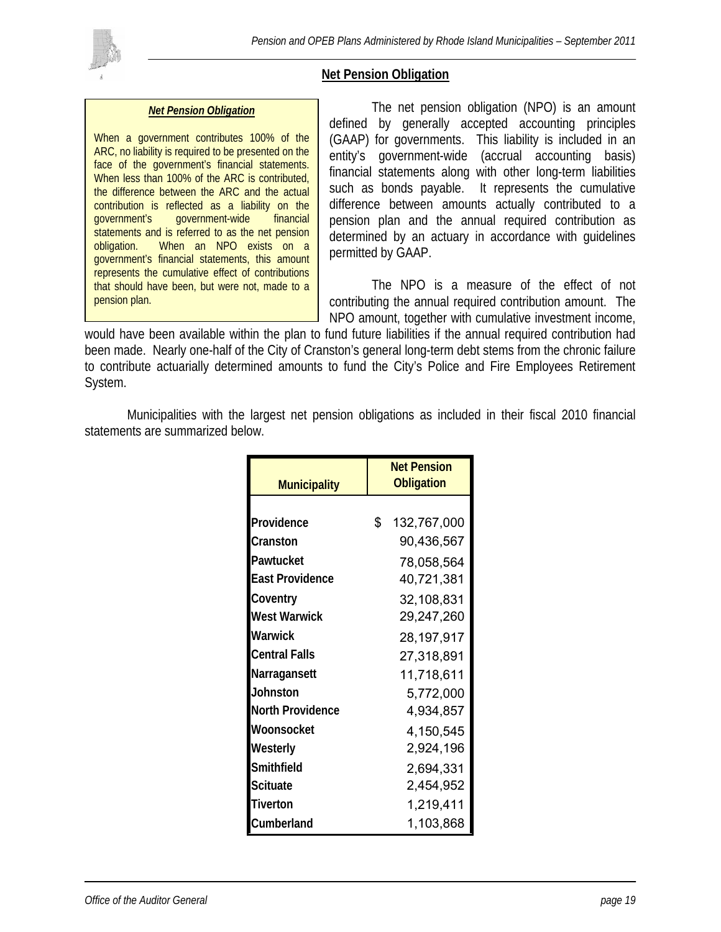

### **Net Pension Obligation**

#### *Net Pension Obligation*

When a government contributes 100% of the ARC, no liability is required to be presented on the face of the government's financial statements. When less than 100% of the ARC is contributed, the difference between the ARC and the actual contribution is reflected as a liability on the government's government-wide financial statements and is referred to as the net pension obligation. When an NPO exists on a government's financial statements, this amount represents the cumulative effect of contributions that should have been, but were not, made to a pension plan.

 The net pension obligation (NPO) is an amount defined by generally accepted accounting principles (GAAP) for governments. This liability is included in an entity's government-wide (accrual accounting basis) financial statements along with other long-term liabilities such as bonds payable. It represents the cumulative difference between amounts actually contributed to a pension plan and the annual required contribution as determined by an actuary in accordance with guidelines permitted by GAAP.

 The NPO is a measure of the effect of not contributing the annual required contribution amount. The NPO amount, together with cumulative investment income,

would have been available within the plan to fund future liabilities if the annual required contribution had been made. Nearly one-half of the City of Cranston's general long-term debt stems from the chronic failure to contribute actuarially determined amounts to fund the City's Police and Fire Employees Retirement System.

 Municipalities with the largest net pension obligations as included in their fiscal 2010 financial statements are summarized below.

|                        | <b>Net Pension</b> |
|------------------------|--------------------|
| <b>Municipality</b>    | <b>Obligation</b>  |
|                        |                    |
| Providence             | \$<br>132,767,000  |
| Cranston               | 90,436,567         |
| Pawtucket              | 78,058,564         |
| <b>East Providence</b> | 40,721,381         |
| Coventry               | 32,108,831         |
| <b>West Warwick</b>    | 29,247,260         |
| Warwick                | 28,197,917         |
| <b>Central Falls</b>   | 27,318,891         |
| Narragansett           | 11,718,611         |
| Johnston               | 5,772,000          |
| North Providence       | 4,934,857          |
| Woonsocket             | 4,150,545          |
| Westerly               | 2,924,196          |
| Smithfield             | 2,694,331          |
| Scituate               | 2,454,952          |
| Tiverton               | 1,219,411          |
| Cumberland             | 1,103,868          |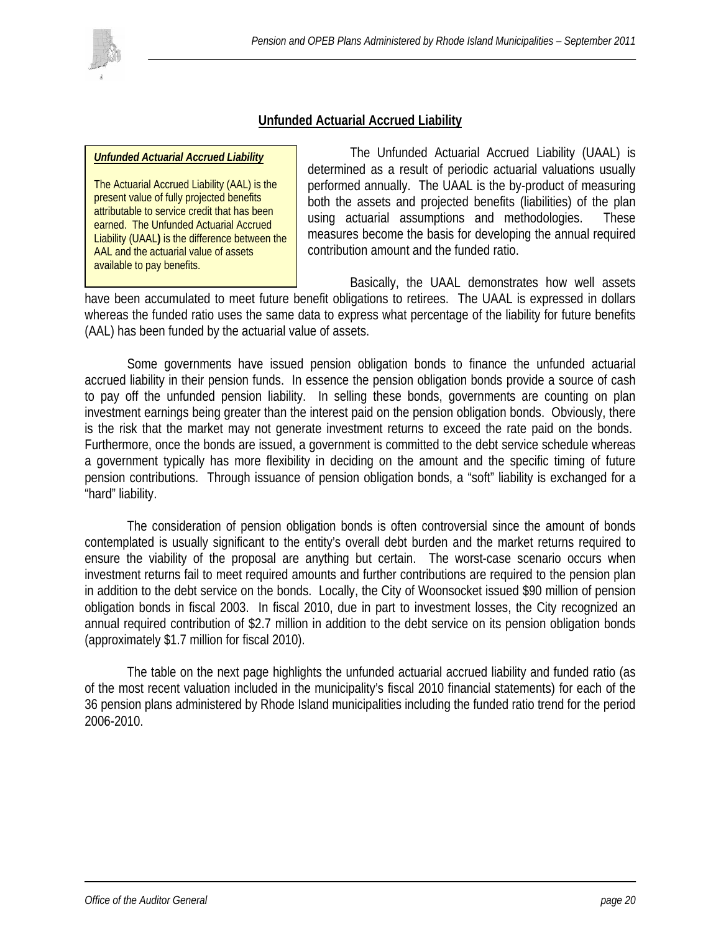

### **Unfunded Actuarial Accrued Liability**

#### *Unfunded Actuarial Accrued Liability*

The Actuarial Accrued Liability (AAL) is the present value of fully projected benefits attributable to service credit that has been earned. The Unfunded Actuarial Accrued Liability (UAAL**)** is the difference between the AAL and the actuarial value of assets available to pay benefits.

 The Unfunded Actuarial Accrued Liability (UAAL) is determined as a result of periodic actuarial valuations usually performed annually. The UAAL is the by-product of measuring both the assets and projected benefits (liabilities) of the plan using actuarial assumptions and methodologies. These measures become the basis for developing the annual required contribution amount and the funded ratio.

 Basically, the UAAL demonstrates how well assets have been accumulated to meet future benefit obligations to retirees. The UAAL is expressed in dollars whereas the funded ratio uses the same data to express what percentage of the liability for future benefits (AAL) has been funded by the actuarial value of assets.

Some governments have issued pension obligation bonds to finance the unfunded actuarial accrued liability in their pension funds. In essence the pension obligation bonds provide a source of cash to pay off the unfunded pension liability. In selling these bonds, governments are counting on plan investment earnings being greater than the interest paid on the pension obligation bonds. Obviously, there is the risk that the market may not generate investment returns to exceed the rate paid on the bonds. Furthermore, once the bonds are issued, a government is committed to the debt service schedule whereas a government typically has more flexibility in deciding on the amount and the specific timing of future pension contributions. Through issuance of pension obligation bonds, a "soft" liability is exchanged for a "hard" liability.

The consideration of pension obligation bonds is often controversial since the amount of bonds contemplated is usually significant to the entity's overall debt burden and the market returns required to ensure the viability of the proposal are anything but certain. The worst-case scenario occurs when investment returns fail to meet required amounts and further contributions are required to the pension plan in addition to the debt service on the bonds. Locally, the City of Woonsocket issued \$90 million of pension obligation bonds in fiscal 2003. In fiscal 2010, due in part to investment losses, the City recognized an annual required contribution of \$2.7 million in addition to the debt service on its pension obligation bonds (approximately \$1.7 million for fiscal 2010).

 The table on the next page highlights the unfunded actuarial accrued liability and funded ratio (as of the most recent valuation included in the municipality's fiscal 2010 financial statements) for each of the 36 pension plans administered by Rhode Island municipalities including the funded ratio trend for the period 2006-2010.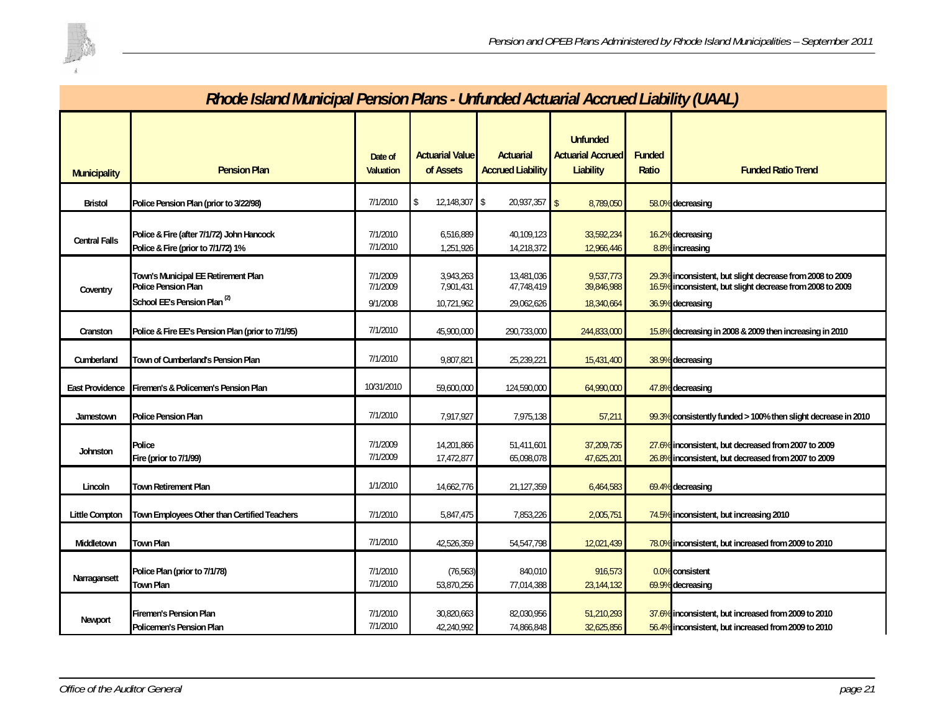

|                        | Rhode Island Municipal Pension Plans - Unfunded Actuarial Accrued Liability (UAAL)                    |                                  |                                      |                                              |                                                                 |                        |                                                                                                                                            |  |  |  |
|------------------------|-------------------------------------------------------------------------------------------------------|----------------------------------|--------------------------------------|----------------------------------------------|-----------------------------------------------------------------|------------------------|--------------------------------------------------------------------------------------------------------------------------------------------|--|--|--|
| <b>Municipality</b>    | <b>Pension Plan</b>                                                                                   | Date of<br><b>Valuation</b>      | <b>Actuarial Value</b><br>of Assets  | <b>Actuarial</b><br><b>Accrued Liability</b> | <b>Unfunded</b><br><b>Actuarial Accrued</b><br><b>Liability</b> | <b>Funded</b><br>Ratio | <b>Funded Ratio Trend</b>                                                                                                                  |  |  |  |
| <b>Bristol</b>         | Police Pension Plan (prior to 3/22/98)                                                                | 7/1/2010                         | 12,148,307<br>-S                     | 20,937,357                                   | 8,789,050                                                       |                        | 58.0% decreasing                                                                                                                           |  |  |  |
| <b>Central Falls</b>   | Police & Fire (after 7/1/72) John Hancock<br>Police & Fire (prior to 7/1/72) 1%                       | 7/1/2010<br>7/1/2010             | 6,516,889<br>1,251,926               | 40,109,123<br>14,218,372                     | 33,592,234<br>12,966,446                                        |                        | 16.2% decreasing<br>8.8% increasing                                                                                                        |  |  |  |
| Coventry               | Town's Municipal EE Retirement Plan<br>Police Pension Plan<br>School EE's Pension Plan <sup>(2)</sup> | 7/1/2009<br>//1/2009<br>9/1/2008 | 3,943,263<br>7,901,431<br>10,721,962 | 13,481,036<br>41, 148, 419<br>29,062,626     | 9,537,773<br>39,846,988<br>18,340,664                           |                        | 29.3% inconsistent, but slight decrease from 2008 to 2009<br>16.5% Inconsistent, but slight decrease from 2008 to 2009<br>36.9% decreasing |  |  |  |
| Cranston               | Police & Fire EE's Pension Plan (prior to 7/1/95)                                                     | 7/1/2010                         | 45,900,000                           | 290,733,000                                  | 244,833,000                                                     |                        | 15.8% decreasing in 2008 & 2009 then increasing in 2010                                                                                    |  |  |  |
| Cumberland             | Town of Cumberland's Pension Plan                                                                     | 7/1/2010                         | 9,807,821                            | 25,239,221                                   | 15,431,400                                                      |                        | 38.9% decreasing                                                                                                                           |  |  |  |
| <b>East Providence</b> | Firemen's & Policemen's Pension Plan                                                                  | 10/31/2010                       | 59,600,000                           | 124,590,000                                  | 64,990,000                                                      |                        | 47.8% decreasing                                                                                                                           |  |  |  |
| Jamestown              | Police Pension Plan                                                                                   | 7/1/2010                         | 7,917,927                            | 7,975,138                                    | 57,211                                                          |                        | 99.3% consistently funded > 100% then slight decrease in 2010                                                                              |  |  |  |
| Johnston               | Police<br>Fire (prior to 7/1/99)                                                                      | 7/1/2009<br>7/1/2009             | 14,201,866<br>17,472,877             | 51,411,601<br>65,098,078                     | 37,209,735<br>47,625,201                                        |                        | 27.6% inconsistent, but decreased from 2007 to 2009<br>26.8% inconsistent, but decreased from 2007 to 2009                                 |  |  |  |
| Lincoln                | Town Retirement Plan                                                                                  | 1/1/2010                         | 14,662,776                           | 21,127,359                                   | 6,464,583                                                       |                        | 69.4% decreasing                                                                                                                           |  |  |  |
| <b>Little Compton</b>  | Town Employees Other than Certified Teachers                                                          | 7/1/2010                         | 5,847,475                            | 7,853,226                                    | 2,005,751                                                       |                        | 74.5% inconsistent, but increasing 2010                                                                                                    |  |  |  |
| Middletown             | <b>Town Plan</b>                                                                                      | 7/1/2010                         | 42,526,359                           | 54,547,798                                   | 12,021,439                                                      |                        | 78.0% inconsistent, but increased from 2009 to 2010                                                                                        |  |  |  |
| Narragansett           | Police Plan (prior to 7/1/78)<br><b>Town Plan</b>                                                     | 7/1/2010<br>7/1/2010             | (76, 563)<br>53,870,256              | 840,010<br>77,014,388                        | 916,573<br>23,144,132                                           |                        | 0.0% consistent<br>69.9% decreasing                                                                                                        |  |  |  |
| Newport                | <b>Firemen's Pension Plan</b><br>Policemen's Pension Plan                                             | 7/1/2010<br>7/1/2010             | 30,820,663<br>42,240,992             | 82,030,956<br>74,866,848                     | 51,210,293<br>32,625,856                                        |                        | 37.6% inconsistent, but increased from 2009 to 2010<br>56.4% inconsistent, but increased from 2009 to 2010                                 |  |  |  |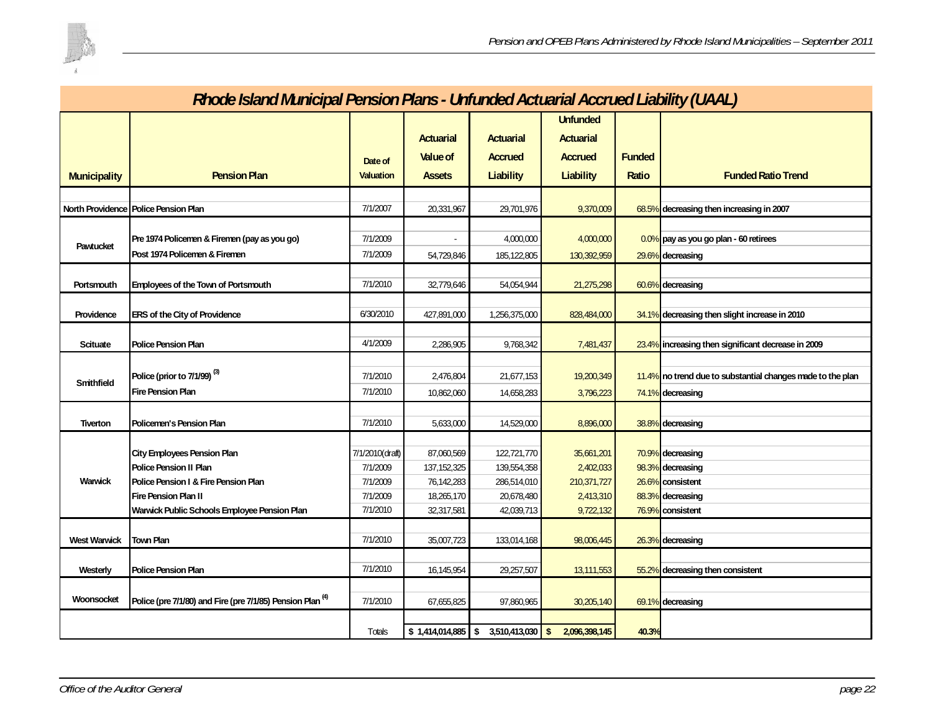

|                     | Rhode Island Municipal Pension Plans - Unfunded Actuarial Accrued Liability (UAAL) |                      |                          |                           |                          |               |                                                            |  |  |  |  |
|---------------------|------------------------------------------------------------------------------------|----------------------|--------------------------|---------------------------|--------------------------|---------------|------------------------------------------------------------|--|--|--|--|
|                     |                                                                                    |                      |                          |                           | <b>Unfunded</b>          |               |                                                            |  |  |  |  |
|                     |                                                                                    |                      | <b>Actuarial</b>         | <b>Actuarial</b>          | <b>Actuarial</b>         |               |                                                            |  |  |  |  |
|                     |                                                                                    | Date of              | <b>Value of</b>          | Accrued                   | <b>Accrued</b>           | <b>Funded</b> |                                                            |  |  |  |  |
| <b>Municipality</b> | <b>Pension Plan</b>                                                                | <b>Valuation</b>     | <b>Assets</b>            | <b>Liability</b>          | Liability                | Ratio         | <b>Funded Ratio Trend</b>                                  |  |  |  |  |
|                     |                                                                                    |                      |                          |                           |                          |               |                                                            |  |  |  |  |
|                     | North Providence Police Pension Plan                                               | 7/1/2007             | 20,331,967               | 29,701,976                | 9,370,009                |               | 68.5% decreasing then increasing in 2007                   |  |  |  |  |
|                     |                                                                                    |                      |                          |                           |                          |               |                                                            |  |  |  |  |
| Pawtucket           | Pre 1974 Policemen & Firemen (pay as you go)<br>Post 1974 Policemen & Firemen      | 7/1/2009<br>7/1/2009 |                          | 4,000,000                 | 4,000,000                |               | 0.0% pay as you go plan - 60 retirees                      |  |  |  |  |
|                     |                                                                                    |                      | 54,729,846               | 185,122,805               | 130,392,959              |               | 29.6% decreasing                                           |  |  |  |  |
| Portsmouth          | Employees of the Town of Portsmouth                                                | 7/1/2010             | 32,779,646               | 54,054,944                | 21,275,298               |               | 60.6% decreasing                                           |  |  |  |  |
|                     |                                                                                    | 6/30/2010            |                          |                           |                          |               |                                                            |  |  |  |  |
| Providence          | ERS of the City of Providence                                                      |                      | 427,891,000              | 1,256,375,000             | 828,484,000              |               | 34.1% decreasing then slight increase in 2010              |  |  |  |  |
| Scituate            | <b>Police Pension Plan</b>                                                         | 4/1/2009             | 2,286,905                | 9,768,342                 | 7,481,437                |               | 23.4% increasing then significant decrease in 2009         |  |  |  |  |
|                     |                                                                                    |                      |                          |                           |                          |               |                                                            |  |  |  |  |
| Smithfield          | Police (prior to 7/1/99) <sup>(3)</sup>                                            | 7/1/2010             | 2,476,804                | 21,677,153                | 19,200,349               |               | 11.4% no trend due to substantial changes made to the plan |  |  |  |  |
|                     | <b>Fire Pension Plan</b>                                                           | 7/1/2010             | 10,862,060               | 14,658,283                | 3,796,223                |               | 74.1% decreasing                                           |  |  |  |  |
|                     |                                                                                    |                      |                          |                           |                          |               |                                                            |  |  |  |  |
| Tiverton            | Policemen's Pension Plan                                                           | 7/1/2010             | 5,633,000                | 14,529,000                | 8,896,000                |               | 38.8% decreasing                                           |  |  |  |  |
|                     |                                                                                    |                      |                          |                           |                          |               |                                                            |  |  |  |  |
|                     | <b>City Employees Pension Plan</b>                                                 | 7/1/2010(draft)      | 87,060,569               | 122,721,770               | 35,661,201               |               | 70.9% decreasing                                           |  |  |  |  |
| Warwick             | Police Pension II Plan<br>Police Pension I & Fire Pension Plan                     | 7/1/2009             | 137, 152, 325            | 139,554,358               | 2,402,033<br>210,371,727 |               | 98.3% decreasing<br>26.6% consistent                       |  |  |  |  |
|                     | Fire Pension Plan II                                                               | 7/1/2009<br>7/1/2009 | 76,142,283<br>18,265,170 | 286,514,010<br>20,678,480 | 2,413,310                |               | 88.3% decreasing                                           |  |  |  |  |
|                     | Warwick Public Schools Employee Pension Plan                                       | 7/1/2010             | 32,317,581               | 42,039,713                | 9,722,132                |               | 76.9% consistent                                           |  |  |  |  |
|                     |                                                                                    |                      |                          |                           |                          |               |                                                            |  |  |  |  |
| West Warwick        | <b>Town Plan</b>                                                                   | 7/1/2010             | 35,007,723               | 133,014,168               | 98,006,445               |               | 26.3% decreasing                                           |  |  |  |  |
|                     |                                                                                    |                      |                          |                           |                          |               |                                                            |  |  |  |  |
| Westerly            | <b>Police Pension Plan</b>                                                         | 7/1/2010             | 16,145,954               | 29,257,507                | 13,111,553               |               | 55.2% decreasing then consistent                           |  |  |  |  |
| Woonsocket          | Police (pre 7/1/80) and Fire (pre 7/1/85) Pension Plan <sup>(4)</sup>              | 7/1/2010             | 67,655,825               | 97,860,965                | 30,205,140               |               | $69.1\%$ decreasing                                        |  |  |  |  |
|                     |                                                                                    |                      |                          |                           |                          |               |                                                            |  |  |  |  |
|                     |                                                                                    | Totals               | $$1,414,014,885$ \\$     | $3,510,413,030$ \$        | 2,096,398,145            | 40.3%         |                                                            |  |  |  |  |

# *Rhode Island Municipal Pension Plans - Unfunded Actuarial Accrued Liability (UAAL)*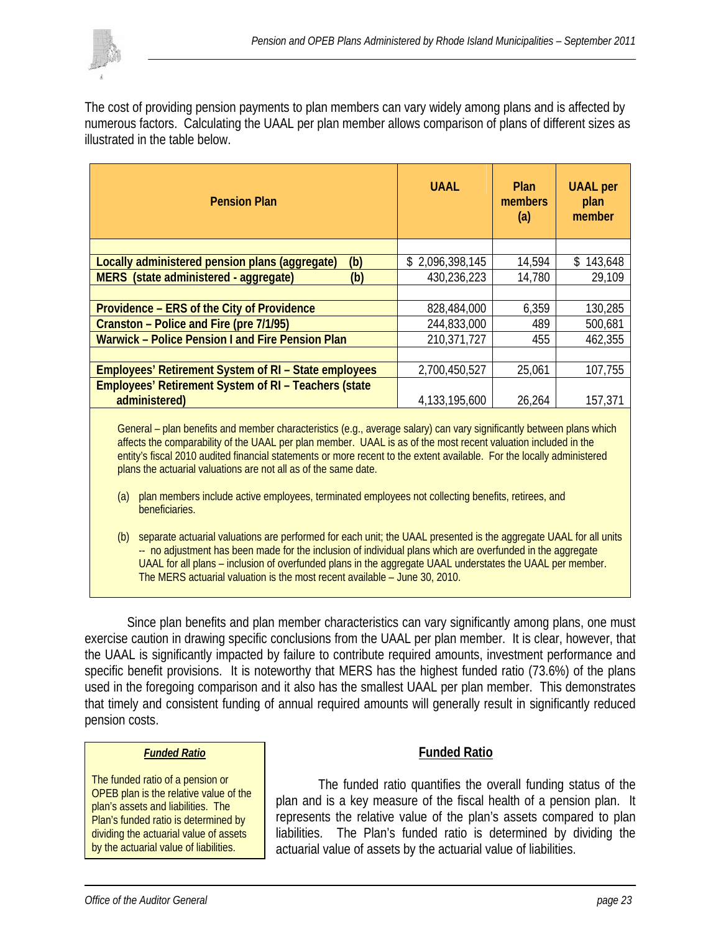

The cost of providing pension payments to plan members can vary widely among plans and is affected by numerous factors. Calculating the UAAL per plan member allows comparison of plans of different sizes as illustrated in the table below.

| <b>Pension Plan</b>                                         | <b>UAAL</b>     | <b>Plan</b><br>members<br>(a) | <b>UAAL</b> per<br>plan<br>member |
|-------------------------------------------------------------|-----------------|-------------------------------|-----------------------------------|
|                                                             |                 |                               |                                   |
| Locally administered pension plans (aggregate)<br>(b)       | \$2,096,398,145 | 14,594                        | \$143,648                         |
| MERS (state administered - aggregate)<br>(b)                | 430,236,223     | 14,780                        | 29,109                            |
|                                                             |                 |                               |                                   |
| Providence – ERS of the City of Providence                  | 828,484,000     | 6,359                         | 130,285                           |
| Cranston – Police and Fire (pre 7/1/95)                     | 244,833,000     | 489                           | 500,681                           |
| Warwick - Police Pension I and Fire Pension Plan            | 210,371,727     | 455                           | 462,355                           |
|                                                             |                 |                               |                                   |
| <b>Employees' Retirement System of RI - State employees</b> | 2,700,450,527   | 25,061                        | 107,755                           |
| Employees' Retirement System of RI - Teachers (state        |                 |                               |                                   |
| administered)                                               | 4,133,195,600   | 26,264                        | 157,371                           |
|                                                             |                 |                               |                                   |

General – plan benefits and member characteristics (e.g., average salary) can vary significantly between plans which affects the comparability of the UAAL per plan member. UAAL is as of the most recent valuation included in the entity's fiscal 2010 audited financial statements or more recent to the extent available. For the locally administered plans the actuarial valuations are not all as of the same date.

- (a) plan members include active employees, terminated employees not collecting benefits, retirees, and beneficiaries.
- (b) separate actuarial valuations are performed for each unit; the UAAL presented is the aggregate UAAL for all units -- no adjustment has been made for the inclusion of individual plans which are overfunded in the aggregate UAAL for all plans – inclusion of overfunded plans in the aggregate UAAL understates the UAAL per member. The MERS actuarial valuation is the most recent available – June 30, 2010.

 Since plan benefits and plan member characteristics can vary significantly among plans, one must exercise caution in drawing specific conclusions from the UAAL per plan member. It is clear, however, that the UAAL is significantly impacted by failure to contribute required amounts, investment performance and specific benefit provisions. It is noteworthy that MERS has the highest funded ratio (73.6%) of the plans used in the foregoing comparison and it also has the smallest UAAL per plan member. This demonstrates that timely and consistent funding of annual required amounts will generally result in significantly reduced pension costs.

#### *Funded Ratio*

The funded ratio of a pension or OPEB plan is the relative value of the plan's assets and liabilities. The Plan's funded ratio is determined by dividing the actuarial value of assets by the actuarial value of liabilities.

### **Funded Ratio**

 The funded ratio quantifies the overall funding status of the plan and is a key measure of the fiscal health of a pension plan. It represents the relative value of the plan's assets compared to plan liabilities. The Plan's funded ratio is determined by dividing the actuarial value of assets by the actuarial value of liabilities.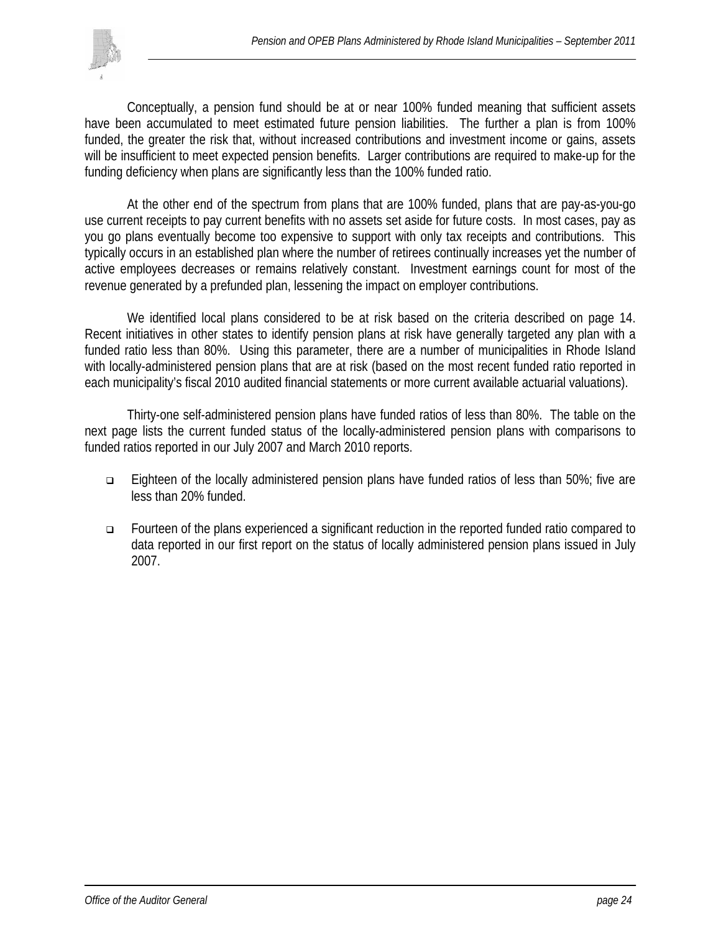

 Conceptually, a pension fund should be at or near 100% funded meaning that sufficient assets have been accumulated to meet estimated future pension liabilities. The further a plan is from 100% funded, the greater the risk that, without increased contributions and investment income or gains, assets will be insufficient to meet expected pension benefits. Larger contributions are required to make-up for the funding deficiency when plans are significantly less than the 100% funded ratio.

 At the other end of the spectrum from plans that are 100% funded, plans that are pay-as-you-go use current receipts to pay current benefits with no assets set aside for future costs. In most cases, pay as you go plans eventually become too expensive to support with only tax receipts and contributions. This typically occurs in an established plan where the number of retirees continually increases yet the number of active employees decreases or remains relatively constant. Investment earnings count for most of the revenue generated by a prefunded plan, lessening the impact on employer contributions.

 We identified local plans considered to be at risk based on the criteria described on page 14. Recent initiatives in other states to identify pension plans at risk have generally targeted any plan with a funded ratio less than 80%. Using this parameter, there are a number of municipalities in Rhode Island with locally-administered pension plans that are at risk (based on the most recent funded ratio reported in each municipality's fiscal 2010 audited financial statements or more current available actuarial valuations).

Thirty-one self-administered pension plans have funded ratios of less than 80%. The table on the next page lists the current funded status of the locally-administered pension plans with comparisons to funded ratios reported in our July 2007 and March 2010 reports.

- Eighteen of the locally administered pension plans have funded ratios of less than 50%; five are less than 20% funded.
- Fourteen of the plans experienced a significant reduction in the reported funded ratio compared to data reported in our first report on the status of locally administered pension plans issued in July 2007.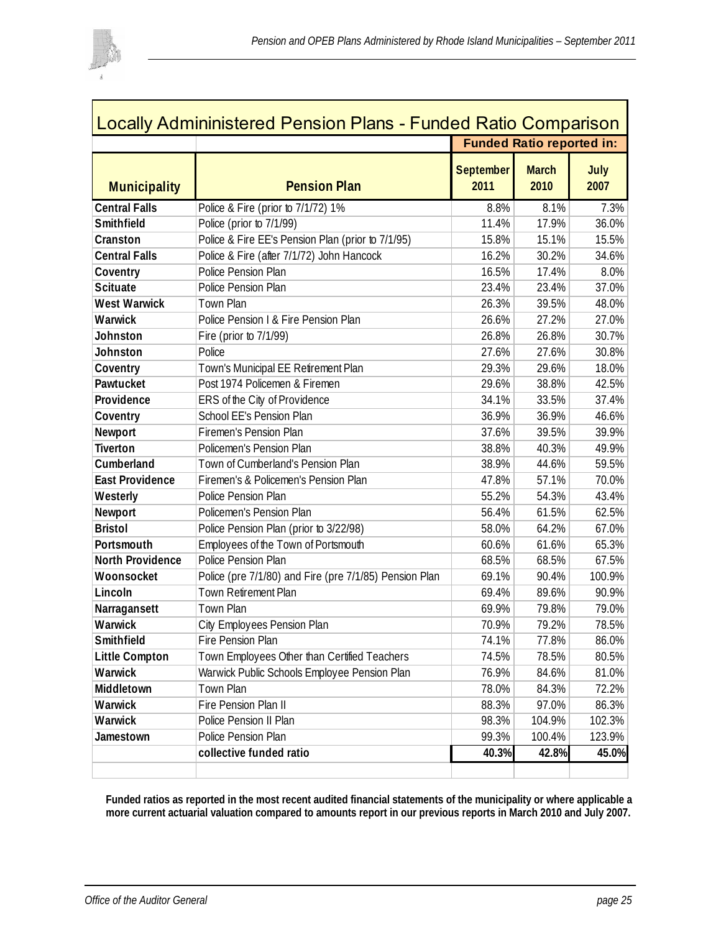

| <b>Municipality</b><br><b>Central Falls</b><br><b>Smithfield</b><br>Cranston<br><b>Central Falls</b><br>Coventry<br><b>Scituate</b><br><b>West Warwick</b><br>Warwick | <b>Pension Plan</b><br>Police & Fire (prior to 7/1/72) 1%<br>Police (prior to 7/1/99)<br>Police & Fire EE's Pension Plan (prior to 7/1/95)<br>Police & Fire (after 7/1/72) John Hancock<br>Police Pension Plan<br>Police Pension Plan<br><b>Town Plan</b><br>Police Pension I & Fire Pension Plan | <b>September</b><br>2011<br>8.8%<br>11.4%<br>15.8%<br>16.2%<br>16.5%<br>23.4%<br>26.3% | <b>Funded Ratio reported in:</b><br><b>March</b><br>2010<br>8.1%<br>17.9%<br>15.1%<br>30.2%<br>17.4%<br>23.4% | July<br>2007          |
|-----------------------------------------------------------------------------------------------------------------------------------------------------------------------|---------------------------------------------------------------------------------------------------------------------------------------------------------------------------------------------------------------------------------------------------------------------------------------------------|----------------------------------------------------------------------------------------|---------------------------------------------------------------------------------------------------------------|-----------------------|
|                                                                                                                                                                       |                                                                                                                                                                                                                                                                                                   |                                                                                        |                                                                                                               | 36.0%<br>15.5%        |
|                                                                                                                                                                       |                                                                                                                                                                                                                                                                                                   |                                                                                        |                                                                                                               | 7.3%<br>34.6%<br>8.0% |
|                                                                                                                                                                       |                                                                                                                                                                                                                                                                                                   |                                                                                        |                                                                                                               |                       |
|                                                                                                                                                                       |                                                                                                                                                                                                                                                                                                   |                                                                                        |                                                                                                               |                       |
|                                                                                                                                                                       |                                                                                                                                                                                                                                                                                                   |                                                                                        |                                                                                                               |                       |
|                                                                                                                                                                       |                                                                                                                                                                                                                                                                                                   |                                                                                        |                                                                                                               |                       |
|                                                                                                                                                                       |                                                                                                                                                                                                                                                                                                   |                                                                                        |                                                                                                               |                       |
|                                                                                                                                                                       |                                                                                                                                                                                                                                                                                                   |                                                                                        |                                                                                                               | 37.0%                 |
|                                                                                                                                                                       |                                                                                                                                                                                                                                                                                                   |                                                                                        | 39.5%                                                                                                         | 48.0%                 |
|                                                                                                                                                                       |                                                                                                                                                                                                                                                                                                   | 26.6%                                                                                  | 27.2%                                                                                                         | 27.0%                 |
| Johnston                                                                                                                                                              | Fire (prior to 7/1/99)                                                                                                                                                                                                                                                                            | 26.8%                                                                                  | 26.8%                                                                                                         | 30.7%                 |
| Johnston                                                                                                                                                              | Police                                                                                                                                                                                                                                                                                            | 27.6%                                                                                  | 27.6%                                                                                                         | 30.8%                 |
| Coventry                                                                                                                                                              | Town's Municipal EE Retirement Plan                                                                                                                                                                                                                                                               | 29.3%                                                                                  | 29.6%                                                                                                         | 18.0%                 |
| Pawtucket                                                                                                                                                             | Post 1974 Policemen & Firemen                                                                                                                                                                                                                                                                     | 29.6%                                                                                  | 38.8%                                                                                                         | 42.5%                 |
| Providence                                                                                                                                                            | ERS of the City of Providence                                                                                                                                                                                                                                                                     | 34.1%                                                                                  | 33.5%                                                                                                         | 37.4%                 |
| Coventry                                                                                                                                                              | School EE's Pension Plan                                                                                                                                                                                                                                                                          | 36.9%                                                                                  | 36.9%                                                                                                         | 46.6%                 |
| Newport                                                                                                                                                               | Firemen's Pension Plan                                                                                                                                                                                                                                                                            | 37.6%                                                                                  | 39.5%                                                                                                         | 39.9%                 |
| <b>Tiverton</b>                                                                                                                                                       | Policemen's Pension Plan                                                                                                                                                                                                                                                                          | 38.8%                                                                                  | 40.3%                                                                                                         | 49.9%                 |
| Cumberland                                                                                                                                                            | Town of Cumberland's Pension Plan                                                                                                                                                                                                                                                                 | 38.9%                                                                                  | 44.6%                                                                                                         | 59.5%                 |
| <b>East Providence</b>                                                                                                                                                | Firemen's & Policemen's Pension Plan                                                                                                                                                                                                                                                              | 47.8%                                                                                  | 57.1%                                                                                                         | 70.0%                 |
| Westerly                                                                                                                                                              | Police Pension Plan                                                                                                                                                                                                                                                                               | 55.2%                                                                                  | 54.3%                                                                                                         | 43.4%                 |
| Newport                                                                                                                                                               | Policemen's Pension Plan                                                                                                                                                                                                                                                                          | 56.4%                                                                                  | 61.5%                                                                                                         | 62.5%                 |
| <b>Bristol</b>                                                                                                                                                        | Police Pension Plan (prior to 3/22/98)                                                                                                                                                                                                                                                            | 58.0%                                                                                  | 64.2%                                                                                                         | 67.0%                 |
| Portsmouth                                                                                                                                                            | Employees of the Town of Portsmouth                                                                                                                                                                                                                                                               | 60.6%                                                                                  | 61.6%                                                                                                         | 65.3%                 |
| <b>North Providence</b>                                                                                                                                               | Police Pension Plan                                                                                                                                                                                                                                                                               | 68.5%                                                                                  | 68.5%                                                                                                         | 67.5%                 |
| Woonsocket                                                                                                                                                            | Police (pre 7/1/80) and Fire (pre 7/1/85) Pension Plan                                                                                                                                                                                                                                            | 69.1%                                                                                  | 90.4%                                                                                                         | 100.9%                |
| Lincoln                                                                                                                                                               | <b>Town Retirement Plan</b>                                                                                                                                                                                                                                                                       | 69.4%                                                                                  | 89.6%                                                                                                         | 90.9%                 |
| Narragansett                                                                                                                                                          | Town Plan                                                                                                                                                                                                                                                                                         | 69.9%                                                                                  | 79.8%                                                                                                         | 79.0%                 |
| Warwick                                                                                                                                                               | City Employees Pension Plan                                                                                                                                                                                                                                                                       | 70.9%                                                                                  | 79.2%                                                                                                         | 78.5%                 |
| Smithfield                                                                                                                                                            | Fire Pension Plan                                                                                                                                                                                                                                                                                 | 74.1%                                                                                  | 77.8%                                                                                                         | 86.0%                 |
| <b>Little Compton</b>                                                                                                                                                 | Town Employees Other than Certified Teachers                                                                                                                                                                                                                                                      | 74.5%                                                                                  | 78.5%                                                                                                         | 80.5%                 |
| Warwick                                                                                                                                                               | Warwick Public Schools Employee Pension Plan                                                                                                                                                                                                                                                      | 76.9%                                                                                  | 84.6%                                                                                                         | 81.0%                 |
| Middletown                                                                                                                                                            | Town Plan                                                                                                                                                                                                                                                                                         | 78.0%                                                                                  | 84.3%                                                                                                         | 72.2%                 |
| Warwick                                                                                                                                                               | Fire Pension Plan II                                                                                                                                                                                                                                                                              | 88.3%                                                                                  | 97.0%                                                                                                         | 86.3%                 |
| Warwick                                                                                                                                                               | Police Pension II Plan                                                                                                                                                                                                                                                                            | 98.3%                                                                                  | 104.9%                                                                                                        | 102.3%                |
| Jamestown                                                                                                                                                             | Police Pension Plan                                                                                                                                                                                                                                                                               | 99.3%                                                                                  | 100.4%                                                                                                        | 123.9%                |
|                                                                                                                                                                       | collective funded ratio                                                                                                                                                                                                                                                                           | 40.3%                                                                                  | 42.8%                                                                                                         | 45.0%                 |

**Funded ratios as reported in the most recent audited financial statements of the municipality or where applicable a more current actuarial valuation compared to amounts report in our previous reports in March 2010 and July 2007.**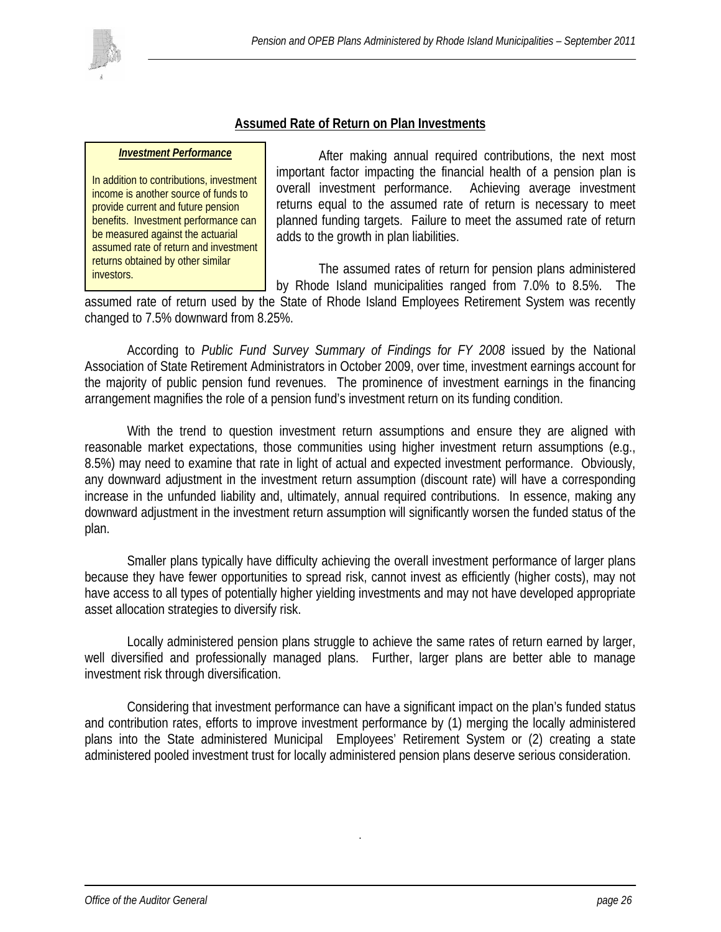

#### **Assumed Rate of Return on Plan Investments**

#### *Investment Performance*

In addition to contributions, investment income is another source of funds to provide current and future pension benefits. Investment performance can be measured against the actuarial assumed rate of return and investment returns obtained by other similar investors.

 After making annual required contributions, the next most important factor impacting the financial health of a pension plan is overall investment performance. Achieving average investment returns equal to the assumed rate of return is necessary to meet planned funding targets. Failure to meet the assumed rate of return adds to the growth in plan liabilities.

 The assumed rates of return for pension plans administered by Rhode Island municipalities ranged from 7.0% to 8.5%. The

assumed rate of return used by the State of Rhode Island Employees Retirement System was recently changed to 7.5% downward from 8.25%.

According to *Public Fund Survey Summary of Findings for FY 2008* issued by the National Association of State Retirement Administrators in October 2009, over time, investment earnings account for the majority of public pension fund revenues. The prominence of investment earnings in the financing arrangement magnifies the role of a pension fund's investment return on its funding condition.

With the trend to question investment return assumptions and ensure they are aligned with reasonable market expectations, those communities using higher investment return assumptions (e.g., 8.5%) may need to examine that rate in light of actual and expected investment performance. Obviously, any downward adjustment in the investment return assumption (discount rate) will have a corresponding increase in the unfunded liability and, ultimately, annual required contributions. In essence, making any downward adjustment in the investment return assumption will significantly worsen the funded status of the plan.

Smaller plans typically have difficulty achieving the overall investment performance of larger plans because they have fewer opportunities to spread risk, cannot invest as efficiently (higher costs), may not have access to all types of potentially higher yielding investments and may not have developed appropriate asset allocation strategies to diversify risk.

 Locally administered pension plans struggle to achieve the same rates of return earned by larger, well diversified and professionally managed plans. Further, larger plans are better able to manage investment risk through diversification.

Considering that investment performance can have a significant impact on the plan's funded status and contribution rates, efforts to improve investment performance by (1) merging the locally administered plans into the State administered Municipal Employees' Retirement System or (2) creating a state administered pooled investment trust for locally administered pension plans deserve serious consideration.

.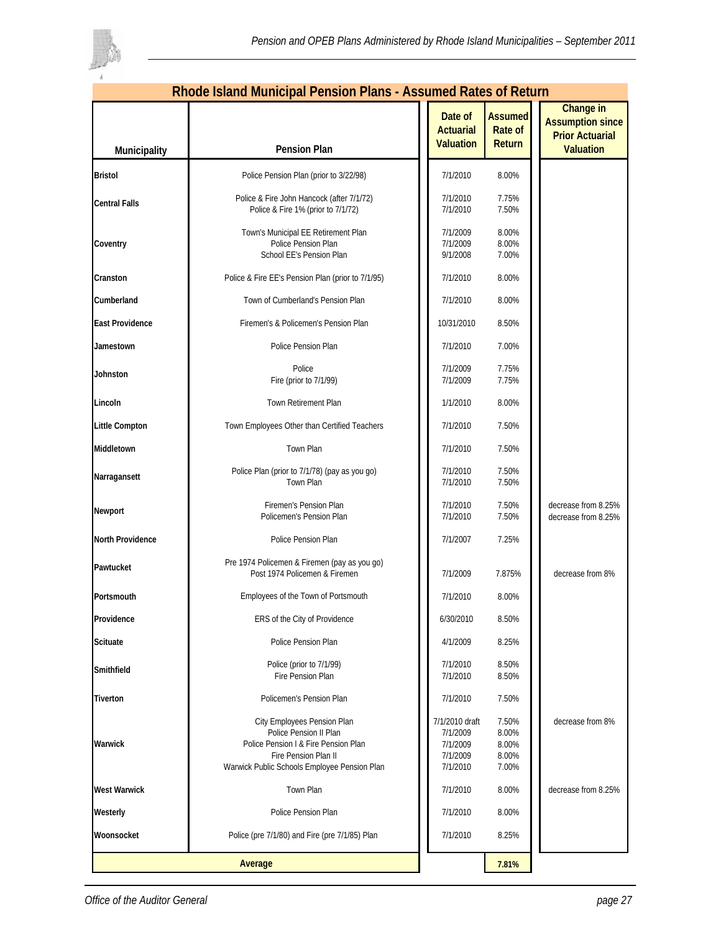

|                         | <u> Rhode Island Municipal Pension Plans - Assumed Rates of Return</u>                                                                                                |                                                                |                                            |                                                                                    |
|-------------------------|-----------------------------------------------------------------------------------------------------------------------------------------------------------------------|----------------------------------------------------------------|--------------------------------------------|------------------------------------------------------------------------------------|
| Municipality            | <b>Pension Plan</b>                                                                                                                                                   | Date of<br><b>Actuarial</b><br><b>Valuation</b>                | <b>Assumed</b><br><b>Rate of</b><br>Return | Change in<br><b>Assumption since</b><br><b>Prior Actuarial</b><br><b>Valuation</b> |
| <b>Bristol</b>          | Police Pension Plan (prior to 3/22/98)                                                                                                                                | 7/1/2010                                                       | 8.00%                                      |                                                                                    |
| <b>Central Falls</b>    | Police & Fire John Hancock (after 7/1/72)<br>Police & Fire 1% (prior to 7/1/72)                                                                                       | 7/1/2010<br>7/1/2010                                           | 7.75%<br>7.50%                             |                                                                                    |
| Coventry                | Town's Municipal EE Retirement Plan<br>Police Pension Plan<br>School EE's Pension Plan                                                                                | 7/1/2009<br>7/1/2009<br>9/1/2008                               | 8.00%<br>8.00%<br>7.00%                    |                                                                                    |
| Cranston                | Police & Fire EE's Pension Plan (prior to 7/1/95)                                                                                                                     | 7/1/2010                                                       | 8.00%                                      |                                                                                    |
| Cumberland              | Town of Cumberland's Pension Plan                                                                                                                                     | 7/1/2010                                                       | 8.00%                                      |                                                                                    |
| <b>East Providence</b>  | Firemen's & Policemen's Pension Plan                                                                                                                                  | 10/31/2010                                                     | 8.50%                                      |                                                                                    |
| Jamestown               | Police Pension Plan                                                                                                                                                   | 7/1/2010                                                       | 7.00%                                      |                                                                                    |
| Johnston                | Police<br>Fire (prior to 7/1/99)                                                                                                                                      | 7/1/2009<br>7/1/2009                                           | 7.75%<br>7.75%                             |                                                                                    |
| Lincoln                 | Town Retirement Plan                                                                                                                                                  | 1/1/2010                                                       | 8.00%                                      |                                                                                    |
| <b>Little Compton</b>   | Town Employees Other than Certified Teachers                                                                                                                          | 7/1/2010                                                       | 7.50%                                      |                                                                                    |
| Middletown              | Town Plan                                                                                                                                                             | 7/1/2010                                                       | 7.50%                                      |                                                                                    |
| Narragansett            | Police Plan (prior to 7/1/78) (pay as you go)<br>Town Plan                                                                                                            | 7/1/2010<br>7/1/2010                                           | 7.50%<br>7.50%                             |                                                                                    |
| Newport                 | Firemen's Pension Plan<br>Policemen's Pension Plan                                                                                                                    | 7/1/2010<br>7/1/2010                                           | 7.50%<br>7.50%                             | decrease from 8.25%<br>decrease from 8.25%                                         |
| <b>North Providence</b> | Police Pension Plan                                                                                                                                                   | 7/1/2007                                                       | 7.25%                                      |                                                                                    |
| Pawtucket               | Pre 1974 Policemen & Firemen (pay as you go)<br>Post 1974 Policemen & Firemen                                                                                         | 7/1/2009                                                       | 7.875%                                     | decrease from 8%                                                                   |
| Portsmouth              | Employees of the Town of Portsmouth                                                                                                                                   | 7/1/2010                                                       | 8.00%                                      |                                                                                    |
| Providence              | ERS of the City of Providence                                                                                                                                         | 6/30/2010                                                      | 8.50%                                      |                                                                                    |
| <b>Scituate</b>         | Police Pension Plan                                                                                                                                                   | 4/1/2009                                                       | 8.25%                                      |                                                                                    |
| Smithfield              | Police (prior to 7/1/99)<br>Fire Pension Plan                                                                                                                         | 7/1/2010<br>7/1/2010                                           | 8.50%<br>8.50%                             |                                                                                    |
| <b>Tiverton</b>         | Policemen's Pension Plan                                                                                                                                              | 7/1/2010                                                       | 7.50%                                      |                                                                                    |
| Warwick                 | City Employees Pension Plan<br>Police Pension II Plan<br>Police Pension I & Fire Pension Plan<br>Fire Pension Plan II<br>Warwick Public Schools Employee Pension Plan | 7/1/2010 draft<br>7/1/2009<br>7/1/2009<br>7/1/2009<br>7/1/2010 | 7.50%<br>8.00%<br>8.00%<br>8.00%<br>7.00%  | decrease from 8%                                                                   |
| <b>West Warwick</b>     | Town Plan                                                                                                                                                             | 7/1/2010                                                       | 8.00%                                      | decrease from 8.25%                                                                |
| Westerly                | Police Pension Plan                                                                                                                                                   | 7/1/2010                                                       | 8.00%                                      |                                                                                    |
| Woonsocket              | Police (pre 7/1/80) and Fire (pre 7/1/85) Plan                                                                                                                        | 7/1/2010                                                       | 8.25%                                      |                                                                                    |
|                         | Average                                                                                                                                                               |                                                                | 7.81%                                      |                                                                                    |

#### **Rhode Island Municipal Pension Plans - Assumed Rates of Return**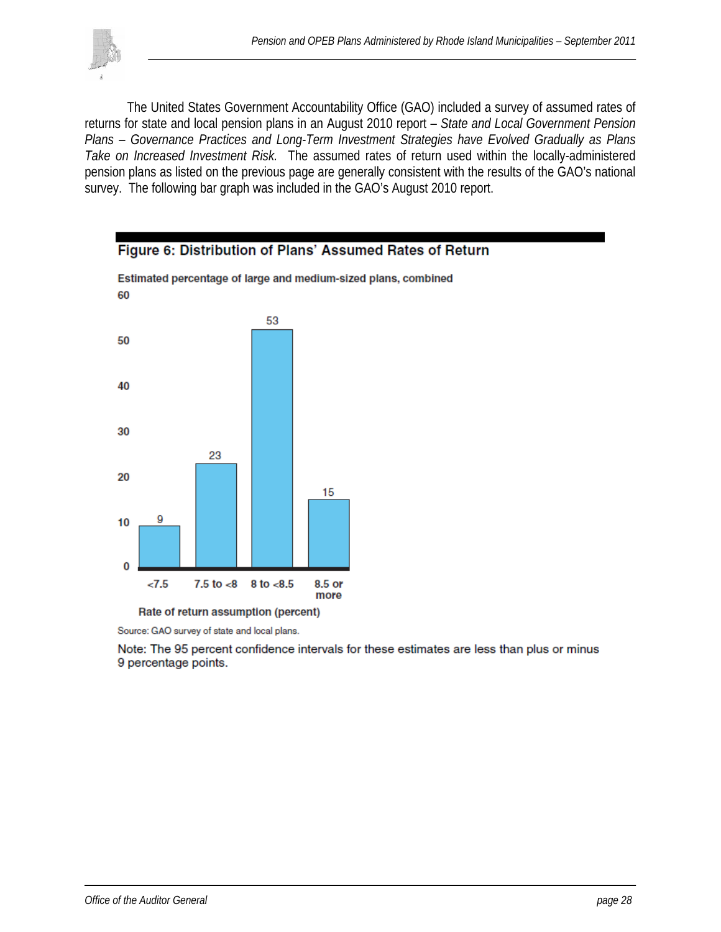

 The United States Government Accountability Office (GAO) included a survey of assumed rates of returns for state and local pension plans in an August 2010 report – *State and Local Government Pension Plans – Governance Practices and Long-Term Investment Strategies have Evolved Gradually as Plans Take on Increased Investment Risk.* The assumed rates of return used within the locally-administered pension plans as listed on the previous page are generally consistent with the results of the GAO's national survey. The following bar graph was included in the GAO's August 2010 report.



Source: GAO survey of state and local plans.

Note: The 95 percent confidence intervals for these estimates are less than plus or minus 9 percentage points.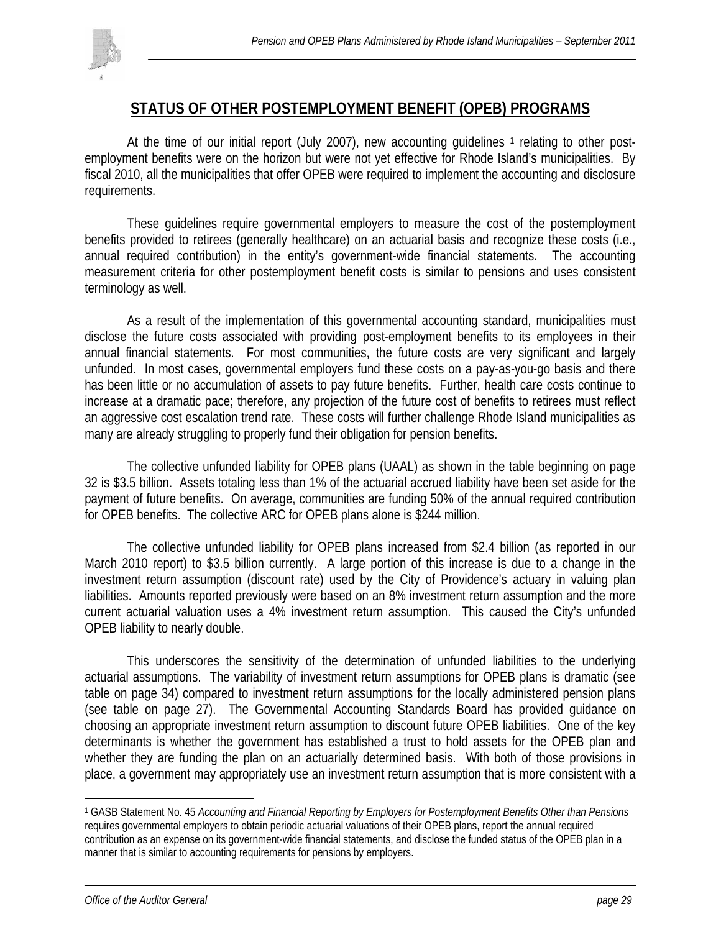

## **STATUS OF OTHER POSTEMPLOYMENT BENEFIT (OPEB) PROGRAMS**

At the time of our initial report (July 2007), new accounting guidelines  $1$  relating to other postemployment benefits were on the horizon but were not yet effective for Rhode Island's municipalities. By fiscal 2010, all the municipalities that offer OPEB were required to implement the accounting and disclosure requirements.

These guidelines require governmental employers to measure the cost of the postemployment benefits provided to retirees (generally healthcare) on an actuarial basis and recognize these costs (i.e., annual required contribution) in the entity's government-wide financial statements. The accounting measurement criteria for other postemployment benefit costs is similar to pensions and uses consistent terminology as well.

 As a result of the implementation of this governmental accounting standard, municipalities must disclose the future costs associated with providing post-employment benefits to its employees in their annual financial statements. For most communities, the future costs are very significant and largely unfunded. In most cases, governmental employers fund these costs on a pay-as-you-go basis and there has been little or no accumulation of assets to pay future benefits. Further, health care costs continue to increase at a dramatic pace; therefore, any projection of the future cost of benefits to retirees must reflect an aggressive cost escalation trend rate. These costs will further challenge Rhode Island municipalities as many are already struggling to properly fund their obligation for pension benefits.

The collective unfunded liability for OPEB plans (UAAL) as shown in the table beginning on page 32 is \$3.5 billion. Assets totaling less than 1% of the actuarial accrued liability have been set aside for the payment of future benefits. On average, communities are funding 50% of the annual required contribution for OPEB benefits. The collective ARC for OPEB plans alone is \$244 million.

 The collective unfunded liability for OPEB plans increased from \$2.4 billion (as reported in our March 2010 report) to \$3.5 billion currently. A large portion of this increase is due to a change in the investment return assumption (discount rate) used by the City of Providence's actuary in valuing plan liabilities. Amounts reported previously were based on an 8% investment return assumption and the more current actuarial valuation uses a 4% investment return assumption. This caused the City's unfunded OPEB liability to nearly double.

 This underscores the sensitivity of the determination of unfunded liabilities to the underlying actuarial assumptions. The variability of investment return assumptions for OPEB plans is dramatic (see table on page 34) compared to investment return assumptions for the locally administered pension plans (see table on page 27). The Governmental Accounting Standards Board has provided guidance on choosing an appropriate investment return assumption to discount future OPEB liabilities. One of the key determinants is whether the government has established a trust to hold assets for the OPEB plan and whether they are funding the plan on an actuarially determined basis. With both of those provisions in place, a government may appropriately use an investment return assumption that is more consistent with a

1

<sup>1</sup> GASB Statement No. 45 *Accounting and Financial Reporting by Employers for Postemployment Benefits Other than Pensions* requires governmental employers to obtain periodic actuarial valuations of their OPEB plans, report the annual required contribution as an expense on its government-wide financial statements, and disclose the funded status of the OPEB plan in a manner that is similar to accounting requirements for pensions by employers.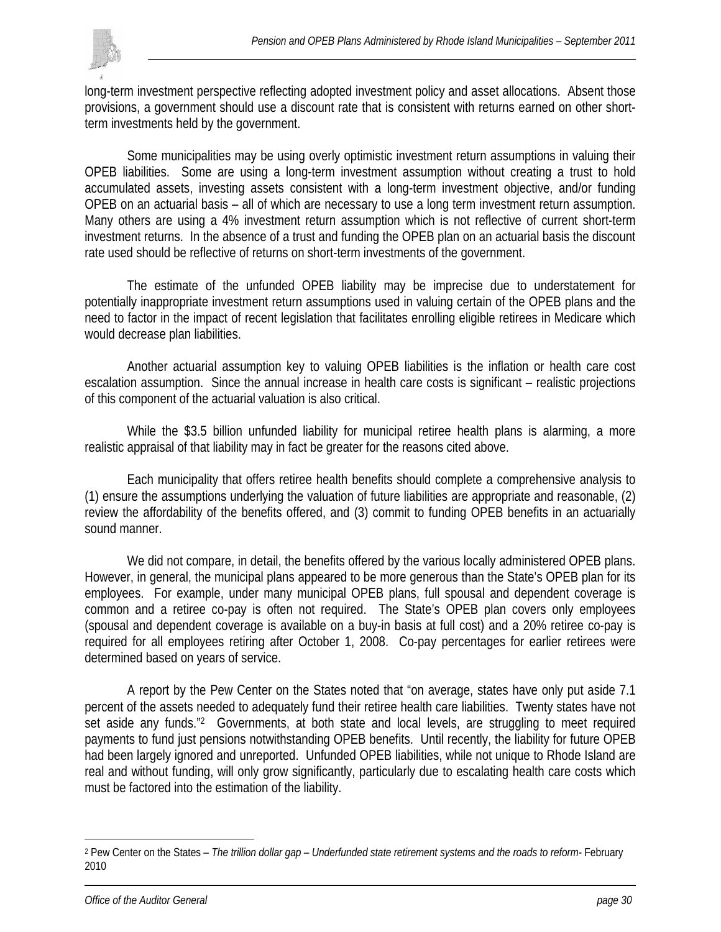

long-term investment perspective reflecting adopted investment policy and asset allocations. Absent those provisions, a government should use a discount rate that is consistent with returns earned on other shortterm investments held by the government.

 Some municipalities may be using overly optimistic investment return assumptions in valuing their OPEB liabilities. Some are using a long-term investment assumption without creating a trust to hold accumulated assets, investing assets consistent with a long-term investment objective, and/or funding OPEB on an actuarial basis – all of which are necessary to use a long term investment return assumption. Many others are using a 4% investment return assumption which is not reflective of current short-term investment returns. In the absence of a trust and funding the OPEB plan on an actuarial basis the discount rate used should be reflective of returns on short-term investments of the government.

The estimate of the unfunded OPEB liability may be imprecise due to understatement for potentially inappropriate investment return assumptions used in valuing certain of the OPEB plans and the need to factor in the impact of recent legislation that facilitates enrolling eligible retirees in Medicare which would decrease plan liabilities.

 Another actuarial assumption key to valuing OPEB liabilities is the inflation or health care cost escalation assumption. Since the annual increase in health care costs is significant – realistic projections of this component of the actuarial valuation is also critical.

While the \$3.5 billion unfunded liability for municipal retiree health plans is alarming, a more realistic appraisal of that liability may in fact be greater for the reasons cited above.

Each municipality that offers retiree health benefits should complete a comprehensive analysis to (1) ensure the assumptions underlying the valuation of future liabilities are appropriate and reasonable, (2) review the affordability of the benefits offered, and (3) commit to funding OPEB benefits in an actuarially sound manner.

We did not compare, in detail, the benefits offered by the various locally administered OPEB plans. However, in general, the municipal plans appeared to be more generous than the State's OPEB plan for its employees. For example, under many municipal OPEB plans, full spousal and dependent coverage is common and a retiree co-pay is often not required. The State's OPEB plan covers only employees (spousal and dependent coverage is available on a buy-in basis at full cost) and a 20% retiree co-pay is required for all employees retiring after October 1, 2008. Co-pay percentages for earlier retirees were determined based on years of service.

A report by the Pew Center on the States noted that "on average, states have only put aside 7.1 percent of the assets needed to adequately fund their retiree health care liabilities. Twenty states have not set aside any funds."<sup>2</sup> Governments, at both state and local levels, are struggling to meet required payments to fund just pensions notwithstanding OPEB benefits. Until recently, the liability for future OPEB had been largely ignored and unreported. Unfunded OPEB liabilities, while not unique to Rhode Island are real and without funding, will only grow significantly, particularly due to escalating health care costs which must be factored into the estimation of the liability.

1

<sup>2</sup> Pew Center on the States – *The trillion dollar gap – Underfunded state retirement systems and the roads to reform-* February 2010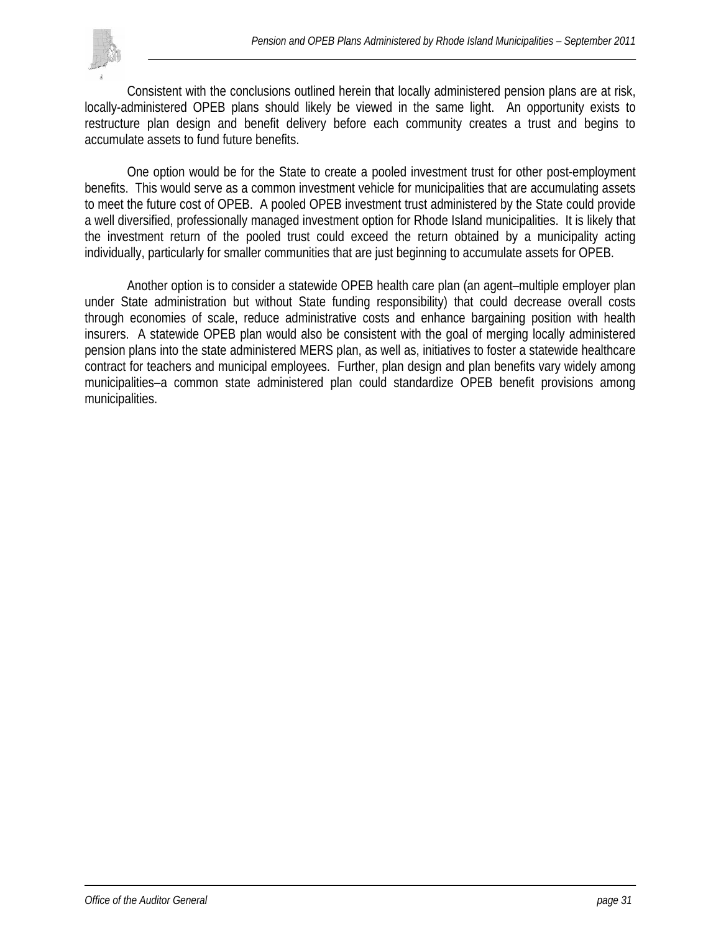

Consistent with the conclusions outlined herein that locally administered pension plans are at risk, locally-administered OPEB plans should likely be viewed in the same light. An opportunity exists to restructure plan design and benefit delivery before each community creates a trust and begins to accumulate assets to fund future benefits.

 One option would be for the State to create a pooled investment trust for other post-employment benefits. This would serve as a common investment vehicle for municipalities that are accumulating assets to meet the future cost of OPEB. A pooled OPEB investment trust administered by the State could provide a well diversified, professionally managed investment option for Rhode Island municipalities. It is likely that the investment return of the pooled trust could exceed the return obtained by a municipality acting individually, particularly for smaller communities that are just beginning to accumulate assets for OPEB.

 Another option is to consider a statewide OPEB health care plan (an agent–multiple employer plan under State administration but without State funding responsibility) that could decrease overall costs through economies of scale, reduce administrative costs and enhance bargaining position with health insurers. A statewide OPEB plan would also be consistent with the goal of merging locally administered pension plans into the state administered MERS plan, as well as, initiatives to foster a statewide healthcare contract for teachers and municipal employees. Further, plan design and plan benefits vary widely among municipalities–a common state administered plan could standardize OPEB benefit provisions among municipalities.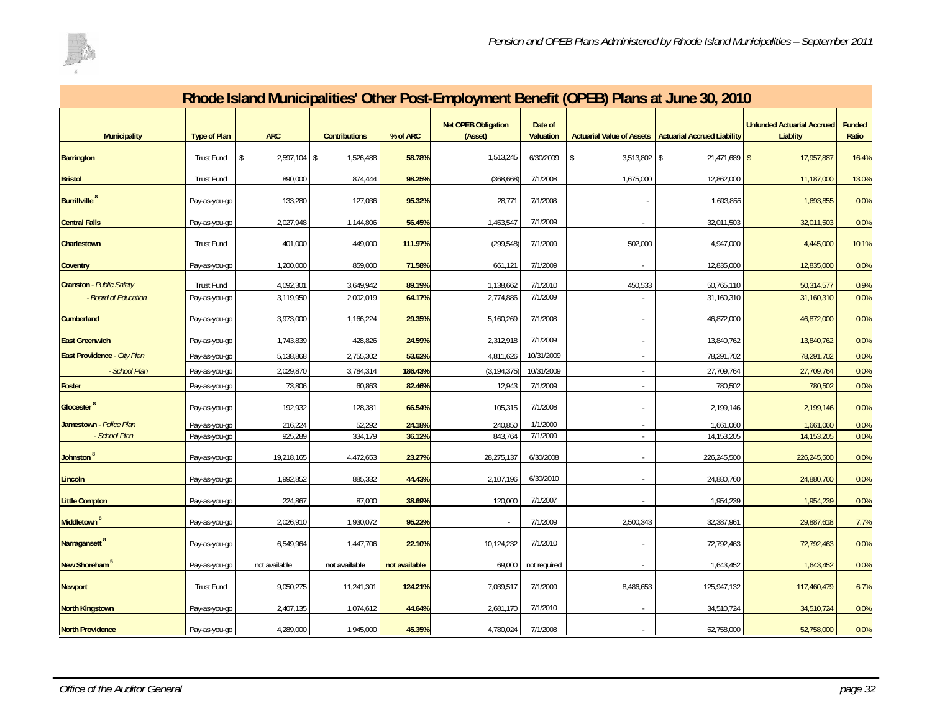

| Rhode Island Municipalities' Other Post-Employment Benefit (OPEB) Plans at June 30, 2010 |                                |                     |                      |                   |                                       |                             |                          |                                                         |                                               |                 |  |  |
|------------------------------------------------------------------------------------------|--------------------------------|---------------------|----------------------|-------------------|---------------------------------------|-----------------------------|--------------------------|---------------------------------------------------------|-----------------------------------------------|-----------------|--|--|
| <b>Municipality</b>                                                                      | <b>Type of Plan</b>            | <b>ARC</b>          | <b>Contributions</b> | % of ARC          | <b>Net OPEB Obligation</b><br>(Asset) | Date of<br><b>Valuation</b> |                          | Actuarial Value of Assets   Actuarial Accrued Liability | <b>Unfunded Actuarial Accrued</b><br>Liablity | Funded<br>Ratio |  |  |
| <b>Barrington</b>                                                                        | <b>Trust Fund</b>              | 2,597,104           | 1,526,488            | 58.78%            | 1,513,245                             | 6/30/2009                   | 3,513,802                | $21,471,689$ \$<br>l \$                                 | 17,957,887                                    | 16.4%           |  |  |
| <b>Bristol</b>                                                                           | <b>Trust Fund</b>              | 890,000             | 874,444              | 98.25%            | (368, 668)                            | 7/1/2008                    | 1,675,000                | 12,862,000                                              | 11,187,000                                    | 13.0%           |  |  |
| <b>Burrillville<sup>8</sup></b>                                                          | Pay-as-you-go                  | 133,280             | 127,036              | 95.32%            | 28,771                                | 7/1/2008                    |                          | 1,693,855                                               | 1,693,855                                     | 0.0%            |  |  |
| <b>Central Falls</b>                                                                     | Pay-as-you-go                  | 2,027,948           | 1,144,806            | 56.45%            | 1,453,547                             | 7/1/2009                    |                          | 32,011,503                                              | 32,011,503                                    | 0.0%            |  |  |
| Charlestown                                                                              | Trust Fund                     | 401,000             | 449,000              | 111.97%           | (299, 548)                            | 7/1/2009                    | 502,000                  | 4,947,000                                               | 4,445,000                                     | 10.1%           |  |  |
| <b>Coventry</b>                                                                          | Pay-as-you-go                  | 1,200,000           | 859,000              | 71.58%            | 661,121                               | 7/1/2009                    |                          | 12,835,000                                              | 12,835,000                                    | 0.0%            |  |  |
| <b>Cranston</b> - Public Safety                                                          | Trust Fund                     | 4,092,301           | 3,649,942            | 89.19%            | 1,138,662                             | 7/1/2010                    | 450,533                  | 50,765,110                                              | 50,314,577                                    | 0.9%            |  |  |
| - Board of Education                                                                     | Pay-as-you-go                  | 3,119,950           | 2,002,019            | 64.17%            | 2,774,886                             | 7/1/2009                    |                          | 31,160,310                                              | 31,160,310                                    | 0.0%            |  |  |
| <b>Cumberland</b>                                                                        | Pay-as-you-go                  | 3,973,000           | 1,166,224            | 29.35%            | 5,160,269                             | 7/1/2008                    |                          | 46,872,000                                              | 46,872,000                                    | 0.0%            |  |  |
| <b>East Greenwich</b>                                                                    | Pay-as-you-go                  | 1,743,839           | 428,826              | 24.59%            | 2,312,918                             | 7/1/2009                    | $\overline{\phantom{a}}$ | 13,840,762                                              | 13,840,762                                    | 0.0%            |  |  |
| East Providence - City Plan<br>- School Plan                                             | Pay-as-you-go                  | 5,138,868           | 2,755,302            | 53.62%            | 4,811,626                             | 10/31/2009                  |                          | 78,291,702                                              | 78,291,702                                    | 0.0%            |  |  |
| <b>Foster</b>                                                                            | Pay-as-you-go<br>Pay-as-you-go | 2,029,870<br>73,806 | 3,784,314<br>60,863  | 186.43%<br>82.46% | (3, 194, 375)<br>12,943               | 10/31/2009<br>7/1/2009      |                          | 27,709,764<br>780,502                                   | 27,709,764<br>780,502                         | 0.0%<br>0.0%    |  |  |
| Glocester <sup>8</sup>                                                                   | Pay-as-you-go                  | 192,932             | 128,381              | 66.54%            | 105,315                               | 7/1/2008                    |                          | 2,199,146                                               | 2,199,146                                     | 0.0%            |  |  |
| Jamestown - Police Plan                                                                  | Pay-as-you-go                  | 216,224             | 52,292               | 24.18%            | 240,850                               | 1/1/2009                    |                          | 1,661,060                                               | 1,661,060                                     | 0.0%            |  |  |
| - School Plan                                                                            | Pay-as-you-go                  | 925,289             | 334,179              | 36.12%            | 843,764                               | 7/1/2009                    | $\epsilon$               | 14, 153, 205                                            | 14,153,205                                    | 0.0%            |  |  |
| Johnston <sup>8</sup>                                                                    | Pay-as-you-go                  | 19,218,165          | 4,472,653            | 23.27%            | 28,275,137                            | 6/30/2008                   |                          | 226,245,500                                             | 226,245,500                                   | 0.0%            |  |  |
| Lincoln                                                                                  | Pay-as-you-go                  | 1,992,852           | 885,332              | 44.43%            | 2,107,196                             | 6/30/2010                   |                          | 24,880,760                                              | 24,880,760                                    | 0.0%            |  |  |
| <b>Little Compton</b>                                                                    | Pay-as-you-go                  | 224,867             | 87,000               | 38.69%            | 120,000                               | 7/1/2007                    |                          | 1,954,239                                               | 1,954,239                                     | 0.0%            |  |  |
| Middletown <sup>8</sup>                                                                  | Pay-as-you-go                  | 2,026,910           | 1,930,072            | 95.22%            | $\sim$                                | 7/1/2009                    | 2,500,343                | 32,387,961                                              | 29,887,618                                    | 7.7%            |  |  |
| Narragansett <sup>8</sup>                                                                | Pay-as-you-go                  | 6,549,964           | 1,447,706            | 22.10%            | 10,124,232                            | 7/1/2010                    |                          | 72,792,463                                              | 72,792,463                                    | 0.0%            |  |  |
| New Shoreham <sup>5</sup>                                                                | Pay-as-you-go                  | not available       | not available        | not available     | 69,000                                | not required                |                          | 1,643,452                                               | 1,643,452                                     | 0.0%            |  |  |
| <b>Newport</b>                                                                           | Trust Fund                     | 9,050,275           | 11,241,301           | 124.21%           | 7,039,517                             | 7/1/2009                    | 8,486,653                | 125,947,132                                             | 117,460,479                                   | 6.7%            |  |  |
| <b>North Kingstown</b>                                                                   | Pay-as-you-go                  | 2,407,135           | 1,074,612            | 44.64%            | 2,681,170                             | 7/1/2010                    |                          | 34,510,724                                              | 34,510,724                                    | 0.0%            |  |  |
| <b>North Providence</b>                                                                  | Pay-as-you-go                  | 4,289,000           | 1,945,000            | 45.35%            | 4,780,024                             | 7/1/2008                    |                          | 52,758,000                                              | 52,758,000                                    | 0.0%            |  |  |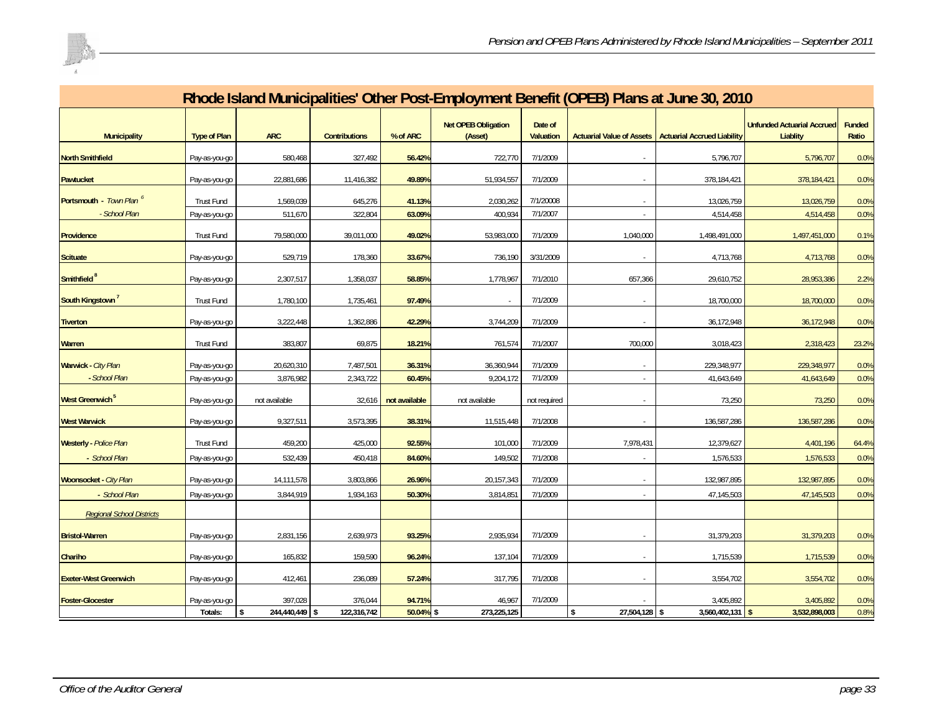

| Rhode Island Municipalities' Other Post-Employment Benefit (OPEB) Plans at June 30, 2010 |                     |                                       |                      |               |                                       |                             |                     |                                                         |                                               |                        |  |
|------------------------------------------------------------------------------------------|---------------------|---------------------------------------|----------------------|---------------|---------------------------------------|-----------------------------|---------------------|---------------------------------------------------------|-----------------------------------------------|------------------------|--|
| <b>Municipality</b>                                                                      | <b>Type of Plan</b> | <b>ARC</b>                            | <b>Contributions</b> | % of ARC      | <b>Net OPEB Obligation</b><br>(Asset) | Date of<br><b>Valuation</b> |                     | Actuarial Value of Assets   Actuarial Accrued Liability | <b>Unfunded Actuarial Accrued</b><br>Liablity | <b>Funded</b><br>Ratio |  |
| <b>North Smithfield</b>                                                                  | Pay-as-you-go       | 580,468                               | 327,492              | 56.42%        | 722,770                               | 7/1/2009                    |                     | 5,796,707                                               | 5,796,707                                     | 0.0%                   |  |
| <b>Pawtucket</b>                                                                         | Pay-as-you-go       | 22,881,686                            | 11,416,382           | 49.89%        | 51,934,557                            | 7/1/2009                    |                     | 378,184,421                                             | 378,184,421                                   | 0.0%                   |  |
| Portsmouth - Town Plan <sup>6</sup>                                                      | <b>Trust Fund</b>   | 1,569,039                             | 645,276              | 41.13%        | 2,030,262                             | 7/1/20008                   |                     | 13,026,759                                              | 13,026,759                                    | 0.0%                   |  |
| - School Plan                                                                            | Pay-as-you-go       | 511,670                               | 322,804              | 63.09%        | 400,934                               | 7/1/2007                    |                     | 4,514,458                                               | 4,514,458                                     | 0.0%                   |  |
| Providence                                                                               | <b>Trust Fund</b>   | 79,580,000                            | 39,011,000           | 49.02%        | 53,983,000                            | 7/1/2009                    | 1,040,000           | 1,498,491,000                                           | 1,497,451,000                                 | 0.1%                   |  |
| <b>Scituate</b>                                                                          | Pay-as-you-go       | 529,719                               | 178,360              | 33.67%        | 736,190                               | 3/31/2009                   |                     | 4,713,768                                               | 4,713,768                                     | 0.0%                   |  |
| Smithfield <sup>8</sup>                                                                  | Pay-as-you-go       | 2,307,517                             | 1,358,037            | 58.85%        | 1,778,967                             | 7/1/2010                    | 657,366             | 29,610,752                                              | 28,953,386                                    | 2.2%                   |  |
| South Kingstown                                                                          | Trust Fund          | 1,780,100                             | 1,735,461            | 97.49%        |                                       | 7/1/2009                    |                     | 18,700,000                                              | 18,700,000                                    | 0.0%                   |  |
| <b>Tiverton</b>                                                                          | Pay-as-you-go       | 3,222,448                             | 1,362,886            | 42.29%        | 3,744,209                             | 7/1/2009                    |                     | 36,172,948                                              | 36,172,948                                    | 0.0%                   |  |
| <b>Warren</b>                                                                            | <b>Trust Fund</b>   | 383,807                               | 69,875               | 18.21%        | 761,574                               | 7/1/2007                    | 700,000             | 3,018,423                                               | 2,318,423                                     | 23.2%                  |  |
| Warwick - City Plan                                                                      | Pay-as-you-go       | 20,620,310                            | 7,487,501            | 36.31%        | 36,360,944                            | 7/1/2009                    |                     | 229,348,977                                             | 229,348,977                                   | 0.0%                   |  |
| - School Plan                                                                            | Pay-as-you-go       | 3,876,982                             | 2,343,722            | 60.45%        | 9,204,172                             | 7/1/2009                    |                     | 41,643,649                                              | 41,643,649                                    | 0.0%                   |  |
| West Greenwich <sup>5</sup>                                                              | Pay-as-you-go       | not available                         | 32,616               | not available | not available                         | not required                |                     | 73,250                                                  | 73,250                                        | 0.0%                   |  |
| <b>West Warwick</b>                                                                      | Pay-as-you-go       | 9,327,511                             | 3,573,395            | 38.31%        | 11,515,448                            | 7/1/2008                    |                     | 136,587,286                                             | 136,587,286                                   | 0.0%                   |  |
| <b>Westerly</b> - Police Plan                                                            | Trust Fund          | 459,200                               | 425,000              | 92.55%        | 101,000                               | 7/1/2009                    | 7,978,431           | 12,379,627                                              | 4,401,196                                     | 64.4%                  |  |
| - School Plan                                                                            | Pay-as-you-go       | 532,439                               | 450,418              | 84.60%        | 149,502                               | 7/1/2008                    |                     | 1,576,533                                               | 1,576,533                                     | 0.0%                   |  |
| <b>Woonsocket - City Plan</b>                                                            | Pay-as-you-go       | 14,111,578                            | 3,803,866            | 26.96%        | 20, 157, 343                          | 7/1/2009                    |                     | 132,987,895                                             | 132,987,895                                   | 0.0%                   |  |
| - School Plan                                                                            | Pay-as-you-go       | 3,844,919                             | 1,934,163            | 50.30%        | 3,814,85                              | 7/1/2009                    |                     | 47,145,503                                              | 47,145,503                                    | 0.0%                   |  |
| <b>Regional School Districts</b>                                                         |                     |                                       |                      |               |                                       |                             |                     |                                                         |                                               |                        |  |
| <b>Bristol-Warren</b>                                                                    | Pay-as-you-go       | 2,831,156                             | 2,639,973            | 93.25%        | 2,935,934                             | 7/1/2009                    |                     | 31,379,203                                              | 31,379,203                                    | 0.0%                   |  |
| Chariho                                                                                  | Pay-as-you-go       | 165,832                               | 159,590              | 96.24%        | 137,104                               | 7/1/2009                    |                     | 1,715,539                                               | 1,715,539                                     | 0.0%                   |  |
| <b>Exeter-West Greenwich</b>                                                             | Pay-as-you-go       | 412,461                               | 236,089              | 57.24%        | 317,795                               | 7/1/2008                    |                     | 3,554,702                                               | 3,554,702                                     | 0.0%                   |  |
| <b>Foster-Glocester</b>                                                                  | Pay-as-you-go       | 397,028                               | 376,044              | 94.71%        | 46,967                                | 7/1/2009                    |                     | 3,405,892                                               | 3,405,892                                     | 0.0%                   |  |
|                                                                                          | Totals:             | $\overline{244,440},449$ \$<br>$\sim$ | 122,316,742          | $50.04\%$ \$  | 273,225,125                           |                             | 27,504,128 \$<br>\$ | $3,560,402,131$ \$                                      | 3,532,898,003                                 | 0.8%                   |  |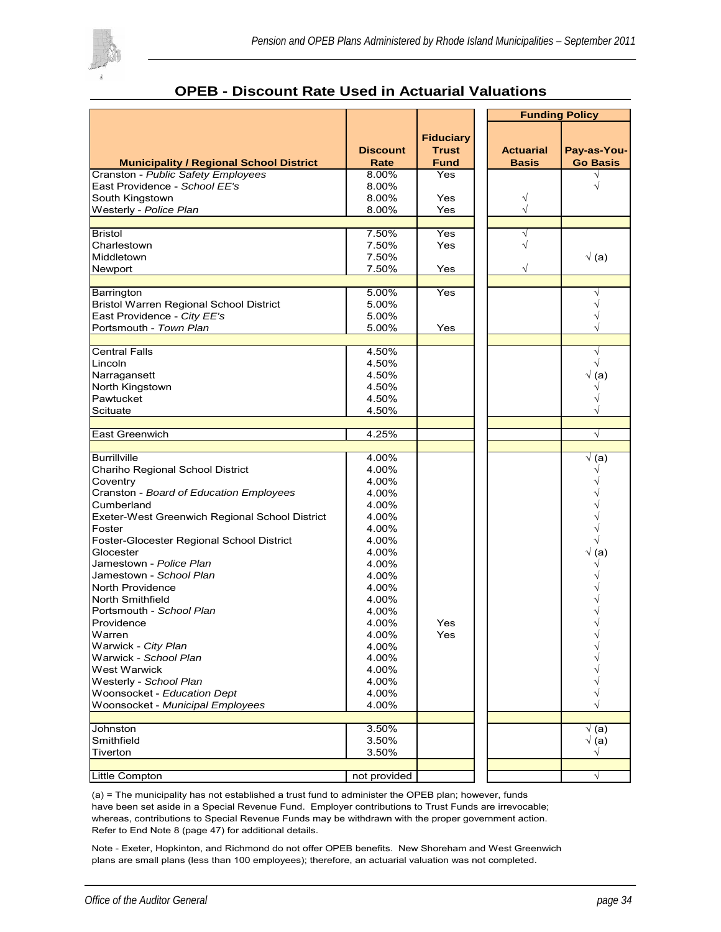

|                                                |                         |                             |                                  | <b>Funding Policy</b>          |
|------------------------------------------------|-------------------------|-----------------------------|----------------------------------|--------------------------------|
|                                                |                         | <b>Fiduciary</b>            |                                  |                                |
| <b>Municipality / Regional School District</b> | <b>Discount</b><br>Rate | <b>Trust</b><br><b>Fund</b> | <b>Actuarial</b><br><b>Basis</b> | Pay-as-You-<br><b>Go Basis</b> |
| Cranston - Public Safety Employees             | 8.00%                   | Yes                         |                                  |                                |
| East Providence - School EE's                  | 8.00%                   |                             |                                  |                                |
| South Kingstown                                | 8.00%                   | Yes                         |                                  |                                |
| Westerly - Police Plan                         | 8.00%                   | Yes                         |                                  |                                |
|                                                |                         |                             |                                  |                                |
| <b>Bristol</b>                                 | 7.50%<br>7.50%          | Yes<br>Yes                  | √                                |                                |
| Charlestown<br>Middletown                      | 7.50%                   |                             |                                  | $\sqrt(a)$                     |
| Newport                                        | 7.50%                   | Yes                         |                                  |                                |
|                                                |                         |                             |                                  |                                |
| Barrington                                     | 5.00%                   | Yes                         |                                  |                                |
| <b>Bristol Warren Regional School District</b> | 5.00%                   |                             |                                  |                                |
| East Providence - City EE's                    | 5.00%                   |                             |                                  |                                |
| Portsmouth - Town Plan                         | 5.00%                   | Yes                         |                                  |                                |
|                                                |                         |                             |                                  |                                |
| <b>Central Falls</b>                           | 4.50%                   |                             |                                  | V                              |
| Lincoln                                        | 4.50%                   |                             |                                  | $\sqrt{}$                      |
| Narragansett                                   | 4.50%                   |                             |                                  | $\sqrt(a)$                     |
| North Kingstown                                | 4.50%                   |                             |                                  |                                |
| Pawtucket                                      | 4.50%                   |                             |                                  |                                |
| Scituate                                       | 4.50%                   |                             |                                  |                                |
|                                                | 4.25%                   |                             |                                  | $\sqrt{}$                      |
| East Greenwich                                 |                         |                             |                                  |                                |
| <b>Burrillville</b>                            | 4.00%                   |                             |                                  | $\sqrt{a}$                     |
| Chariho Regional School District               | 4.00%                   |                             |                                  |                                |
| Coventry                                       | 4.00%                   |                             |                                  |                                |
| Cranston - Board of Education Employees        | 4.00%                   |                             |                                  |                                |
| Cumberland                                     | 4.00%                   |                             |                                  |                                |
| Exeter-West Greenwich Regional School District | 4.00%                   |                             |                                  |                                |
| Foster                                         | 4.00%                   |                             |                                  |                                |
| Foster-Glocester Regional School District      | 4.00%                   |                             |                                  |                                |
| Glocester                                      | 4.00%                   |                             |                                  | $\sqrt(a)$                     |
| Jamestown - Police Plan                        | 4.00%                   |                             |                                  |                                |
| Jamestown - School Plan                        | 4.00%                   |                             |                                  |                                |
| North Providence                               | 4.00%                   |                             |                                  |                                |
| North Smithfield                               | 4.00%                   |                             |                                  |                                |
| Portsmouth - School Plan                       | 4.00%                   |                             |                                  |                                |
| Providence                                     | 4.00%                   | Yes                         |                                  |                                |
| Warren<br>Warwick - City Plan                  | 4.00%<br>4.00%          | Yes                         |                                  |                                |
| Warwick - School Plan                          | 4.00%                   |                             |                                  |                                |
| West Warwick                                   | 4.00%                   |                             |                                  |                                |
| Westerly - School Plan                         | 4.00%                   |                             |                                  |                                |
| Woonsocket - Education Dept                    | 4.00%                   |                             |                                  |                                |
| Woonsocket - Municipal Employees               | 4.00%                   |                             |                                  |                                |
|                                                |                         |                             |                                  |                                |
| Johnston                                       | 3.50%                   |                             |                                  | √ (a)                          |
| Smithfield                                     | 3.50%                   |                             |                                  | √ (a)                          |
| Tiverton                                       | 3.50%                   |                             |                                  | √                              |
|                                                |                         |                             |                                  | $\sqrt{ }$                     |
| Little Compton                                 | not provided            |                             |                                  |                                |

### **OPEB - Discount Rate Used in Actuarial Valuations**

(a) = The municipality has not established a trust fund to administer the OPEB plan; however, funds have been set aside in a Special Revenue Fund. Employer contributions to Trust Funds are irrevocable; whereas, contributions to Special Revenue Funds may be withdrawn with the proper government action. Refer to End Note 8 (page 47) for additional details.

Note - Exeter, Hopkinton, and Richmond do not offer OPEB benefits. New Shoreham and West Greenwich plans are small plans (less than 100 employees); therefore, an actuarial valuation was not completed.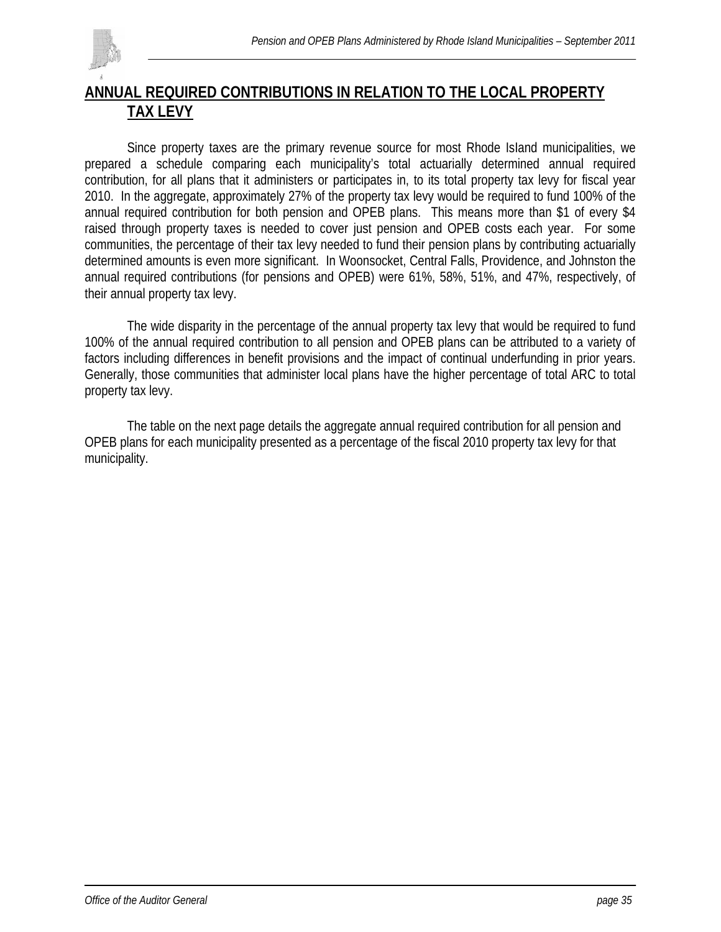

# **ANNUAL REQUIRED CONTRIBUTIONS IN RELATION TO THE LOCAL PROPERTY TAX LEVY**

Since property taxes are the primary revenue source for most Rhode IsIand municipalities, we prepared a schedule comparing each municipality's total actuarially determined annual required contribution, for all plans that it administers or participates in, to its total property tax levy for fiscal year 2010. In the aggregate, approximately 27% of the property tax levy would be required to fund 100% of the annual required contribution for both pension and OPEB plans. This means more than \$1 of every \$4 raised through property taxes is needed to cover just pension and OPEB costs each year. For some communities, the percentage of their tax levy needed to fund their pension plans by contributing actuarially determined amounts is even more significant. In Woonsocket, Central Falls, Providence, and Johnston the annual required contributions (for pensions and OPEB) were 61%, 58%, 51%, and 47%, respectively, of their annual property tax levy.

The wide disparity in the percentage of the annual property tax levy that would be required to fund 100% of the annual required contribution to all pension and OPEB plans can be attributed to a variety of factors including differences in benefit provisions and the impact of continual underfunding in prior years. Generally, those communities that administer local plans have the higher percentage of total ARC to total property tax levy.

 The table on the next page details the aggregate annual required contribution for all pension and OPEB plans for each municipality presented as a percentage of the fiscal 2010 property tax levy for that municipality.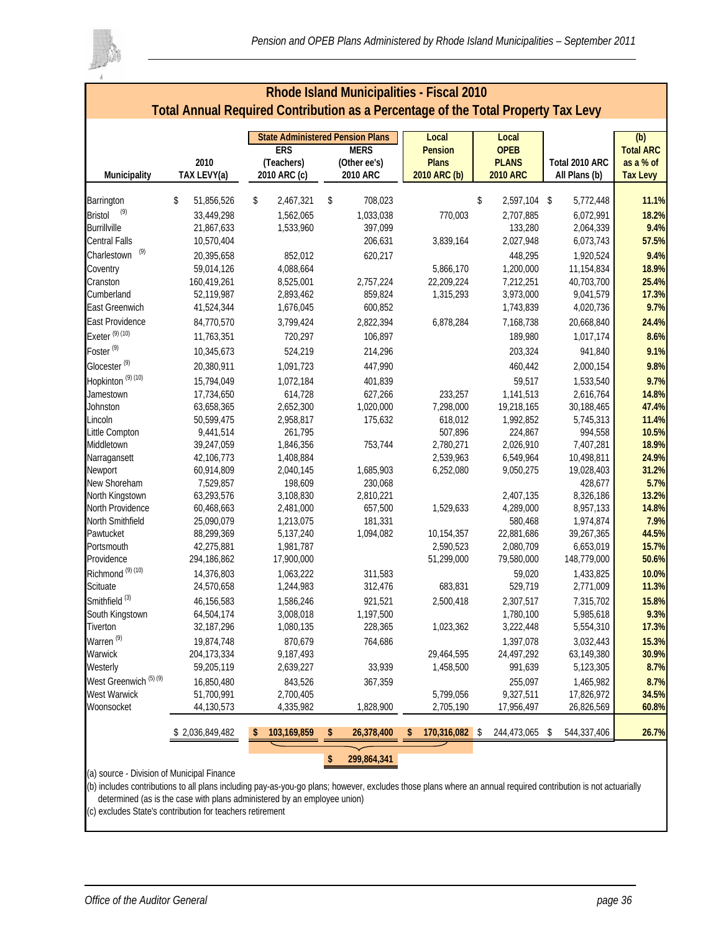

| Rhode Island Municipalities - Fiscal 2010<br>Total Annual Required Contribution as a Percentage of the Total Property Tax Levy |                          |                                         |    |                      |                |    |                      |                         |                  |  |  |
|--------------------------------------------------------------------------------------------------------------------------------|--------------------------|-----------------------------------------|----|----------------------|----------------|----|----------------------|-------------------------|------------------|--|--|
|                                                                                                                                |                          |                                         |    |                      |                |    |                      |                         |                  |  |  |
|                                                                                                                                |                          | <b>State Administered Pension Plans</b> |    |                      | Local          |    | Local                |                         | (b)              |  |  |
|                                                                                                                                |                          | <b>ERS</b>                              |    | <b>MERS</b>          | <b>Pension</b> |    | <b>OPEB</b>          |                         | <b>Total ARC</b> |  |  |
|                                                                                                                                | 2010                     | (Teachers)                              |    | (Other ee's)         | <b>Plans</b>   |    | <b>PLANS</b>         | Total 2010 ARC          | as a % of        |  |  |
| Municipality                                                                                                                   | TAX LEVY(a)              | 2010 ARC (c)                            |    | 2010 ARC             | 2010 ARC (b)   |    | <b>2010 ARC</b>      | All Plans (b)           | <b>Tax Levy</b>  |  |  |
| Barrington                                                                                                                     | \$<br>51,856,526         | \$<br>2,467,321                         | \$ | 708,023              |                | \$ | 2,597,104 \$         | 5,772,448               | 11.1%            |  |  |
| (9)<br><b>Bristol</b>                                                                                                          | 33,449,298               | 1,562,065                               |    | 1,033,038            | 770,003        |    | 2,707,885            | 6,072,991               | 18.2%            |  |  |
| <b>Burrillville</b>                                                                                                            | 21,867,633               | 1,533,960                               |    | 397,099              |                |    | 133,280              | 2,064,339               | 9.4%             |  |  |
| Central Falls                                                                                                                  | 10,570,404               |                                         |    | 206,631              | 3,839,164      |    | 2,027,948            | 6,073,743               | 57.5%            |  |  |
| (9)<br>Charlestown                                                                                                             | 20,395,658               | 852,012                                 |    | 620,217              |                |    | 448,295              | 1,920,524               | 9.4%             |  |  |
| Coventry                                                                                                                       | 59,014,126               | 4,088,664                               |    |                      | 5,866,170      |    | 1,200,000            | 11,154,834              | 18.9%            |  |  |
| Cranston                                                                                                                       | 160,419,261              | 8,525,001                               |    | 2,757,224            | 22,209,224     |    | 7,212,251            | 40,703,700              | 25.4%            |  |  |
| Cumberland                                                                                                                     | 52,119,987               | 2,893,462                               |    | 859,824              | 1,315,293      |    | 3,973,000            | 9,041,579               | 17.3%            |  |  |
| East Greenwich                                                                                                                 | 41,524,344               | 1,676,045                               |    | 600,852              |                |    | 1,743,839            | 4,020,736               | 9.7%             |  |  |
| East Providence                                                                                                                |                          |                                         |    |                      |                |    |                      |                         |                  |  |  |
| Exeter <sup>(9)(10)</sup>                                                                                                      | 84,770,570<br>11,763,351 | 3,799,424<br>720,297                    |    | 2,822,394<br>106,897 | 6,878,284      |    | 7,168,738<br>189,980 | 20,668,840<br>1,017,174 | 24.4%<br>8.6%    |  |  |
| Foster <sup>(9)</sup>                                                                                                          |                          |                                         |    |                      |                |    |                      |                         |                  |  |  |
|                                                                                                                                | 10,345,673               | 524,219                                 |    | 214,296              |                |    | 203,324              | 941,840                 | 9.1%             |  |  |
| Glocester <sup>(9)</sup>                                                                                                       | 20,380,911               | 1,091,723                               |    | 447,990              |                |    | 460,442              | 2,000,154               | 9.8%             |  |  |
| Hopkinton <sup>(9)(10)</sup>                                                                                                   | 15,794,049               | 1,072,184                               |    | 401,839              |                |    | 59,517               | 1,533,540               | 9.7%             |  |  |
| Jamestown                                                                                                                      | 17,734,650               | 614,728                                 |    | 627,266              | 233,257        |    | 1,141,513            | 2,616,764               | 14.8%            |  |  |
| Johnston                                                                                                                       | 63,658,365               | 2,652,300                               |    | 1,020,000            | 7,298,000      |    | 19,218,165           | 30,188,465              | 47.4%            |  |  |
| Lincoln                                                                                                                        | 50,599,475               | 2,958,817                               |    | 175,632              | 618,012        |    | 1,992,852            | 5,745,313               | 11.4%            |  |  |
| Little Compton                                                                                                                 | 9,441,514                | 261,795                                 |    |                      | 507,896        |    | 224,867              | 994,558                 | 10.5%            |  |  |
| Middletown                                                                                                                     | 39,247,059               | 1,846,356                               |    | 753,744              | 2,780,271      |    | 2,026,910            | 7,407,281               | 18.9%            |  |  |
| Narragansett                                                                                                                   | 42,106,773               | 1,408,884                               |    |                      | 2,539,963      |    | 6,549,964            | 10,498,811              | 24.9%            |  |  |
| Newport                                                                                                                        | 60,914,809               | 2,040,145                               |    | 1,685,903            | 6,252,080      |    | 9,050,275            | 19,028,403              | 31.2%            |  |  |
| New Shoreham                                                                                                                   | 7,529,857                | 198,609                                 |    | 230,068              |                |    |                      | 428,677                 | 5.7%             |  |  |
| North Kingstown                                                                                                                | 63,293,576               | 3,108,830                               |    | 2,810,221            |                |    | 2,407,135            | 8,326,186               | 13.2%            |  |  |
| North Providence                                                                                                               | 60,468,663               | 2,481,000                               |    | 657,500              | 1,529,633      |    | 4,289,000            | 8,957,133               | 14.8%            |  |  |
| North Smithfield                                                                                                               | 25,090,079               | 1,213,075                               |    | 181,331              |                |    | 580,468              | 1,974,874               | 7.9%             |  |  |
| Pawtucket                                                                                                                      | 88,299,369               | 5,137,240                               |    | 1,094,082            | 10,154,357     |    | 22,881,686           | 39,267,365              | 44.5%            |  |  |
| Portsmouth                                                                                                                     | 42,275,881               | 1,981,787                               |    |                      | 2,590,523      |    | 2,080,709            | 6,653,019               | 15.7%            |  |  |
| Providence                                                                                                                     | 294,186,862              | 17,900,000                              |    |                      | 51,299,000     |    | 79,580,000           | 148,779,000             | 50.6%            |  |  |
| Richmond <sup>(9)(10)</sup>                                                                                                    | 14,376,803               | 1,063,222                               |    | 311,583              |                |    | 59.020               | 1,433,825               | 10.0%            |  |  |
| Scituate                                                                                                                       | 24,570,658               | 1,244,983                               |    | 312,476              | 683,831        |    | 529,719              | 2,771,009               | 11.3%            |  |  |
| Smithfield <sup>(3)</sup>                                                                                                      | 46,156,583               | 1,586,246                               |    | 921,521              | 2,500,418      |    | 2,307,517            | 7,315,702               | 15.8%            |  |  |
| South Kingstown                                                                                                                | 64,504,174               | 3,008,018                               |    | 1,197,500            |                |    | 1,780,100            | 5,985,618               | 9.3%             |  |  |
| Tiverton                                                                                                                       | 32, 187, 296             | 1,080,135                               |    | 228,365              | 1,023,362      |    | 3,222,448            | 5,554,310               | 17.3%            |  |  |
| Warren <sup>(9)</sup>                                                                                                          | 19,874,748               | 870,679                                 |    | 764,686              |                |    | 1,397,078            | 3,032,443               | 15.3%            |  |  |
| Warwick                                                                                                                        | 204, 173, 334            | 9,187,493                               |    |                      | 29,464,595     |    | 24,497,292           | 63,149,380              | 30.9%            |  |  |
| Westerly                                                                                                                       | 59,205,119               | 2,639,227                               |    | 33,939               | 1,458,500      |    | 991,639              | 5,123,305               | 8.7%             |  |  |
| West Greenwich <sup>(5)(9)</sup>                                                                                               | 16,850,480               | 843,526                                 |    | 367,359              |                |    | 255,097              | 1,465,982               | 8.7%             |  |  |
| <b>West Warwick</b>                                                                                                            | 51,700,991               | 2,700,405                               |    |                      | 5,799,056      |    | 9,327,511            | 17,826,972              | 34.5%            |  |  |
| Woonsocket                                                                                                                     | 44,130,573               | 4,335,982                               |    | 1,828,900            | 2,705,190      |    | 17,956,497           | 26,826,569              | 60.8%            |  |  |
|                                                                                                                                | \$2,036,849,482          | 103,169,859                             | \$ | 26,378,400           | 170,316,082 \$ |    | 244,473,065          | 544,337,406<br>-S       | 26.7%            |  |  |
|                                                                                                                                |                          |                                         | \$ | 299,864,341          |                |    |                      |                         |                  |  |  |
| (a) source - Division of Municipal Finance                                                                                     |                          |                                         |    |                      |                |    |                      |                         |                  |  |  |

(b) includes contributions to all plans including pay-as-you-go plans; however, excludes those plans where an annual required contribution is not actuarially determined (as is the case with plans administered by an employee union)

(c) excludes State's contribution for teachers retirement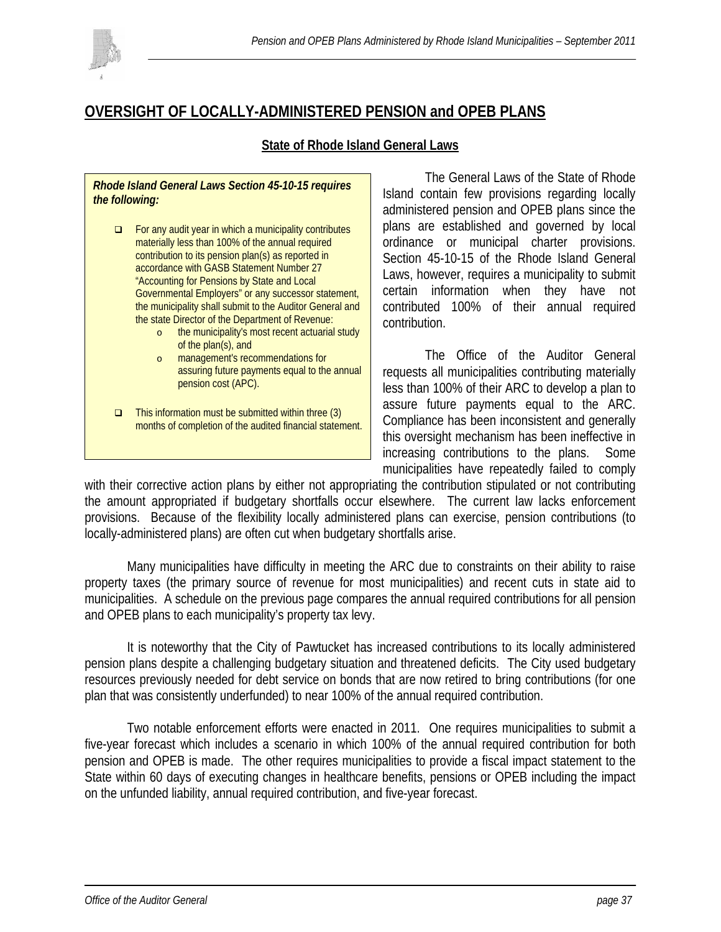

# **OVERSIGHT OF LOCALLY-ADMINISTERED PENSION and OPEB PLANS**

### **State of Rhode Island General Laws**

#### *Rhode Island General Laws Section 45-10-15 requires the following:*

- $\Box$  For any audit year in which a municipality contributes materially less than 100% of the annual required contribution to its pension plan(s) as reported in accordance with GASB Statement Number 27 "Accounting for Pensions by State and Local Governmental Employers" or any successor statement, the municipality shall submit to the Auditor General and the state Director of the Department of Revenue:
	- o the municipality's most recent actuarial study of the plan(s), and
	- o management's recommendations for assuring future payments equal to the annual pension cost (APC).
- $\Box$  This information must be submitted within three (3) months of completion of the audited financial statement.

The General Laws of the State of Rhode Island contain few provisions regarding locally administered pension and OPEB plans since the plans are established and governed by local ordinance or municipal charter provisions. Section 45-10-15 of the Rhode Island General Laws, however, requires a municipality to submit certain information when they have not contributed 100% of their annual required contribution.

 The Office of the Auditor General requests all municipalities contributing materially less than 100% of their ARC to develop a plan to assure future payments equal to the ARC. Compliance has been inconsistent and generally this oversight mechanism has been ineffective in increasing contributions to the plans. Some municipalities have repeatedly failed to comply

with their corrective action plans by either not appropriating the contribution stipulated or not contributing the amount appropriated if budgetary shortfalls occur elsewhere. The current law lacks enforcement provisions. Because of the flexibility locally administered plans can exercise, pension contributions (to locally-administered plans) are often cut when budgetary shortfalls arise.

 Many municipalities have difficulty in meeting the ARC due to constraints on their ability to raise property taxes (the primary source of revenue for most municipalities) and recent cuts in state aid to municipalities. A schedule on the previous page compares the annual required contributions for all pension and OPEB plans to each municipality's property tax levy.

 It is noteworthy that the City of Pawtucket has increased contributions to its locally administered pension plans despite a challenging budgetary situation and threatened deficits. The City used budgetary resources previously needed for debt service on bonds that are now retired to bring contributions (for one plan that was consistently underfunded) to near 100% of the annual required contribution.

Two notable enforcement efforts were enacted in 2011. One requires municipalities to submit a five-year forecast which includes a scenario in which 100% of the annual required contribution for both pension and OPEB is made. The other requires municipalities to provide a fiscal impact statement to the State within 60 days of executing changes in healthcare benefits, pensions or OPEB including the impact on the unfunded liability, annual required contribution, and five-year forecast.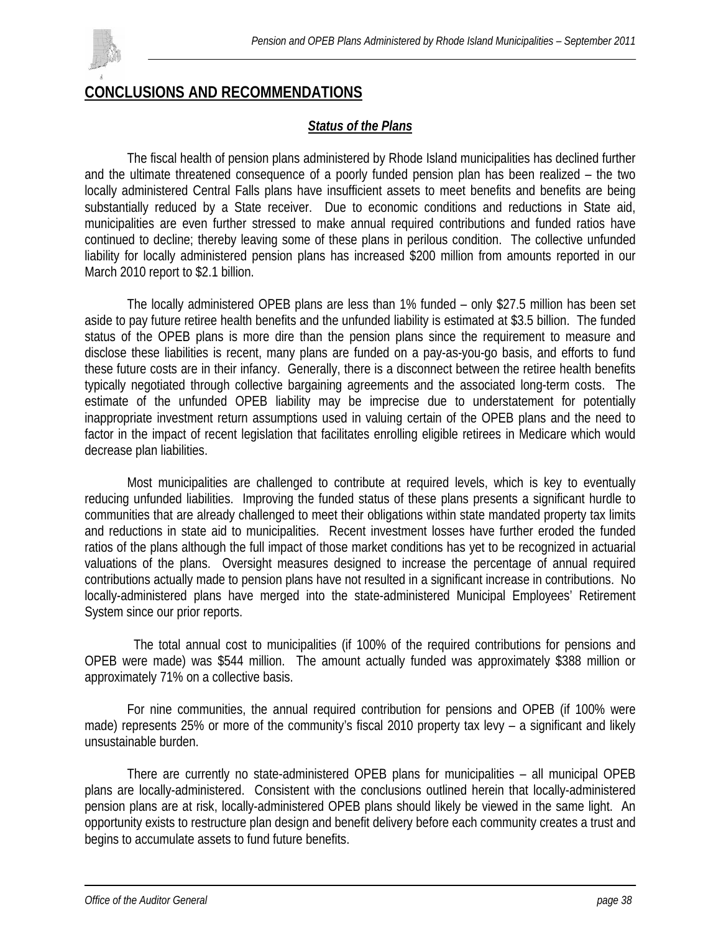

# **CONCLUSIONS AND RECOMMENDATIONS**

### *Status of the Plans*

The fiscal health of pension plans administered by Rhode Island municipalities has declined further and the ultimate threatened consequence of a poorly funded pension plan has been realized – the two locally administered Central Falls plans have insufficient assets to meet benefits and benefits are being substantially reduced by a State receiver. Due to economic conditions and reductions in State aid, municipalities are even further stressed to make annual required contributions and funded ratios have continued to decline; thereby leaving some of these plans in perilous condition. The collective unfunded liability for locally administered pension plans has increased \$200 million from amounts reported in our March 2010 report to \$2.1 billion.

The locally administered OPEB plans are less than 1% funded – only \$27.5 million has been set aside to pay future retiree health benefits and the unfunded liability is estimated at \$3.5 billion. The funded status of the OPEB plans is more dire than the pension plans since the requirement to measure and disclose these liabilities is recent, many plans are funded on a pay-as-you-go basis, and efforts to fund these future costs are in their infancy. Generally, there is a disconnect between the retiree health benefits typically negotiated through collective bargaining agreements and the associated long-term costs. The estimate of the unfunded OPEB liability may be imprecise due to understatement for potentially inappropriate investment return assumptions used in valuing certain of the OPEB plans and the need to factor in the impact of recent legislation that facilitates enrolling eligible retirees in Medicare which would decrease plan liabilities.

Most municipalities are challenged to contribute at required levels, which is key to eventually reducing unfunded liabilities. Improving the funded status of these plans presents a significant hurdle to communities that are already challenged to meet their obligations within state mandated property tax limits and reductions in state aid to municipalities. Recent investment losses have further eroded the funded ratios of the plans although the full impact of those market conditions has yet to be recognized in actuarial valuations of the plans. Oversight measures designed to increase the percentage of annual required contributions actually made to pension plans have not resulted in a significant increase in contributions. No locally-administered plans have merged into the state-administered Municipal Employees' Retirement System since our prior reports.

 The total annual cost to municipalities (if 100% of the required contributions for pensions and OPEB were made) was \$544 million. The amount actually funded was approximately \$388 million or approximately 71% on a collective basis.

For nine communities, the annual required contribution for pensions and OPEB (if 100% were made) represents 25% or more of the community's fiscal 2010 property tax levy – a significant and likely unsustainable burden.

There are currently no state-administered OPEB plans for municipalities – all municipal OPEB plans are locally-administered. Consistent with the conclusions outlined herein that locally-administered pension plans are at risk, locally-administered OPEB plans should likely be viewed in the same light. An opportunity exists to restructure plan design and benefit delivery before each community creates a trust and begins to accumulate assets to fund future benefits.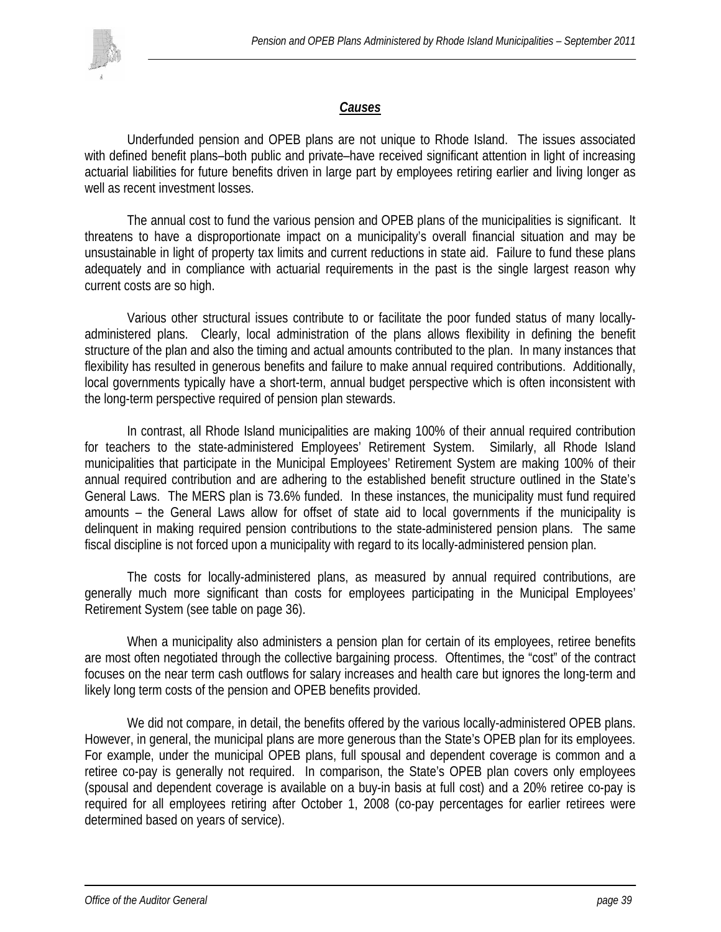

### *Causes*

 Underfunded pension and OPEB plans are not unique to Rhode Island. The issues associated with defined benefit plans–both public and private–have received significant attention in light of increasing actuarial liabilities for future benefits driven in large part by employees retiring earlier and living longer as well as recent investment losses.

The annual cost to fund the various pension and OPEB plans of the municipalities is significant. It threatens to have a disproportionate impact on a municipality's overall financial situation and may be unsustainable in light of property tax limits and current reductions in state aid. Failure to fund these plans adequately and in compliance with actuarial requirements in the past is the single largest reason why current costs are so high.

 Various other structural issues contribute to or facilitate the poor funded status of many locallyadministered plans. Clearly, local administration of the plans allows flexibility in defining the benefit structure of the plan and also the timing and actual amounts contributed to the plan. In many instances that flexibility has resulted in generous benefits and failure to make annual required contributions. Additionally, local governments typically have a short-term, annual budget perspective which is often inconsistent with the long-term perspective required of pension plan stewards.

 In contrast, all Rhode Island municipalities are making 100% of their annual required contribution for teachers to the state-administered Employees' Retirement System. Similarly, all Rhode Island municipalities that participate in the Municipal Employees' Retirement System are making 100% of their annual required contribution and are adhering to the established benefit structure outlined in the State's General Laws. The MERS plan is 73.6% funded. In these instances, the municipality must fund required amounts – the General Laws allow for offset of state aid to local governments if the municipality is delinquent in making required pension contributions to the state-administered pension plans. The same fiscal discipline is not forced upon a municipality with regard to its locally-administered pension plan.

 The costs for locally-administered plans, as measured by annual required contributions, are generally much more significant than costs for employees participating in the Municipal Employees' Retirement System (see table on page 36).

When a municipality also administers a pension plan for certain of its employees, retiree benefits are most often negotiated through the collective bargaining process. Oftentimes, the "cost" of the contract focuses on the near term cash outflows for salary increases and health care but ignores the long-term and likely long term costs of the pension and OPEB benefits provided.

We did not compare, in detail, the benefits offered by the various locally-administered OPEB plans. However, in general, the municipal plans are more generous than the State's OPEB plan for its employees. For example, under the municipal OPEB plans, full spousal and dependent coverage is common and a retiree co-pay is generally not required. In comparison, the State's OPEB plan covers only employees (spousal and dependent coverage is available on a buy-in basis at full cost) and a 20% retiree co-pay is required for all employees retiring after October 1, 2008 (co-pay percentages for earlier retirees were determined based on years of service).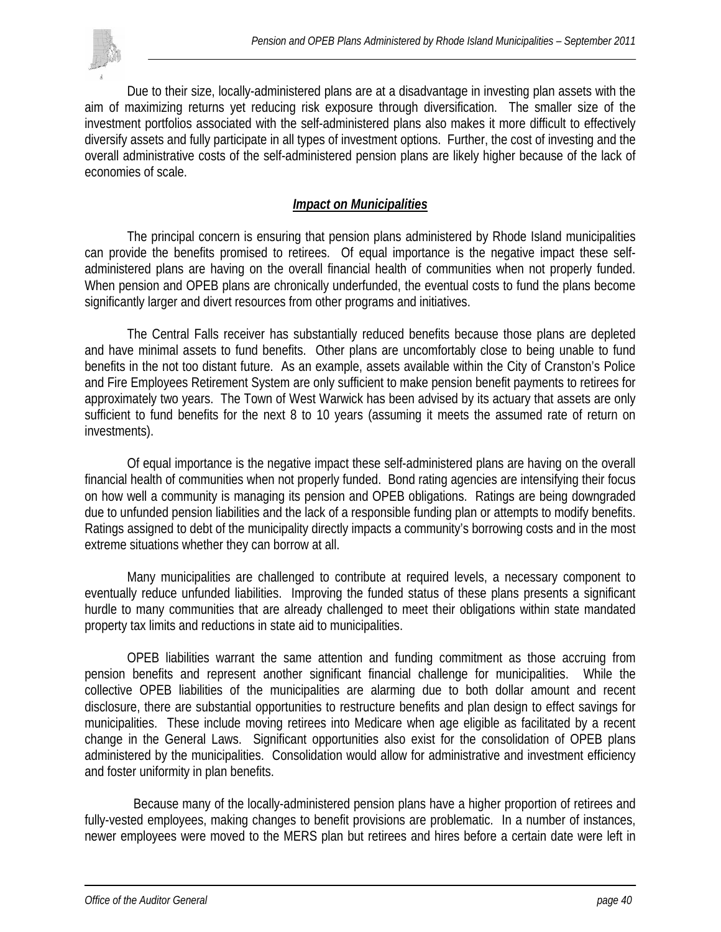

 Due to their size, locally-administered plans are at a disadvantage in investing plan assets with the aim of maximizing returns yet reducing risk exposure through diversification. The smaller size of the investment portfolios associated with the self-administered plans also makes it more difficult to effectively diversify assets and fully participate in all types of investment options. Further, the cost of investing and the overall administrative costs of the self-administered pension plans are likely higher because of the lack of economies of scale.

### *Impact on Municipalities*

The principal concern is ensuring that pension plans administered by Rhode Island municipalities can provide the benefits promised to retirees. Of equal importance is the negative impact these selfadministered plans are having on the overall financial health of communities when not properly funded. When pension and OPEB plans are chronically underfunded, the eventual costs to fund the plans become significantly larger and divert resources from other programs and initiatives.

The Central Falls receiver has substantially reduced benefits because those plans are depleted and have minimal assets to fund benefits. Other plans are uncomfortably close to being unable to fund benefits in the not too distant future. As an example, assets available within the City of Cranston's Police and Fire Employees Retirement System are only sufficient to make pension benefit payments to retirees for approximately two years. The Town of West Warwick has been advised by its actuary that assets are only sufficient to fund benefits for the next 8 to 10 years (assuming it meets the assumed rate of return on investments).

Of equal importance is the negative impact these self-administered plans are having on the overall financial health of communities when not properly funded. Bond rating agencies are intensifying their focus on how well a community is managing its pension and OPEB obligations. Ratings are being downgraded due to unfunded pension liabilities and the lack of a responsible funding plan or attempts to modify benefits. Ratings assigned to debt of the municipality directly impacts a community's borrowing costs and in the most extreme situations whether they can borrow at all.

Many municipalities are challenged to contribute at required levels, a necessary component to eventually reduce unfunded liabilities. Improving the funded status of these plans presents a significant hurdle to many communities that are already challenged to meet their obligations within state mandated property tax limits and reductions in state aid to municipalities.

OPEB liabilities warrant the same attention and funding commitment as those accruing from pension benefits and represent another significant financial challenge for municipalities. While the collective OPEB liabilities of the municipalities are alarming due to both dollar amount and recent disclosure, there are substantial opportunities to restructure benefits and plan design to effect savings for municipalities. These include moving retirees into Medicare when age eligible as facilitated by a recent change in the General Laws. Significant opportunities also exist for the consolidation of OPEB plans administered by the municipalities. Consolidation would allow for administrative and investment efficiency and foster uniformity in plan benefits.

 Because many of the locally-administered pension plans have a higher proportion of retirees and fully-vested employees, making changes to benefit provisions are problematic. In a number of instances, newer employees were moved to the MERS plan but retirees and hires before a certain date were left in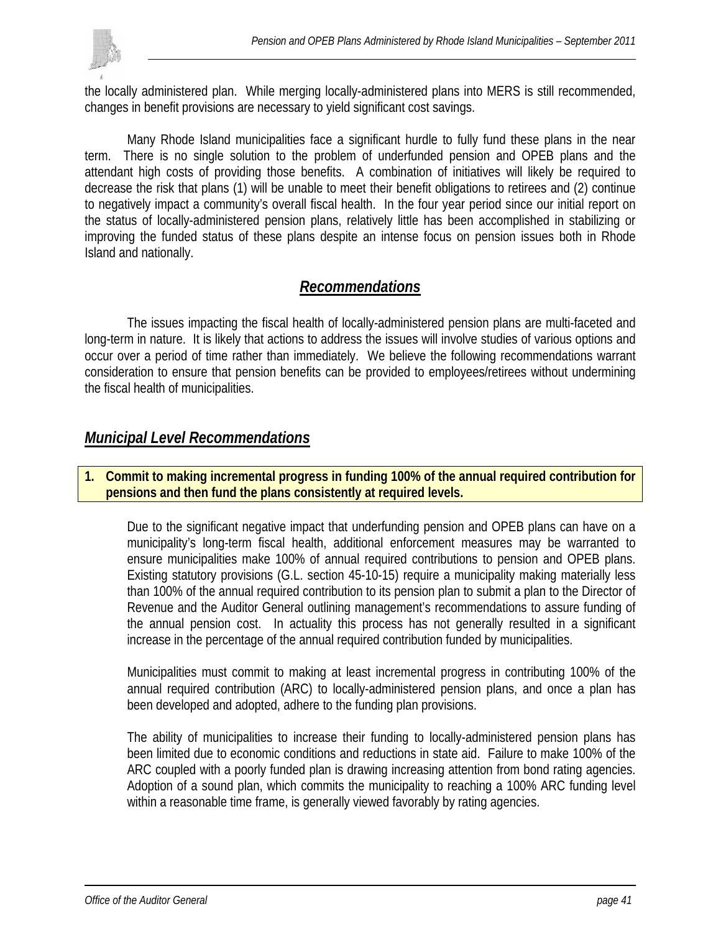

the locally administered plan. While merging locally-administered plans into MERS is still recommended, changes in benefit provisions are necessary to yield significant cost savings.

Many Rhode Island municipalities face a significant hurdle to fully fund these plans in the near term. There is no single solution to the problem of underfunded pension and OPEB plans and the attendant high costs of providing those benefits. A combination of initiatives will likely be required to decrease the risk that plans (1) will be unable to meet their benefit obligations to retirees and (2) continue to negatively impact a community's overall fiscal health. In the four year period since our initial report on the status of locally-administered pension plans, relatively little has been accomplished in stabilizing or improving the funded status of these plans despite an intense focus on pension issues both in Rhode Island and nationally.

## *Recommendations*

 The issues impacting the fiscal health of locally-administered pension plans are multi-faceted and long-term in nature. It is likely that actions to address the issues will involve studies of various options and occur over a period of time rather than immediately. We believe the following recommendations warrant consideration to ensure that pension benefits can be provided to employees/retirees without undermining the fiscal health of municipalities.

## *Municipal Level Recommendations*

### **1. Commit to making incremental progress in funding 100% of the annual required contribution for pensions and then fund the plans consistently at required levels.**

Due to the significant negative impact that underfunding pension and OPEB plans can have on a municipality's long-term fiscal health, additional enforcement measures may be warranted to ensure municipalities make 100% of annual required contributions to pension and OPEB plans. Existing statutory provisions (G.L. section 45-10-15) require a municipality making materially less than 100% of the annual required contribution to its pension plan to submit a plan to the Director of Revenue and the Auditor General outlining management's recommendations to assure funding of the annual pension cost. In actuality this process has not generally resulted in a significant increase in the percentage of the annual required contribution funded by municipalities.

Municipalities must commit to making at least incremental progress in contributing 100% of the annual required contribution (ARC) to locally-administered pension plans, and once a plan has been developed and adopted, adhere to the funding plan provisions.

The ability of municipalities to increase their funding to locally-administered pension plans has been limited due to economic conditions and reductions in state aid. Failure to make 100% of the ARC coupled with a poorly funded plan is drawing increasing attention from bond rating agencies. Adoption of a sound plan, which commits the municipality to reaching a 100% ARC funding level within a reasonable time frame, is generally viewed favorably by rating agencies.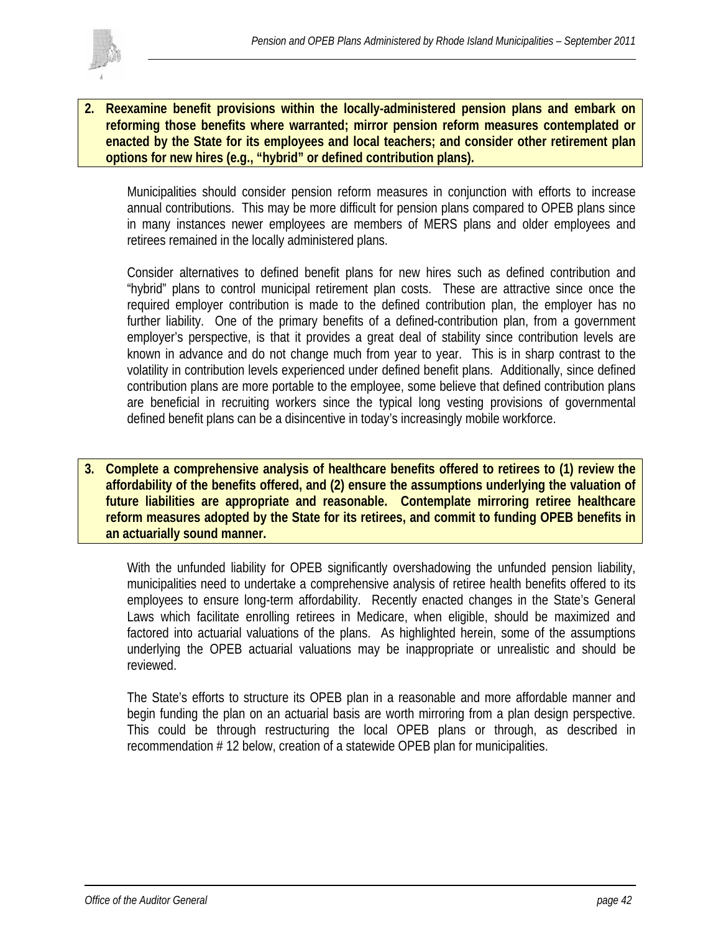

**2. Reexamine benefit provisions within the locally-administered pension plans and embark on reforming those benefits where warranted; mirror pension reform measures contemplated or enacted by the State for its employees and local teachers; and consider other retirement plan options for new hires (e.g., "hybrid" or defined contribution plans).** 

Municipalities should consider pension reform measures in conjunction with efforts to increase annual contributions. This may be more difficult for pension plans compared to OPEB plans since in many instances newer employees are members of MERS plans and older employees and retirees remained in the locally administered plans.

Consider alternatives to defined benefit plans for new hires such as defined contribution and "hybrid" plans to control municipal retirement plan costs. These are attractive since once the required employer contribution is made to the defined contribution plan, the employer has no further liability. One of the primary benefits of a defined-contribution plan, from a government employer's perspective, is that it provides a great deal of stability since contribution levels are known in advance and do not change much from year to year. This is in sharp contrast to the volatility in contribution levels experienced under defined benefit plans. Additionally, since defined contribution plans are more portable to the employee, some believe that defined contribution plans are beneficial in recruiting workers since the typical long vesting provisions of governmental defined benefit plans can be a disincentive in today's increasingly mobile workforce.

**3. Complete a comprehensive analysis of healthcare benefits offered to retirees to (1) review the affordability of the benefits offered, and (2) ensure the assumptions underlying the valuation of future liabilities are appropriate and reasonable. Contemplate mirroring retiree healthcare reform measures adopted by the State for its retirees, and commit to funding OPEB benefits in an actuarially sound manner.** 

With the unfunded liability for OPEB significantly overshadowing the unfunded pension liability, municipalities need to undertake a comprehensive analysis of retiree health benefits offered to its employees to ensure long-term affordability. Recently enacted changes in the State's General Laws which facilitate enrolling retirees in Medicare, when eligible, should be maximized and factored into actuarial valuations of the plans. As highlighted herein, some of the assumptions underlying the OPEB actuarial valuations may be inappropriate or unrealistic and should be reviewed.

The State's efforts to structure its OPEB plan in a reasonable and more affordable manner and begin funding the plan on an actuarial basis are worth mirroring from a plan design perspective. This could be through restructuring the local OPEB plans or through, as described in recommendation # 12 below, creation of a statewide OPEB plan for municipalities.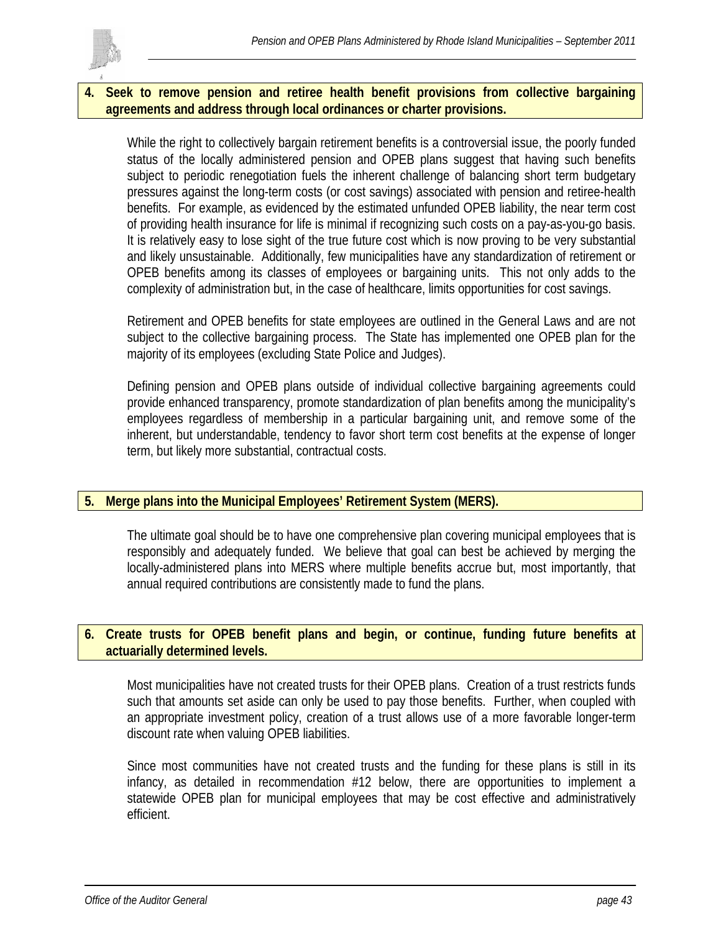

### **4. Seek to remove pension and retiree health benefit provisions from collective bargaining agreements and address through local ordinances or charter provisions.**

While the right to collectively bargain retirement benefits is a controversial issue, the poorly funded status of the locally administered pension and OPEB plans suggest that having such benefits subject to periodic renegotiation fuels the inherent challenge of balancing short term budgetary pressures against the long-term costs (or cost savings) associated with pension and retiree-health benefits. For example, as evidenced by the estimated unfunded OPEB liability, the near term cost of providing health insurance for life is minimal if recognizing such costs on a pay-as-you-go basis. It is relatively easy to lose sight of the true future cost which is now proving to be very substantial and likely unsustainable. Additionally, few municipalities have any standardization of retirement or OPEB benefits among its classes of employees or bargaining units. This not only adds to the complexity of administration but, in the case of healthcare, limits opportunities for cost savings.

Retirement and OPEB benefits for state employees are outlined in the General Laws and are not subject to the collective bargaining process. The State has implemented one OPEB plan for the majority of its employees (excluding State Police and Judges).

Defining pension and OPEB plans outside of individual collective bargaining agreements could provide enhanced transparency, promote standardization of plan benefits among the municipality's employees regardless of membership in a particular bargaining unit, and remove some of the inherent, but understandable, tendency to favor short term cost benefits at the expense of longer term, but likely more substantial, contractual costs.

### **5. Merge plans into the Municipal Employees' Retirement System (MERS).**

The ultimate goal should be to have one comprehensive plan covering municipal employees that is responsibly and adequately funded. We believe that goal can best be achieved by merging the locally-administered plans into MERS where multiple benefits accrue but, most importantly, that annual required contributions are consistently made to fund the plans.

### **6. Create trusts for OPEB benefit plans and begin, or continue, funding future benefits at actuarially determined levels.**

Most municipalities have not created trusts for their OPEB plans. Creation of a trust restricts funds such that amounts set aside can only be used to pay those benefits. Further, when coupled with an appropriate investment policy, creation of a trust allows use of a more favorable longer-term discount rate when valuing OPEB liabilities.

Since most communities have not created trusts and the funding for these plans is still in its infancy, as detailed in recommendation #12 below, there are opportunities to implement a statewide OPEB plan for municipal employees that may be cost effective and administratively efficient.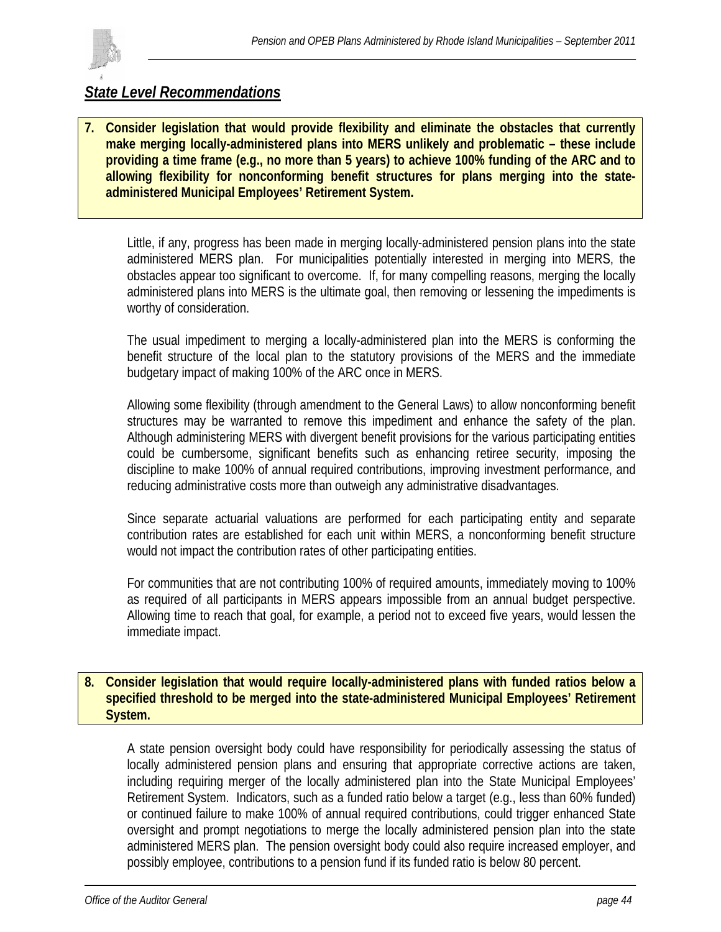

# *State Level Recommendations*

**7. Consider legislation that would provide flexibility and eliminate the obstacles that currently make merging locally-administered plans into MERS unlikely and problematic – these include providing a time frame (e.g., no more than 5 years) to achieve 100% funding of the ARC and to allowing flexibility for nonconforming benefit structures for plans merging into the stateadministered Municipal Employees' Retirement System.** 

Little, if any, progress has been made in merging locally-administered pension plans into the state administered MERS plan. For municipalities potentially interested in merging into MERS, the obstacles appear too significant to overcome. If, for many compelling reasons, merging the locally administered plans into MERS is the ultimate goal, then removing or lessening the impediments is worthy of consideration.

The usual impediment to merging a locally-administered plan into the MERS is conforming the benefit structure of the local plan to the statutory provisions of the MERS and the immediate budgetary impact of making 100% of the ARC once in MERS.

Allowing some flexibility (through amendment to the General Laws) to allow nonconforming benefit structures may be warranted to remove this impediment and enhance the safety of the plan. Although administering MERS with divergent benefit provisions for the various participating entities could be cumbersome, significant benefits such as enhancing retiree security, imposing the discipline to make 100% of annual required contributions, improving investment performance, and reducing administrative costs more than outweigh any administrative disadvantages.

Since separate actuarial valuations are performed for each participating entity and separate contribution rates are established for each unit within MERS, a nonconforming benefit structure would not impact the contribution rates of other participating entities.

For communities that are not contributing 100% of required amounts, immediately moving to 100% as required of all participants in MERS appears impossible from an annual budget perspective. Allowing time to reach that goal, for example, a period not to exceed five years, would lessen the immediate impact.

### **8. Consider legislation that would require locally-administered plans with funded ratios below a specified threshold to be merged into the state-administered Municipal Employees' Retirement System.**

A state pension oversight body could have responsibility for periodically assessing the status of locally administered pension plans and ensuring that appropriate corrective actions are taken, including requiring merger of the locally administered plan into the State Municipal Employees' Retirement System. Indicators, such as a funded ratio below a target (e.g., less than 60% funded) or continued failure to make 100% of annual required contributions, could trigger enhanced State oversight and prompt negotiations to merge the locally administered pension plan into the state administered MERS plan. The pension oversight body could also require increased employer, and possibly employee, contributions to a pension fund if its funded ratio is below 80 percent.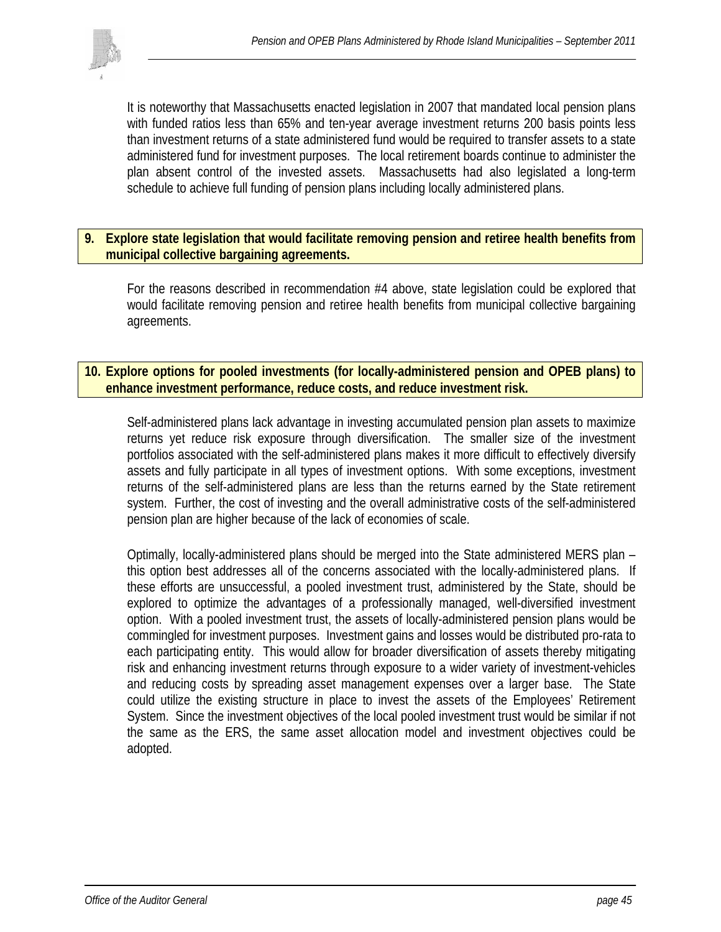

It is noteworthy that Massachusetts enacted legislation in 2007 that mandated local pension plans with funded ratios less than 65% and ten-year average investment returns 200 basis points less than investment returns of a state administered fund would be required to transfer assets to a state administered fund for investment purposes. The local retirement boards continue to administer the plan absent control of the invested assets. Massachusetts had also legislated a long-term schedule to achieve full funding of pension plans including locally administered plans.

### **9. Explore state legislation that would facilitate removing pension and retiree health benefits from municipal collective bargaining agreements.**

For the reasons described in recommendation #4 above, state legislation could be explored that would facilitate removing pension and retiree health benefits from municipal collective bargaining agreements.

### **10. Explore options for pooled investments (for locally-administered pension and OPEB plans) to enhance investment performance, reduce costs, and reduce investment risk.**

Self-administered plans lack advantage in investing accumulated pension plan assets to maximize returns yet reduce risk exposure through diversification. The smaller size of the investment portfolios associated with the self-administered plans makes it more difficult to effectively diversify assets and fully participate in all types of investment options. With some exceptions, investment returns of the self-administered plans are less than the returns earned by the State retirement system. Further, the cost of investing and the overall administrative costs of the self-administered pension plan are higher because of the lack of economies of scale.

Optimally, locally-administered plans should be merged into the State administered MERS plan – this option best addresses all of the concerns associated with the locally-administered plans. If these efforts are unsuccessful, a pooled investment trust, administered by the State, should be explored to optimize the advantages of a professionally managed, well-diversified investment option. With a pooled investment trust, the assets of locally-administered pension plans would be commingled for investment purposes. Investment gains and losses would be distributed pro-rata to each participating entity. This would allow for broader diversification of assets thereby mitigating risk and enhancing investment returns through exposure to a wider variety of investment-vehicles and reducing costs by spreading asset management expenses over a larger base. The State could utilize the existing structure in place to invest the assets of the Employees' Retirement System. Since the investment objectives of the local pooled investment trust would be similar if not the same as the ERS, the same asset allocation model and investment objectives could be adopted.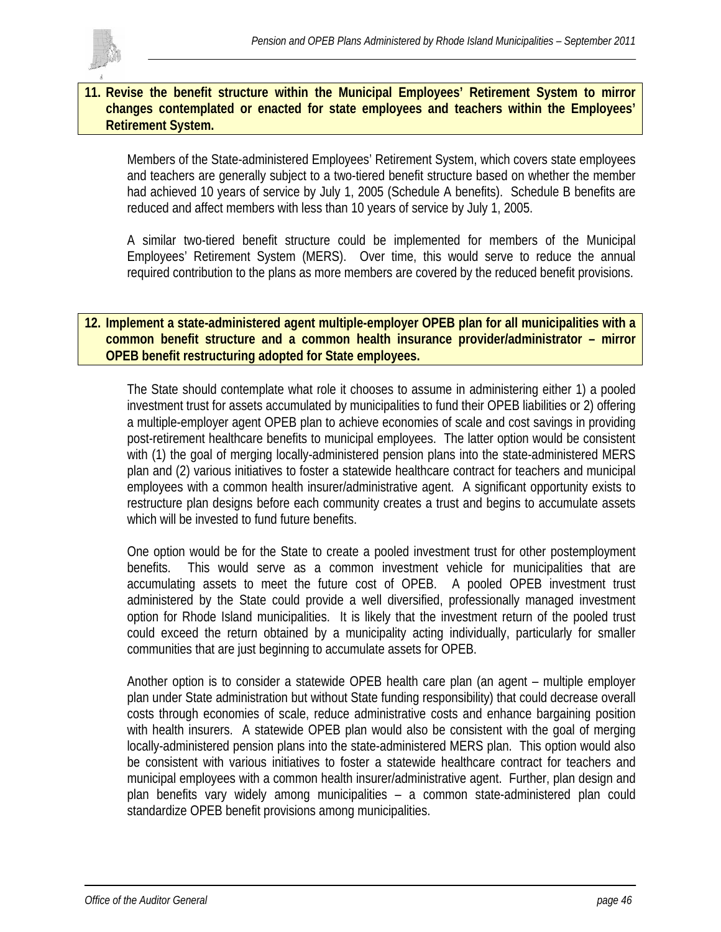

### **11. Revise the benefit structure within the Municipal Employees' Retirement System to mirror changes contemplated or enacted for state employees and teachers within the Employees' Retirement System.**

Members of the State-administered Employees' Retirement System, which covers state employees and teachers are generally subject to a two-tiered benefit structure based on whether the member had achieved 10 years of service by July 1, 2005 (Schedule A benefits). Schedule B benefits are reduced and affect members with less than 10 years of service by July 1, 2005.

A similar two-tiered benefit structure could be implemented for members of the Municipal Employees' Retirement System (MERS). Over time, this would serve to reduce the annual required contribution to the plans as more members are covered by the reduced benefit provisions.

### **12. Implement a state-administered agent multiple-employer OPEB plan for all municipalities with a common benefit structure and a common health insurance provider/administrator – mirror OPEB benefit restructuring adopted for State employees.**

The State should contemplate what role it chooses to assume in administering either 1) a pooled investment trust for assets accumulated by municipalities to fund their OPEB liabilities or 2) offering a multiple-employer agent OPEB plan to achieve economies of scale and cost savings in providing post-retirement healthcare benefits to municipal employees. The latter option would be consistent with (1) the goal of merging locally-administered pension plans into the state-administered MERS plan and (2) various initiatives to foster a statewide healthcare contract for teachers and municipal employees with a common health insurer/administrative agent. A significant opportunity exists to restructure plan designs before each community creates a trust and begins to accumulate assets which will be invested to fund future benefits.

One option would be for the State to create a pooled investment trust for other postemployment benefits. This would serve as a common investment vehicle for municipalities that are accumulating assets to meet the future cost of OPEB. A pooled OPEB investment trust administered by the State could provide a well diversified, professionally managed investment option for Rhode Island municipalities. It is likely that the investment return of the pooled trust could exceed the return obtained by a municipality acting individually, particularly for smaller communities that are just beginning to accumulate assets for OPEB.

Another option is to consider a statewide OPEB health care plan (an agent – multiple employer plan under State administration but without State funding responsibility) that could decrease overall costs through economies of scale, reduce administrative costs and enhance bargaining position with health insurers. A statewide OPEB plan would also be consistent with the goal of merging locally-administered pension plans into the state-administered MERS plan. This option would also be consistent with various initiatives to foster a statewide healthcare contract for teachers and municipal employees with a common health insurer/administrative agent. Further, plan design and plan benefits vary widely among municipalities – a common state-administered plan could standardize OPEB benefit provisions among municipalities.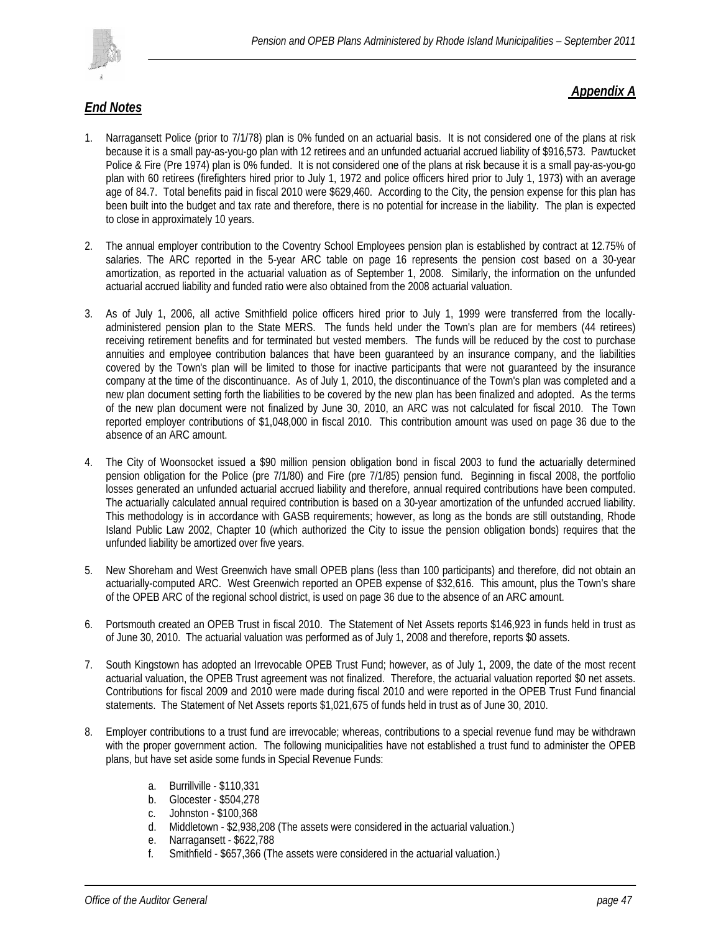

## *End Notes*

### *Appendix A*

- 1. Narragansett Police (prior to 7/1/78) plan is 0% funded on an actuarial basis. It is not considered one of the plans at risk because it is a small pay-as-you-go plan with 12 retirees and an unfunded actuarial accrued liability of \$916,573. Pawtucket Police & Fire (Pre 1974) plan is 0% funded. It is not considered one of the plans at risk because it is a small pay-as-you-go plan with 60 retirees (firefighters hired prior to July 1, 1972 and police officers hired prior to July 1, 1973) with an average age of 84.7. Total benefits paid in fiscal 2010 were \$629,460. According to the City, the pension expense for this plan has been built into the budget and tax rate and therefore, there is no potential for increase in the liability. The plan is expected to close in approximately 10 years.
- 2. The annual employer contribution to the Coventry School Employees pension plan is established by contract at 12.75% of salaries. The ARC reported in the 5-year ARC table on page 16 represents the pension cost based on a 30-year amortization, as reported in the actuarial valuation as of September 1, 2008. Similarly, the information on the unfunded actuarial accrued liability and funded ratio were also obtained from the 2008 actuarial valuation.
- 3. As of July 1, 2006, all active Smithfield police officers hired prior to July 1, 1999 were transferred from the locallyadministered pension plan to the State MERS. The funds held under the Town's plan are for members (44 retirees) receiving retirement benefits and for terminated but vested members. The funds will be reduced by the cost to purchase annuities and employee contribution balances that have been guaranteed by an insurance company, and the liabilities covered by the Town's plan will be limited to those for inactive participants that were not guaranteed by the insurance company at the time of the discontinuance. As of July 1, 2010, the discontinuance of the Town's plan was completed and a new plan document setting forth the liabilities to be covered by the new plan has been finalized and adopted. As the terms of the new plan document were not finalized by June 30, 2010, an ARC was not calculated for fiscal 2010. The Town reported employer contributions of \$1,048,000 in fiscal 2010. This contribution amount was used on page 36 due to the absence of an ARC amount.
- 4. The City of Woonsocket issued a \$90 million pension obligation bond in fiscal 2003 to fund the actuarially determined pension obligation for the Police (pre 7/1/80) and Fire (pre 7/1/85) pension fund. Beginning in fiscal 2008, the portfolio losses generated an unfunded actuarial accrued liability and therefore, annual required contributions have been computed. The actuarially calculated annual required contribution is based on a 30-year amortization of the unfunded accrued liability. This methodology is in accordance with GASB requirements; however, as long as the bonds are still outstanding, Rhode Island Public Law 2002, Chapter 10 (which authorized the City to issue the pension obligation bonds) requires that the unfunded liability be amortized over five years.
- 5. New Shoreham and West Greenwich have small OPEB plans (less than 100 participants) and therefore, did not obtain an actuarially-computed ARC. West Greenwich reported an OPEB expense of \$32,616. This amount, plus the Town's share of the OPEB ARC of the regional school district, is used on page 36 due to the absence of an ARC amount.
- 6. Portsmouth created an OPEB Trust in fiscal 2010. The Statement of Net Assets reports \$146,923 in funds held in trust as of June 30, 2010. The actuarial valuation was performed as of July 1, 2008 and therefore, reports \$0 assets.
- 7. South Kingstown has adopted an Irrevocable OPEB Trust Fund; however, as of July 1, 2009, the date of the most recent actuarial valuation, the OPEB Trust agreement was not finalized. Therefore, the actuarial valuation reported \$0 net assets. Contributions for fiscal 2009 and 2010 were made during fiscal 2010 and were reported in the OPEB Trust Fund financial statements. The Statement of Net Assets reports \$1,021,675 of funds held in trust as of June 30, 2010.
- 8. Employer contributions to a trust fund are irrevocable; whereas, contributions to a special revenue fund may be withdrawn with the proper government action. The following municipalities have not established a trust fund to administer the OPEB plans, but have set aside some funds in Special Revenue Funds:
	- a. Burrillville \$110,331
	- b. Glocester \$504,278
	- c. Johnston \$100,368<br>d. Middletown \$2.938.
	- Middletown \$2,938,208 (The assets were considered in the actuarial valuation.)
	- e. Narragansett \$622,788
	- f. Smithfield \$657,366 (The assets were considered in the actuarial valuation.)